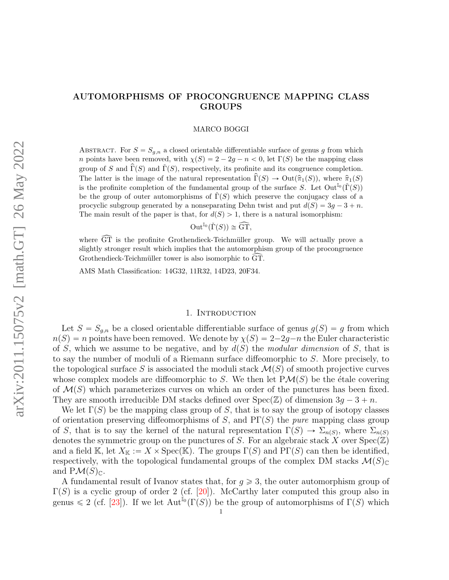## <span id="page-0-1"></span><span id="page-0-0"></span>AUTOMORPHISMS OF PROCONGRUENCE MAPPING CLASS GROUPS

#### MARCO BOGGI

ABSTRACT. For  $S = S_{g,n}$  a closed orientable differentiable surface of genus g from which n points have been removed, with  $\chi(S) = 2 - 2g - n < 0$ , let  $\Gamma(S)$  be the mapping class group of S and  $\tilde{\Gamma}(S)$  and  $\check{\Gamma}(S)$ , respectively, its profinite and its congruence completion. The latter is the image of the natural representation  $\widehat{\Gamma}(S) \to \text{Out}(\widehat{\pi}_1(S))$ , where  $\widehat{\pi}_1(S)$ is the profinite completion of the fundamental group of the surface  $S$ . Let  $Out^{\mathbb{I}_{0}}(\check{\Gamma}(S))$ be the group of outer automorphisms of  $\Gamma(S)$  which preserve the conjugacy class of a procyclic subgroup generated by a nonseparating Dehn twist and put  $d(S) = 3q - 3 + n$ . The main result of the paper is that, for  $d(S) > 1$ , there is a natural isomorphism:

$$
\operatorname{Out}^{\mathbb{I}_0}(\check{\Gamma}(S)) \cong \widehat{\operatorname{GT}},
$$

where  $\widehat{GT}$  is the profinite Grothendieck-Teichmüller group. We will actually prove a slightly stronger result which implies that the automorphism group of the procongruence Grothendieck-Teichmüller tower is also isomorphic to GT.

AMS Math Classification: 14G32, 11R32, 14D23, 20F34.

#### 1. INTRODUCTION

Let  $S = S_{g,n}$  be a closed orientable differentiable surface of genus  $g(S) = g$  from which  $n(S) = n$  points have been removed. We denote by  $\chi(S) = 2-2q-n$  the Euler characteristic of S, which we assume to be negative, and by  $d(S)$  the modular dimension of S, that is to say the number of moduli of a Riemann surface diffeomorphic to S. More precisely, to the topological surface S is associated the moduli stack  $\mathcal{M}(S)$  of smooth projective curves whose complex models are diffeomorphic to S. We then let  $P\mathcal{M}(S)$  be the étale covering of  $\mathcal{M}(S)$  which parameterizes curves on which an order of the punctures has been fixed. They are smooth irreducible DM stacks defined over  $Spec(\mathbb{Z})$  of dimension  $3g - 3 + n$ .

We let  $\Gamma(S)$  be the mapping class group of S, that is to say the group of isotopy classes of orientation preserving diffeomorphisms of S, and  $PT(S)$  the *pure* mapping class group of S, that is to say the kernel of the natural representation  $\Gamma(S) \to \Sigma_{n(S)}$ , where  $\Sigma_{n(S)}$ denotes the symmetric group on the punctures of S. For an algebraic stack X over  $Spec(\mathbb{Z})$ and a field K, let  $X_{\mathbb{K}} := X \times \mathrm{Spec}(\mathbb{K})$ . The groups  $\Gamma(S)$  and  $\mathrm{PT}(S)$  can then be identified, respectively, with the topological fundamental groups of the complex DM stacks  $\mathcal{M}(S)_{\mathbb{C}}$ and  $P\mathcal{M}(S)_{\mathbb{C}}$ .

A fundamental result of Ivanov states that, for  $g \geq 3$ , the outer automorphism group of  $\Gamma(S)$  is a cyclic group of order 2 (cf. [\[20\]](#page-51-0)). McCarthy later computed this group also in genus  $\leq 2$  (cf. [\[23\]](#page-51-1)). If we let  $\text{Aut}^{\mathbb{I}_0}(\Gamma(S))$  be the group of automorphisms of  $\Gamma(S)$  which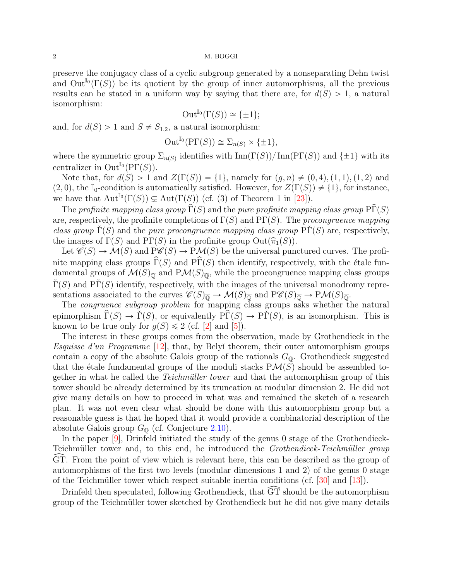<span id="page-1-0"></span>preserve the conjugacy class of a cyclic subgroup generated by a nonseparating Dehn twist and  $\text{Out}^{\mathbb{I}_0}(\Gamma(S))$  be its quotient by the group of inner automorphisms, all the previous results can be stated in a uniform way by saying that there are, for  $d(S) > 1$ , a natural isomorphism:

$$
\operatorname{Out}^{\mathbb{I}_0}(\Gamma(S)) \cong \{\pm 1\};
$$

and, for  $d(S) > 1$  and  $S \neq S_{1,2}$ , a natural isomorphism:

$$
\operatorname{Out}^{\mathbb{I}_0}(\mathrm{P}\Gamma(S)) \cong \Sigma_{n(S)} \times \{\pm 1\},\
$$

where the symmetric group  $\Sigma_{n(S)}$  identifies with  $\text{Inn}(\Gamma(S))/\text{Inn}(\text{PT}(S))$  and  $\{\pm 1\}$  with its centralizer in  $\mathrm{Out}^{\mathbb{I}_0}(\mathrm{P}\Gamma(S)).$ 

Note that, for  $d(S) > 1$  and  $Z(\Gamma(S)) = \{1\}$ , namely for  $(q, n) \neq (0, 4), (1, 1), (1, 2)$  and  $(2, 0)$ , the I<sub>0</sub>-condition is automatically satisfied. However, for  $Z(\Gamma(S)) \neq \{1\}$ , for instance, we have that  $\mathrm{Aut}^{\mathbb{I}_0}(\Gamma(S)) \subsetneq \mathrm{Aut}(\Gamma(S))$  (cf. (3) of Theorem 1 in [\[23\]](#page-51-1)).

The profinite mapping class group  $\widehat{\Gamma}(S)$  and the pure profinite mapping class group  $\widehat{\Gamma}(S)$ are, respectively, the profinite completions of  $\Gamma(S)$  and  $\text{PT}(S)$ . The procongruence mapping class group  $\Gamma(S)$  and the pure procongruence mapping class group  $\Pr(S)$  are, respectively, the images of  $\Gamma(S)$  and  $\text{PT}(S)$  in the profinite group  $\text{Out}(\hat{\pi}_1(S))$ .

Let  $\mathcal{C}(S) \to \mathcal{M}(S)$  and  $P\mathcal{C}(S) \to P\mathcal{M}(S)$  be the universal punctured curves. The profinite mapping class groups  $\widehat{\Gamma}(S)$  and  $\widehat{\Gamma}(S)$  then identify, respectively, with the étale fundamental groups of  $\mathcal{M}(S)_{\overline{\mathbb{Q}}}$  and  $\mathrm{P}\mathcal{M}(S)_{\overline{\mathbb{Q}}}$ , while the procongruence mapping class groups  $\Gamma(S)$  and P $\Gamma(S)$  identify, respectively, with the images of the universal monodromy representations associated to the curves  $\mathscr{C}(S)_{\overline{\mathbb{Q}}}\to \mathcal{M}(S)_{\overline{\mathbb{Q}}}$  and  $P\mathscr{C}(S)_{\overline{\mathbb{Q}}}\to P\mathcal{M}(S)_{\overline{\mathbb{Q}}}$ .

The *congruence subgroup problem* for mapping class groups asks whether the natural epimorphism  $\widehat{\Gamma}(S) \to \widecheck{\Gamma}(S)$ , or equivalently  $\widehat{\Gamma}(S) \to \widecheck{\Gamma}(S)$ , is an isomorphism. This is known to be true only for  $g(S) \leq 2$  (cf. [\[2\]](#page-50-0) and [\[5\]](#page-51-2)).

The interest in these groups comes from the observation, made by Grothendieck in the Esquisse d'un Programme  $[12]$ , that, by Belyĭ theorem, their outer automorphism groups contain a copy of the absolute Galois group of the rationals  $G_{\mathbb{Q}}$ . Grothendieck suggested that the étale fundamental groups of the moduli stacks  $P\mathcal{M}(S)$  should be assembled together in what he called the *Teichmüller tower* and that the automorphism group of this tower should be already determined by its truncation at modular dimension 2. He did not give many details on how to proceed in what was and remained the sketch of a research plan. It was not even clear what should be done with this automorphism group but a reasonable guess is that he hoped that it would provide a combinatorial description of the absolute Galois group  $G_{\mathbb{Q}}$  (cf. Conjecture [2.10\)](#page-10-0).

In the paper [\[9\]](#page-51-4), Drinfeld initiated the study of the genus 0 stage of the Grothendieck-Teichmüller tower and, to this end, he introduced the *Grothendieck-Teichmüller group* GT. From the point of view which is relevant here, this can be described as the group of automorphisms of the first two levels (modular dimensions 1 and 2) of the genus 0 stage of the Teichmüller tower which respect suitable inertia conditions (cf.  $[30]$  and  $[13]$ ).

Drinfeld then speculated, following Grothendieck, that  $\widetilde{GT}$  should be the automorphism group of the Teichmüller tower sketched by Grothendieck but he did not give many details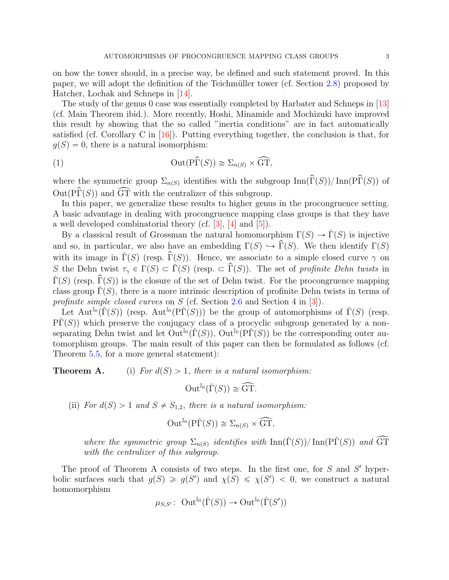<span id="page-2-1"></span>on how the tower should, in a precise way, be defined and such statement proved. In this paper, we will adopt the definition of the Teichmüller tower (cf. Section [2.8\)](#page-9-0) proposed by Hatcher, Lochak and Schneps in [\[14\]](#page-51-6).

The study of the genus 0 case was essentially completed by Harbater and Schneps in [\[13\]](#page-51-5) (cf. Main Theorem ibid.). More recently, Hoshi, Minamide and Mochizuki have improved this result by showing that the so called "inertia conditions" are in fact automatically satisfied (cf. Corollary C in  $[16]$ ). Putting everything together, the conclusion is that, for  $g(S) = 0$ , there is a natural isomorphism:

<span id="page-2-0"></span>(1) 
$$
\operatorname{Out}(\widehat{\operatorname{Pr}(S)}) \cong \Sigma_{n(S)} \times \widehat{\operatorname{GT}},
$$

where the symmetric group  $\Sigma_{n(S)}$  identifies with the subgroup  $\text{Inn}(\widehat{\Gamma}(S))/\text{Inn}(\widehat{\Gamma}(S))$  of  $Out(P\hat{\Gamma}(S))$  and  $\widehat{GT}$  with the centralizer of this subgroup.

In this paper, we generalize these results to higher genus in the procongruence setting. A basic advantage in dealing with procongruence mapping class groups is that they have a well developed combinatorial theory (cf. [\[3\]](#page-50-1), [\[4\]](#page-51-8) and [\[5\]](#page-51-2)).

By a classical result of Grossman the natural homomorphism  $\Gamma(S) \to \Gamma(S)$  is injective and so, in particular, we also have an embedding  $\Gamma(S) \hookrightarrow \widehat{\Gamma}(S)$ . We then identify  $\Gamma(S)$ with its image in  $\tilde{\Gamma}(S)$  (resp.  $\hat{\Gamma}(S)$ ). Hence, we associate to a simple closed curve  $\gamma$  on S the Dehn twist  $\tau_{\gamma} \in \Gamma(S) \subset \check{\Gamma}(S)$  (resp.  $\subset \hat{\Gamma}(S)$ ). The set of profinite Dehn twists in  $\tilde{\Gamma}(S)$  (resp.  $\hat{\Gamma}(S)$ ) is the closure of the set of Dehn twist. For the procongruence mapping class group  $\Gamma(S)$ , there is a more intrinsic description of profinite Dehn twists in terms of profinite simple closed curves on S (cf. Section [2.6](#page-6-0) and Section 4 in [\[3\]](#page-50-1)).

Let Aut<sup>I<sub>0</sub></sub>  $(\check{\Gamma}(S))$  (resp. Aut<sup>I<sub>0</sub></sub> (P $\check{\Gamma}(S)$ )) be the group of automorphisms of  $\check{\Gamma}(S)$  (resp.</sup></sup>  $\tilde{\text{PT}}(S)$ ) which preserve the conjugacy class of a procyclic subgroup generated by a nonseparating Dehn twist and let  $\text{Out}^{\mathbb{I}_0}(\check{\Gamma}(S))$ ,  $\text{Out}^{\mathbb{I}_0}(\check{\Gamma}(S))$  be the corresponding outer automorphism groups. The main result of this paper can then be formulated as follows (cf. Theorem [5.5,](#page-30-0) for a more general statement):

**Theorem A.** (i) For  $d(S) > 1$ , there is a natural isomorphism:

$$
\operatorname{Out}^{\mathbb{I}_0}(\check{\Gamma}(S)) \cong \widehat{\operatorname{GT}}.
$$

(ii) For  $d(S) > 1$  and  $S \neq S_{1,2}$ , there is a natural isomorphism:

$$
\operatorname{Out}^{\mathbb{I}_0}(\mathrm{P}\check{\Gamma}(S)) \cong \Sigma_{n(S)} \times \widehat{\operatorname{GT}},
$$

where the symmetric group  $\Sigma_{n(S)}$  identifies with  $\text{Inn}(\check{\Gamma}(S))/\text{Inn}(\check{\Gamma}(S))$  and  $\widehat{\text{GT}}$ with the centralizer of this subgroup.

The proof of Theorem A consists of two steps. In the first one, for  $S$  and  $S'$  hyperbolic surfaces such that  $g(S) \geq g(S')$  and  $\chi(S) \leq \chi(S') < 0$ , we construct a natural homomorphism

$$
\mu_{S,S'}\colon \operatorname{Out}^{\mathbb{I}_0}({\check\Gamma}(S))\to\operatorname{Out}^{\mathbb{I}_0}({\check\Gamma}(S'))
$$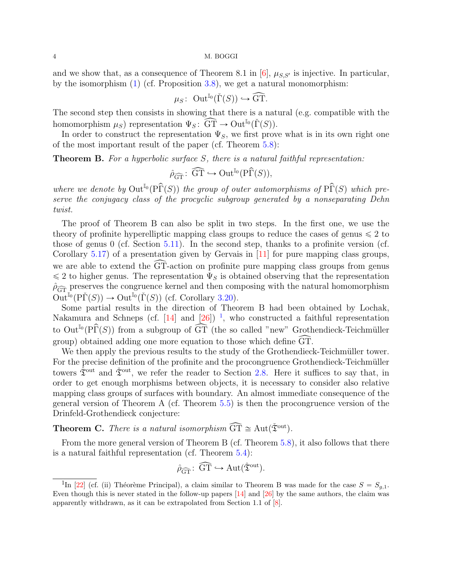<span id="page-3-1"></span>and we show that, as a consequence of Theorem 8.1 in [\[6\]](#page-51-9),  $\mu_{S,S'}$  is injective. In particular, by the isomorphism [\(1\)](#page-2-0) (cf. Proposition [3.8\)](#page-14-0), we get a natural monomorphism:

$$
\mu_S\colon \operatorname{Out}^{\mathbb{I}_0}({\check\Gamma}(S))\hookrightarrow \widehat{\operatorname{GT}}.
$$

The second step then consists in showing that there is a natural (e.g. compatible with the homomorphism  $\mu_S$ ) representation  $\Psi_S : \widehat{GT} \to \mathrm{Out}^{\mathbb{I}_0}(\check{\Gamma}(S)).$ 

In order to construct the representation  $\Psi_S$ , we first prove what is in its own right one of the most important result of the paper (cf. Theorem [5.8\)](#page-32-0):

**Theorem B.** For a hyperbolic surface S, there is a natural faithful representation:

$$
\hat{\rho}_{\widehat{\mathrm{GT}}} \colon \widehat{\mathrm{GT}} \hookrightarrow \mathrm{Out}^{\mathbb{I}_0}(\mathrm{P}\widehat{\Gamma}(S)),
$$

where we denote by  $\text{Out}^{\mathbb{I}_0}(\widehat{P}\widehat{\Gamma}(S))$  the group of outer automorphisms of  $\widehat{P}\widehat{\Gamma}(S)$  which preserve the conjugacy class of the procyclic subgroup generated by a nonseparating Dehn twist.

The proof of Theorem B can also be split in two steps. In the first one, we use the theory of profinite hyperelliptic mapping class groups to reduce the cases of genus  $\leq 2$  to those of genus 0 (cf. Section [5.11\)](#page-38-0). In the second step, thanks to a profinite version (cf. Corollary  $5.17$ ) of a presentation given by Gervais in [\[11\]](#page-51-10) for pure mapping class groups, we are able to extend the  $\widehat{GT}$ -action on profinite pure mapping class groups from genus  $\leq 2$  to higher genus. The representation  $\Psi_S$  is obtained observing that the representation  $\rho_{\widehat{GT}}$  preserves the congruence kernel and then composing with the natural homomorphism  $\text{Out}^{\mathbb{I}_0}(\text{P}\check{\Gamma}(S)) \to \text{Out}^{\mathbb{I}_0}(\check{\Gamma}(S))$  (cf. Corollary [3.20\)](#page-0-0).

Some partial results in the direction of Theorem B had been obtained by Lochak, Nakamura and Schneps (cf. [\[14\]](#page-51-6) and  $[26]$ )<sup>[1](#page-3-0)</sup>, who constructed a faithful representation to Out<sup>I<sub>0</sub></sup>(P $\widehat{\Gamma}(S)$ ) from a subgroup of  $\widehat{\text{GT}}$  (the so called "new" Grothendieck-Teichmüller group) obtained adding one more equation to those which define GT.

We then apply the previous results to the study of the Grothendieck-Teichmüller tower. For the precise definition of the profinite and the procongruence Grothendieck-Teichmüller towers  $\hat{\mathfrak{X}}^{\text{out}}$  and  $\check{\mathfrak{X}}^{\text{out}}$ , we refer the reader to Section [2.8.](#page-9-0) Here it suffices to say that, in order to get enough morphisms between objects, it is necessary to consider also relative mapping class groups of surfaces with boundary. An almost immediate consequence of the general version of Theorem A (cf. Theorem [5.5\)](#page-30-0) is then the procongruence version of the Drinfeld-Grothendieck conjecture:

**Theorem C.** There is a natural isomorphism  $\widehat{GT} \cong Aut(\check{\mathfrak{T}}^{out})$ .

From the more general version of Theorem B (cf. Theorem [5.8\)](#page-32-0), it also follows that there is a natural faithful representation (cf. Theorem [5.4\)](#page-30-1):

$$
\hat{\rho}_{\widehat{\mathrm{GT}}} \colon \widehat{\mathrm{GT}} \hookrightarrow \mathrm{Aut}(\hat{\mathfrak{T}}^{\mathrm{out}}).
$$

<span id="page-3-0"></span><sup>&</sup>lt;sup>1</sup>In [\[22\]](#page-51-11) (cf. (ii) Théorème Principal), a claim similar to Theorem B was made for the case  $S = S_{g,1}$ . Even though this is never stated in the follow-up papers [\[14\]](#page-51-6) and [\[26\]](#page-52-1) by the same authors, the claim was apparently withdrawn, as it can be extrapolated from Section 1.1 of [\[8\]](#page-51-12).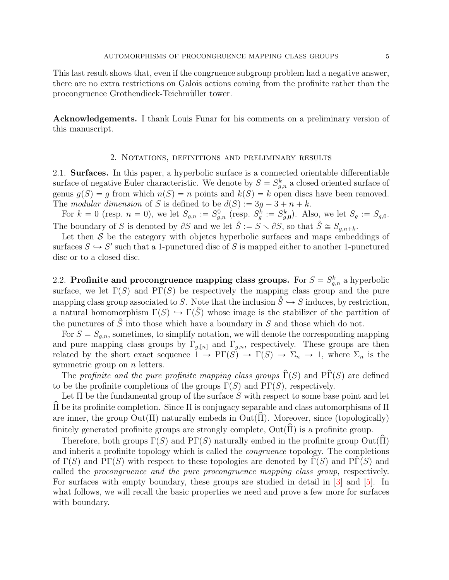<span id="page-4-1"></span>This last result shows that, even if the congruence subgroup problem had a negative answer, there are no extra restrictions on Galois actions coming from the profinite rather than the procongruence Grothendieck-Teichmüller tower.

Acknowledgements. I thank Louis Funar for his comments on a preliminary version of this manuscript.

## 2. Notations, definitions and preliminary results

<span id="page-4-0"></span>2.1. Surfaces. In this paper, a hyperbolic surface is a connected orientable differentiable surface of negative Euler characteristic. We denote by  $S = S_{g,n}^k$  a closed oriented surface of genus  $g(S) = g$  from which  $n(S) = n$  points and  $k(S) = k$  open discs have been removed. The modular dimension of S is defined to be  $d(S) := 3q - 3 + n + k$ .

For  $k = 0$  (resp.  $n = 0$ ), we let  $S_{g,n} := S_{g,n}^0$  (resp.  $S_g^k := S_{g,0}^k$ ). Also, we let  $S_g := S_{g,0}$ . The boundary of S is denoted by  $\partial S$  and we let  $\mathring{S} := \mathring{S} \setminus \partial S$ , so that  $\mathring{S} \cong \mathring{S}_{g,n+k}$ .

Let then  $S$  be the category with objetcs hyperbolic surfaces and maps embeddings of surfaces  $S \hookrightarrow S'$  such that a 1-punctured disc of S is mapped either to another 1-punctured disc or to a closed disc.

2.2. Profinite and procongruence mapping class groups. For  $S = S_{g,n}^k$  a hyperbolic surface, we let  $\Gamma(S)$  and  $\text{PT}(S)$  be respectively the mapping class group and the pure mapping class group associated to S. Note that the inclusion  $\mathring{S} \hookrightarrow S$  induces, by restriction, a natural homomorphism  $\Gamma(S) \hookrightarrow \Gamma(\check{S})$  whose image is the stabilizer of the partition of the punctures of  $\mathring{S}$  into those which have a boundary in  $S$  and those which do not.

For  $S = S_{a,n}$ , sometimes, to simplify notation, we will denote the corresponding mapping and pure mapping class groups by  $\Gamma_{g,n}$  and  $\Gamma_{g,n}$ , respectively. These groups are then related by the short exact sequence  $1 \to \text{PT}(S) \to \Gamma(S) \to \Sigma_n \to 1$ , where  $\Sigma_n$  is the symmetric group on *n* letters.

The profinite and the pure profinite mapping class groups  $\widehat{\Gamma}(S)$  and  $\widehat{\Gamma}(S)$  are defined to be the profinite completions of the groups  $\Gamma(S)$  and  $\text{PT}(S)$ , respectively.

Let  $\Pi$  be the fundamental group of the surface S with respect to some base point and let  $\Pi$  be its profinite completion. Since  $\Pi$  is conjugacy separable and class automorphisms of  $\Pi$ are inner, the group  $Out(\Pi)$  naturally embeds in  $Out(\widehat{\Pi})$ . Moreover, since (topologically) finitely generated profinite groups are strongly complete,  $Out(\widehat{\Pi})$  is a profinite group.

Therefore, both groups  $\Gamma(S)$  and  $\text{PT}(S)$  naturally embed in the profinite group  $\text{Out}(\Pi)$ and inherit a profinite topology which is called the congruence topology. The completions of  $\Gamma(S)$  and PΓ(S) with respect to these topologies are denoted by  $\Gamma(S)$  and PΓ(S) and called the procongruence and the pure procongruence mapping class group, respectively. For surfaces with empty boundary, these groups are studied in detail in [\[3\]](#page-50-1) and [\[5\]](#page-51-2). In what follows, we will recall the basic properties we need and prove a few more for surfaces with boundary.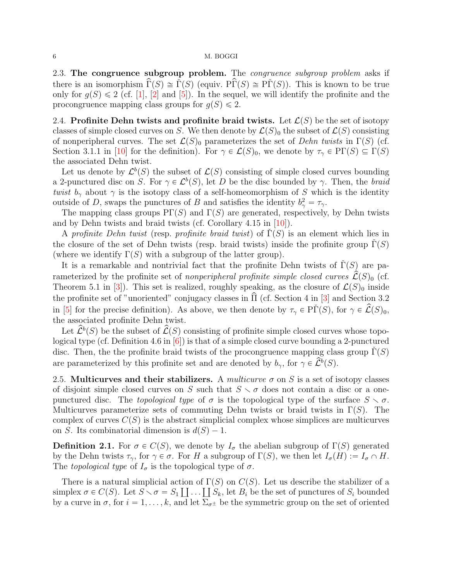<span id="page-5-1"></span>2.3. The congruence subgroup problem. The *congruence subgroup problem* asks if there is an isomorphism  $\Gamma(S) \cong \Gamma(S)$  (equiv.  $\overline{\Pr}(S) \cong \overline{\Pr}(S)$ ). This is known to be true only for  $g(S) \leq 2$  (cf. [\[1\]](#page-50-2), [\[2\]](#page-50-0) and [\[5\]](#page-51-2)). In the sequel, we will identify the profinite and the procongruence mapping class groups for  $g(S) \leq 2$ .

2.4. Profinite Dehn twists and profinite braid twists. Let  $\mathcal{L}(S)$  be the set of isotopy classes of simple closed curves on S. We then denote by  $\mathcal{L}(S)_0$  the subset of  $\mathcal{L}(S)$  consisting of nonperipheral curves. The set  $\mathcal{L}(S)_0$  parameterizes the set of Dehn twists in  $\Gamma(S)$  (cf. Section 3.1.1 in [\[10\]](#page-51-13) for the definition). For  $\gamma \in \mathcal{L}(S)_0$ , we denote by  $\tau_\gamma \in \mathrm{PT}(S) \subseteq \Gamma(S)$ the associated Dehn twist.

Let us denote by  $\mathcal{L}^b(S)$  the subset of  $\mathcal{L}(S)$  consisting of simple closed curves bounding a 2-punctured disc on S. For  $\gamma \in \mathcal{L}^b(S)$ , let D be the disc bounded by  $\gamma$ . Then, the braid twist  $b_{\gamma}$  about  $\gamma$  is the isotopy class of a self-homeomorphism of S which is the identity outside of D, swaps the punctures of B and satisfies the identity  $b_{\gamma}^2 = \tau_{\gamma}$ .

The mapping class groups  $\Pr(S)$  and  $\Gamma(S)$  are generated, respectively, by Dehn twists and by Dehn twists and braid twists (cf. Corollary 4.15 in [\[10\]](#page-51-13)).

A profinite Dehn twist (resp. profinite braid twist) of  $\Gamma(S)$  is an element which lies in the closure of the set of Dehn twists (resp. braid twists) inside the profinite group  $\Gamma(S)$ (where we identify  $\Gamma(S)$  with a subgroup of the latter group).

It is a remarkable and nontrivial fact that the profinite Dehn twists of  $\Gamma(S)$  are parameterized by the profinite set of nonperipheral profinite simple closed curves  $\mathcal{L}(S)_0$  (cf. Theorem 5.1 in [\[3\]](#page-50-1)). This set is realized, roughly speaking, as the closure of  $\mathcal{L}(S)$ <sub>0</sub> inside the profinite set of "unoriented" conjugacy classes in  $\hat{\Pi}$  (cf. Section 4 in [[3\]](#page-50-1) and Section 3.2 in [\[5\]](#page-51-2) for the precise definition). As above, we then denote by  $\tau_{\gamma} \in \tilde{\Gamma}(S)$ , for  $\gamma \in \hat{\mathcal{L}}(S)$ <sub>0</sub>, the associated profinite Dehn twist.

Let  $\hat{\mathcal{L}}^b(S)$  be the subset of  $\hat{\mathcal{L}}(S)$  consisting of profinite simple closed curves whose topological type (cf. Definition 4.6 in  $[6]$ ) is that of a simple closed curve bounding a 2-punctured disc. Then, the the profinite braid twists of the procongruence mapping class group  $\check{\Gamma}(S)$ are parameterized by this profinite set and are denoted by  $b_{\gamma}$ , for  $\gamma \in \widetilde{L}^b(S)$ .

2.5. Multicurves and their stabilizers. A multicurve  $\sigma$  on S is a set of isotopy classes of disjoint simple closed curves on S such that  $S \setminus \sigma$  does not contain a disc or a onepunctured disc. The topological type of  $\sigma$  is the topological type of the surface  $S \setminus \sigma$ . Multicurves parameterize sets of commuting Dehn twists or braid twists in  $\Gamma(S)$ . The complex of curves  $C(S)$  is the abstract simplicial complex whose simplices are multicurves on S. Its combinatorial dimension is  $d(S) - 1$ .

<span id="page-5-0"></span>**Definition 2.1.** For  $\sigma \in C(S)$ , we denote by  $I_{\sigma}$  the abelian subgroup of  $\Gamma(S)$  generated by the Dehn twists  $\tau_{\gamma}$ , for  $\gamma \in \sigma$ . For H a subgroup of  $\Gamma(S)$ , we then let  $I_{\sigma}(H) := I_{\sigma} \cap H$ . The topological type of  $I_{\sigma}$  is the topological type of  $\sigma$ .

There is a natural simplicial action of  $\Gamma(S)$  on  $C(S)$ . Let us describe the stabilizer of a There is a natural simplicial action of  $\Gamma(S)$  on  $C(S)$ . Let us describe the stabilizer of a<br>simplex  $\sigma \in C(S)$ . Let  $S \setminus \sigma = S_1 \coprod \ldots \coprod S_k$ , let  $B_i$  be the set of punctures of  $S_i$  bounded by a curve in  $\sigma$ , for  $i = 1, \ldots, k$ , and let  $\Sigma_{\sigma^{\pm}}$  be the symmetric group on the set of oriented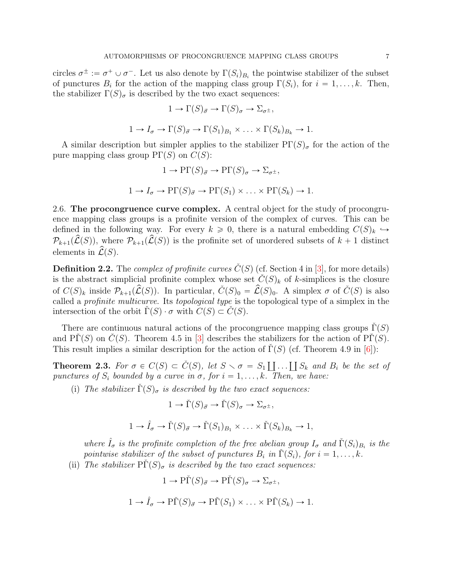<span id="page-6-2"></span>circles  $\sigma^{\pm} := \sigma^+ \cup \sigma^-$ . Let us also denote by  $\Gamma(S_i)_{B_i}$  the pointwise stabilizer of the subset of punctures  $B_i$  for the action of the mapping class group  $\Gamma(S_i)$ , for  $i = 1, \ldots, k$ . Then, the stabilizer  $\Gamma(S)_{\sigma}$  is described by the two exact sequences:

$$
1 \to \Gamma(S)_{\vec{\sigma}} \to \Gamma(S)_{\sigma} \to \Sigma_{\sigma^{\pm}},
$$

$$
1 \to I_{\sigma} \to \Gamma(S)_{\vec{\sigma}} \to \Gamma(S_1)_{B_1} \times \ldots \times \Gamma(S_k)_{B_k} \to 1.
$$

A similar description but simpler applies to the stabilizer  $\text{PT}(S)_{\sigma}$  for the action of the pure mapping class group  $\Pr(S)$  on  $C(S)$ :

$$
1 \to \text{PT}(S)_{\vec{\sigma}} \to \text{PT}(S)_{\sigma} \to \Sigma_{\sigma^{\pm}},
$$
  

$$
1 \to I_{\sigma} \to \text{PT}(S)_{\vec{\sigma}} \to \text{PT}(S_1) \times \ldots \times \text{PT}(S_k) \to 1.
$$

<span id="page-6-0"></span>2.6. The procongruence curve complex. A central object for the study of procongruence mapping class groups is a profinite version of the complex of curves. This can be defined in the following way. For every  $k \geq 0$ , there is a natural embedding  $C(S)_k \hookrightarrow$  $\mathcal{P}_{k+1}(\hat{\mathcal{L}}(S))$ , where  $\mathcal{P}_{k+1}(\hat{\mathcal{L}}(S))$  is the profinite set of unordered subsets of  $k + 1$  distinct elements in  $\widehat{\mathcal{L}}(S)$ .

**Definition 2.2.** The *complex of profinite curves*  $C(S)$  (cf. Section 4 in [\[3\]](#page-50-1), for more details) is the abstract simplicial profinite complex whose set  $\check{C}(S)_k$  of k-simplices is the closure of  $C(S)_k$  inside  $\mathcal{P}_{k+1}(\widehat{\mathcal{L}}(S))$ . In particular,  $\check{C}(S)_0 = \widehat{\mathcal{L}}(S)_0$ . A simplex  $\sigma$  of  $\check{C}(S)$  is also called a profinite multicurve. Its topological type is the topological type of a simplex in the intersection of the orbit  $\Gamma(S) \cdot \sigma$  with  $C(S) \subset C(S)$ .

There are continuous natural actions of the procongruence mapping class groups  $\Gamma(S)$ and PΓ $(S)$  on  $C(S)$ . Theorem 4.5 in [\[3\]](#page-50-1) describes the stabilizers for the action of PΓ $(S)$ . This result implies a similar description for the action of  $\Gamma(S)$  (cf. Theorem 4.9 in [\[6\]](#page-51-9)):

<span id="page-6-1"></span>**Theorem 2.3.** For  $\sigma \in C(S) \subset \check{C}(S)$ , let  $S \setminus \sigma = S_1$  $\coprod \ldots \coprod S_k$  and  $B_i$  be the set of punctures of  $S_i$  bounded by a curve in  $\sigma$ , for  $i = 1, \ldots, k$ . Then, we have:

(i) The stabilizer  $\Gamma(S)_{\sigma}$  is described by the two exact sequences:

$$
1 \to \check{\Gamma}(S)_{\vec{\sigma}} \to \check{\Gamma}(S)_{\sigma} \to \Sigma_{\sigma^{\pm}},
$$
  

$$
1 \to \hat{I}_{\sigma} \to \check{\Gamma}(S)_{\vec{\sigma}} \to \check{\Gamma}(S_1)_{B_1} \times \ldots \times \check{\Gamma}(S_k)_{B_k} \to 1,
$$

where  $\hat{I}_{\sigma}$  is the profinite completion of the free abelian group  $I_{\sigma}$  and  $\check{\Gamma}(S_i)_{B_i}$  is the pointwise stabilizer of the subset of punctures  $B_i$  in  $\check{\Gamma}(S_i)$ , for  $i = 1, \ldots, k$ .

(ii) The stabilizer  $\tilde{\Pr}(S)_{\sigma}$  is described by the two exact sequences:

$$
1 \to \tilde{\text{PT}}(S)_{\vec{\sigma}} \to \tilde{\text{PT}}(S)_{\sigma} \to \Sigma_{\sigma^{\pm}},
$$
  

$$
1 \to \hat{I}_{\sigma} \to \tilde{\text{PT}}(S)_{\vec{\sigma}} \to \tilde{\text{PT}}(S_1) \times \ldots \times \tilde{\text{PT}}(S_k) \to 1.
$$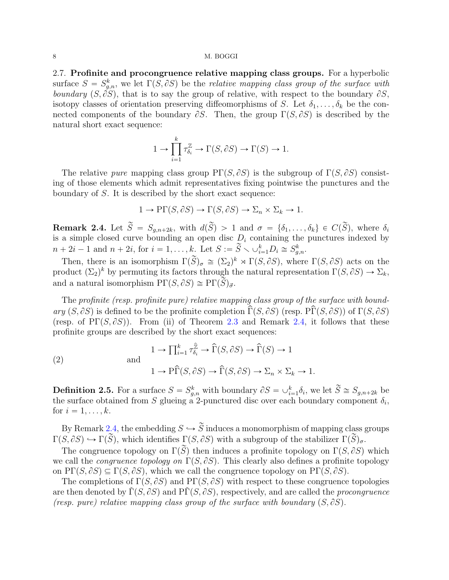<span id="page-7-3"></span>2.7. Profinite and procongruence relative mapping class groups. For a hyperbolic surface  $S = S_{g,n}^k$ , we let  $\Gamma(S, \partial S)$  be the relative mapping class group of the surface with boundary  $(S, \tilde{\partial}S)$ , that is to say the group of relative, with respect to the boundary  $\partial S$ , isotopy classes of orientation preserving diffeomorphisms of S. Let  $\delta_1, \ldots, \delta_k$  be the connected components of the boundary  $\partial S$ . Then, the group  $\Gamma(S, \partial S)$  is described by the natural short exact sequence:

$$
1 \to \prod_{i=1}^k \tau_{\delta_i}^{\mathbb{Z}} \to \Gamma(S, \partial S) \to \Gamma(S) \to 1.
$$

The relative pure mapping class group  $\Pr(S, \partial S)$  is the subgroup of  $\Gamma(S, \partial S)$  consisting of those elements which admit representatives fixing pointwise the punctures and the boundary of S. It is described by the short exact sequence:

$$
1 \to \text{P}\Gamma(S, \partial S) \to \Gamma(S, \partial S) \to \Sigma_n \times \Sigma_k \to 1.
$$

<span id="page-7-0"></span>**Remark 2.4.** Let  $\widetilde{S} = S_{g,n+2k}$ , with  $d(\widetilde{S}) > 1$  and  $\sigma = \{\delta_1, \ldots, \delta_k\} \in C(\widetilde{S})$ , where  $\delta_i$ is a simple closed curve bounding an open disc  $D_i$  containing the punctures indexed by  $n + 2i - 1$  and  $n + 2i$ , for  $i = 1, ..., k$ . Let  $S := \widetilde{S} \setminus \cup_{i=1}^k D_i \cong S_{g,n}^k$ .

Then, there is an isomorphism  $\Gamma(\widetilde{S})_{\sigma} \cong (\Sigma_2)^k \rtimes \Gamma(S, \partial S)$ , where  $\Gamma(S, \partial S)$  acts on the product  $(\Sigma_2)^k$  by permuting its factors through the natural representation  $\Gamma(S, \partial S) \to \Sigma_k$ , and a natural isomorphism  $\Pr(S, \partial S) \cong \Pr(\widetilde{S})_{\vec{\sigma}}$ .

The profinite (resp. profinite pure) relative mapping class group of the surface with boundary  $(S, \partial S)$  is defined to be the profinite completion  $\hat{\Gamma}(S, \partial S)$  (resp.  $\hat{\Pr}(S, \partial S)$ ) of  $\Gamma(S, \partial S)$ (resp. of PΓ $(S, \partial S)$ ). From (ii) of Theorem [2.3](#page-6-1) and Remark [2.4,](#page-7-0) it follows that these profinite groups are described by the short exact sequences:

<span id="page-7-1"></span>(2) 
$$
1 \to \prod_{i=1}^{k} \tau_{\delta_i}^{\widehat{\mathbb{Z}}} \to \widehat{\Gamma}(S, \partial S) \to \widehat{\Gamma}(S) \to 1
$$

$$
1 \to \widehat{\Gamma}(S, \partial S) \to \widehat{\Gamma}(S, \partial S) \to \Sigma_n \times \Sigma_k \to 1.
$$

<span id="page-7-2"></span>**Definition 2.5.** For a surface  $S = S_{g,n}^k$  with boundary  $\partial S = \bigcup_{i=1}^k \delta_i$ , we let  $\widetilde{S} \cong S_{g,n+2k}$  be the surface obtained from S glueing a 2-punctured disc over each boundary component  $\delta_i$ , for  $i = 1, \ldots, k$ .

By Remark [2.4,](#page-7-0) the embedding  $S \hookrightarrow \widetilde{S}$  induces a monomorphism of mapping class groups  $\Gamma(S, \partial S) \hookrightarrow \Gamma(\widetilde{S})$ , which identifies  $\Gamma(S, \partial S)$  with a subgroup of the stabilizer  $\Gamma(\widetilde{S})_{\sigma}$ .

The congruence topology on  $\Gamma(\widetilde{S})$  then induces a profinite topology on  $\Gamma(S, \partial S)$  which we call the *congruence topology on*  $\Gamma(S, \partial S)$ . This clearly also defines a profinite topology on  $\text{PT}(S, \partial S) \subseteq \Gamma(S, \partial S)$ , which we call the congruence topology on  $\text{PT}(S, \partial S)$ .

The completions of  $\Gamma(S, \partial S)$  and  $\text{PT}(S, \partial S)$  with respect to these congruence topologies are then denoted by  $\Gamma(S, \partial S)$  and  $\overline{\Pr}(S, \partial S)$ , respectively, and are called the procongruence (resp. pure) relative mapping class group of the surface with boundary  $(S, \partial S)$ .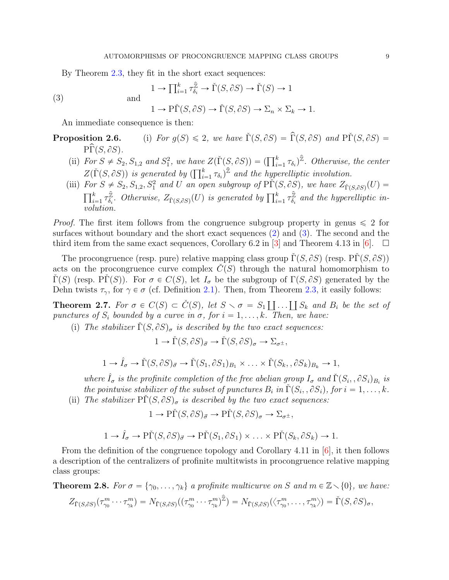<span id="page-8-3"></span>By Theorem [2.3,](#page-6-1) they fit in the short exact sequences:

$$
1 \to \prod_{i=1}^{k} \tau_{\delta_i}^{\hat{\mathbb{Z}}} \to \check{\Gamma}(S, \partial S) \to \check{\Gamma}(S) \to 1
$$

(3)

 $1 \to \tilde{\Pr}(S, \partial S) \to \tilde{\Gamma}(S, \partial S) \to \Sigma_n \times \Sigma_k \to 1.$ 

An immediate consequence is then:

<span id="page-8-0"></span>and

**Proposition 2.6.** (i) For  $g(S) \leq 2$ , we have  $\tilde{\Gamma}(S, \partial S) = \hat{\Gamma}(S, \partial S)$  and  $\tilde{\Gamma}(S, \partial S) =$  $\widehat{\Pr}(S, \partial S)$ .

- (ii) For  $S \neq S_2$ ,  $S_{1,2}$  and  $S_1^2$ , we have  $Z(\check{\Gamma}(S, \partial S)) = (\prod_{i=1}^k \tau_{\delta_i})^2$ . Otherwise, the center For  $S \neq S_2, S_{1,2}$  and  $S_1$ , we have<br> $Z(\check{\Gamma}(S, \partial S))$  is generated by  $(\prod_{i=1}^{k}S_i, \check{\Gamma}(S_i, \partial S))$  $\sum_{i=1}^k \tau_{\delta_i}$ )<sup> $\hat{\mathbb{Z}}$ </sup> and the hyperelliptic involution.
- (iii) For  $S \neq S_2, S_{1,2}, S_1^2$  and U an open subgroup of  $\widetilde{PT}(S, \partial S)$ , we have  $Z_{\widetilde{T}(S, \partial S)}(U)$  $\frac{1}{k}$  $\sum_{i=1}^k \tau_{\delta_i}^{\hat{\mathbb{Z}}}$  $\hat{\mathcal{L}}_{\delta_i}^{\hat{\mathbb{Z}}}$ . Otherwise,  $Z_{\check{\Gamma}(S,\partial S)}(U)$  is generated by  $\prod_{i=1}^k \tau_{\delta_i}^{\hat{\mathbb{Z}}}$  $\frac{\mathbb{Z}}{\delta_i}$  and the hyperelliptic involution.

*Proof.* The first item follows from the congruence subgroup property in genus  $\leq 2$  for surfaces without boundary and the short exact sequences [\(2\)](#page-7-1) and [\(3\)](#page-8-0). The second and the third item from the same exact sequences, Corollary 6.2 in [\[3\]](#page-50-1) and Theorem 4.13 in [\[6\]](#page-51-9).  $\square$ 

The procongruence (resp. pure) relative mapping class group  $\tilde{\Gamma}(S, \partial S)$  (resp.  $\tilde{\Gamma}(S, \partial S)$ ) acts on the procongruence curve complex  $C(S)$  through the natural homomorphism to  $\Gamma(S)$  (resp. P $\Gamma(S)$ ). For  $\sigma \in C(S)$ , let  $I_{\sigma}$  be the subgroup of  $\Gamma(S, \partial S)$  generated by the Dehn twists  $\tau_{\gamma}$ , for  $\gamma \in \sigma$  (cf. Definition [2.1\)](#page-5-0). Then, from Theorem [2.3,](#page-6-1) it easily follows:

<span id="page-8-1"></span>**Theorem 2.7.** For  $\sigma \in C(S) \subset \check{C}(S)$ , let  $S \setminus \sigma = S_1 \coprod ... \coprod S_k$  and  $B_i$  be the set of punctures of  $S_i$  bounded by a curve in  $\sigma$ , for  $i = 1, \ldots, k$ . Then, we have:

(i) The stabilizer  $\check{\Gamma}(S, \partial S)_{\sigma}$  is described by the two exact sequences:

$$
1 \to \check{\Gamma}(S, \partial S)_{\vec{\sigma}} \to \check{\Gamma}(S, \partial S)_{\sigma} \to \Sigma_{\sigma^{\pm}},
$$

$$
1 \to \hat{I}_{\sigma} \to \check{\Gamma}(S, \partial S)_{\vec{\sigma}} \to \check{\Gamma}(S_1, \partial S_1)_{B_1} \times \ldots \times \check{\Gamma}(S_k, \partial S_k)_{B_k} \to 1,
$$

where  $\hat{I}_{\sigma}$  is the profinite completion of the free abelian group  $I_{\sigma}$  and  $\check{\Gamma}(S_i, \partial S_i)_{B_i}$  is the pointwise stabilizer of the subset of punctures  $B_i$  in  $\check{\Gamma}(S_i, \partial S_i)$ , for  $i = 1, \ldots, k$ . (ii) The stabilizer  $\Pr(S, \partial S)_{\sigma}$  is described by the two exact sequences:

 $1 \to \tilde{\Gamma}(S, \partial S)_{\vec{\sigma}} \to \tilde{\Gamma}(S, \partial S)_{\sigma} \to \Sigma_{\sigma^{\pm}}$ ,

 $1 \rightarrow \hat{I}_{\sigma} \rightarrow P\check{\Gamma}(S, \partial S)_{\vec{\sigma}} \rightarrow P\check{\Gamma}(S_1, \partial S_1) \times \ldots \times P\check{\Gamma}(S_k, \partial S_k) \rightarrow 1.$ 

From the definition of the congruence topology and Corollary 4.11 in [\[6\]](#page-51-9), it then follows a description of the centralizers of profinite multitwists in procongruence relative mapping class groups:

<span id="page-8-2"></span>**Theorem 2.8.** For  $\sigma = \{\gamma_0, \ldots, \gamma_k\}$  a profinite multicurve on S and  $m \in \mathbb{Z}\setminus\{0\}$ , we have:

$$
Z_{\check{\Gamma}(S,\partial S)}(\tau_{\gamma_0}^m \cdots \tau_{\gamma_k}^m) = N_{\check{\Gamma}(S,\partial S)}((\tau_{\gamma_0}^m \cdots \tau_{\gamma_k}^m)^{\hat{\mathbb{Z}}}) = N_{\check{\Gamma}(S,\partial S)}(\langle \tau_{\gamma_0}^m, \ldots, \tau_{\gamma_k}^m \rangle) = \check{\Gamma}(S,\partial S)_{\sigma},
$$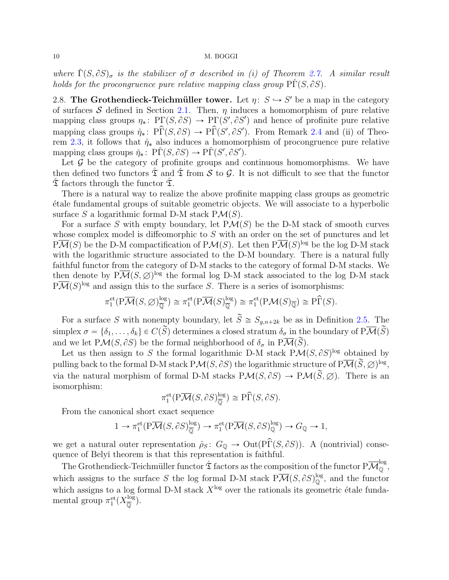where  $\tilde{\Gamma}(S, \partial S)_{\sigma}$  is the stabilizer of  $\sigma$  described in (i) of Theorem [2.7.](#page-8-1) A similar result holds for the procongruence pure relative mapping class group  $\tilde{\Gamma}(S, \partial S)$ .

<span id="page-9-0"></span>2.8. The Grothendieck-Teichmüller tower. Let  $\eta: S \hookrightarrow S'$  be a map in the category of surfaces S defined in Section [2.1.](#page-4-0) Then,  $\eta$  induces a homomorphism of pure relative mapping class groups  $\eta_*\colon \operatorname{PT}(S, \partial S) \to \operatorname{PT}(S', \partial S')$  and hence of profinite pure relative mapping class groups  $\hat{\eta}_*$ :  $\hat{\text{PP}(S, \partial S)} \rightarrow \hat{\text{PP}(S', \partial S')}$ . From Remark [2.4](#page-7-0) and (ii) of Theo-rem [2.3,](#page-6-1) it follows that  $\hat{\eta}_{*}$  also induces a homomorphism of procongruence pure relative mapping class groups  $\check{\eta}_*$ :  $\check{\mathrm{PI}}(S, \partial S) \to \check{\mathrm{PI}}(S', \partial S').$ 

Let  $G$  be the category of profinite groups and continuous homomorphisms. We have then defined two functors  $\tilde{\mathfrak{T}}$  and  $\tilde{\mathfrak{T}}$  from S to G. It is not difficult to see that the functor  $\mathfrak T$  factors through the functor  $\mathfrak T$ .

There is a natural way to realize the above profinite mapping class groups as geometric ´etale fundamental groups of suitable geometric objects. We will associate to a hyperbolic surface S a logarithmic formal D-M stack  $P\mathcal{M}(S)$ .

For a surface S with empty boundary, let  $P\mathcal{M}(S)$  be the D-M stack of smooth curves whose complex model is diffeomorphic to S with an order on the set of punctures and let  $P\overline{\mathcal{M}}(S)$  be the D-M compactification of  $P\mathcal{M}(S)$ . Let then  $P\overline{\mathcal{M}}(S)^{\log}$  be the log D-M stack with the logarithmic structure associated to the D-M boundary. There is a natural fully faithful functor from the category of D-M stacks to the category of formal D-M stacks. We then denote by  $P\overline{\mathcal{M}}(S,\varnothing)^{\log}$  the formal log D-M stack associated to the log D-M stack  $P\overline{\mathcal{M}}(S)^{\log}$  and assign this to the surface S. There is a series of isomorphisms:

$$
\pi_1^{\text{et}}(\mathrm{P}\overline{\mathcal{M}}(S,\varnothing)^{\log}_{\overline{\mathbb{Q}}})\cong \pi_1^{\text{et}}(\mathrm{P}\overline{\mathcal{M}}(S)^{\log}_{\overline{\mathbb{Q}}})\cong \pi_1^{\text{et}}(\mathrm{P}\mathcal{M}(S)_{\overline{\mathbb{Q}}})\cong \mathrm{P}\widehat{\Gamma}(S).
$$

For a surface S with nonempty boundary, let  $\widetilde{S} \cong S_{g,n+2k}$  be as in Definition [2.5.](#page-7-2) The simplex  $\sigma = \{\delta_1, \ldots, \delta_k\} \in C(\widetilde{S})$  determines a closed stratum  $\delta_{\sigma}$  in the boundary of  $P\overline{\mathcal{M}}(\widetilde{S})$ and we let  $P\mathcal{M}(S, \partial S)$  be the formal neighborhood of  $\delta_{\sigma}$  in  $P\overline{\mathcal{M}}(\widetilde{S})$ .

Let us then assign to S the formal logarithmic D-M stack  $P\mathcal{M}(S,\partial S)^{\log}$  obtained by pulling back to the formal D-M stack  $P\mathcal{M}(S, \partial S)$  the logarithmic structure of  $P\overline{\mathcal{M}}(\widetilde{S}, \varnothing)^{\log},$ via the natural morphism of formal D-M stacks  $P\mathcal{M}(S, \partial S) \to P\mathcal{M}(\widetilde{S}, \emptyset)$ . There is an isomorphism:

$$
\pi_1^{\text{et}}(\mathrm{P}\overline{\mathcal{M}}(S,\partial S)_{\overline{\mathbb{Q}}}^{\log}) \cong \mathrm{P}\widehat{\Gamma}(S,\partial S).
$$

From the canonical short exact sequence

$$
1 \to \pi_1^{\text{et}}(\mathrm{P}\overline{\mathcal{M}}(S, \partial S)^{\log}_{\overline{\mathbb{Q}}}) \to \pi_1^{\text{et}}(\mathrm{P}\overline{\mathcal{M}}(S, \partial S)^{\log}_{\mathbb{Q}}) \to G_{\mathbb{Q}} \to 1,
$$

we get a natural outer representation  $\hat{\rho}_S$ :  $G_{\mathbb{Q}} \to \text{Out}(\widehat{P}\widehat{\Gamma}(S, \partial S))$ . A (nontrivial) consequence of Belyĭ theorem is that this representation is faithful.

The Grothendieck-Teichmüller functor  $\hat{\mathfrak{T}}$  factors as the composition of the functor  $P\overline{\mathcal{M}}_0^{\log}$ , which assigns to the surface S the log formal D-M stack  $P\overline{\mathcal{M}}(S, \partial S)_{\mathbb{Q}}^{\log}$ , and the functor which assigns to a log formal D-M stack  $X^{\log}$  over the rationals its geometric étale fundamental group  $\pi_1^{\text{et}}(X_{\overline{0}}^{\log})$  $\frac{\log}{\overline{Q}}$ ).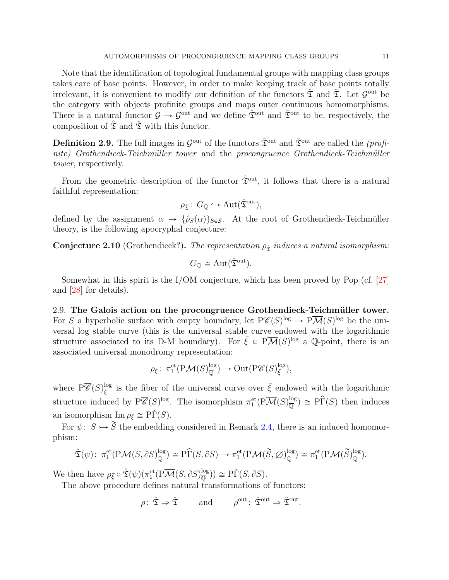<span id="page-10-1"></span>Note that the identification of topological fundamental groups with mapping class groups takes care of base points. However, in order to make keeping track of base points totally irrelevant, it is convenient to modify our definition of the functors  $\hat{\mathfrak{T}}$  and  $\check{\mathfrak{T}}$ . Let  $\mathcal{G}^{\text{out}}$  be the category with objects profinite groups and maps outer continuous homomorphisms. There is a natural functor  $\mathcal{G} \to \mathcal{G}^{out}$  and we define  $\hat{\mathfrak{T}}^{out}$  and  $\check{\mathfrak{T}}^{out}$  to be, respectively, the composition of  $\hat{\mathfrak{T}}$  and  $\check{\mathfrak{T}}$  with this functor.

**Definition 2.9.** The full images in  $\mathcal{G}^{\text{out}}$  of the functors  $\hat{\mathcal{X}}^{\text{out}}$  and  $\check{\mathcal{X}}^{\text{out}}$  are called the *(profi*nite) Grothendieck-Teichmüller tower and the procongruence Grothendieck-Teichmüller tower, respectively.

From the geometric description of the functor  $\hat{\mathfrak{T}}^{\text{out}}$ , it follows that there is a natural faithful representation:

$$
\rho_{\hat{\mathfrak{T}}}\colon G_{\mathbb{Q}} \hookrightarrow \mathrm{Aut}(\hat{\mathfrak{T}}^{\mathrm{out}}),
$$

defined by the assignment  $\alpha \mapsto {\hat{\rho}_S(\alpha)}_{S \in \mathcal{S}}$ . At the root of Grothendieck-Teichmüller theory, is the following apocryphal conjecture:

<span id="page-10-0"></span>**Conjecture 2.10** (Grothendieck?). The representation  $\rho_{\hat{\tau}}$  induces a natural isomorphism:

$$
G_{\mathbb{Q}} \cong \mathrm{Aut}(\hat{\mathfrak{T}}^{\mathrm{out}}).
$$

Somewhat in this spirit is the I/OM conjecture, which has been proved by Pop (cf.  $[27]$ ) and [\[28\]](#page-52-3) for details).

2.9. The Galois action on the procongruence Grothendieck-Teichmüller tower. For S a hyperbolic surface with empty boundary, let  $P\overline{\mathscr{C}}(S)^{\log} \to P\overline{\mathcal{M}}(S)^{\log}$  be the universal log stable curve (this is the universal stable curve endowed with the logarithmic structure associated to its D-M boundary). For  $\bar{\xi} \in P\overline{\mathcal{M}}(S)^{\log}$  a  $\overline{\mathbb{Q}}$ -point, there is an associated universal monodromy representation:

$$
\rho_{\bar{\xi}} \colon \pi_1^{\mathrm{et}}(\mathrm{P}\overline{\mathcal{M}}(S)_{\overline{\mathbb{Q}}}^{\log}) \to \mathrm{Out}(\mathrm{P}\overline{\mathscr{C}}(S)_{\bar{\xi}}^{\log}),
$$

where  $P\overline{\mathscr{C}}(S)^{\log}_{\overline{\mathscr{E}}}$  $\overline{\xi}$  is the fiber of the universal curve over  $\overline{\xi}$  endowed with the logarithmic structure induced by  $P\overline{\mathscr{C}}(S)^{log}$ . The isomorphism  $\pi_1^{\text{et}}(P\overline{\mathcal{M}}(S)^{log}_{\overline{0}})$  $\frac{\log p}{\overline{Q}} \cong \widehat{\text{P}\Gamma}(S)$  then induces an isomorphism  $\text{Im } \rho_{\bar{\varepsilon}} \cong \text{P}\check{\Gamma}(S)$ .

For  $\psi: S \hookrightarrow \tilde{S}$  the embedding considered in Remark [2.4,](#page-7-0) there is an induced homomorphism:

$$
\hat{\mathfrak{T}}(\psi) \colon \pi_1^{\text{et}}(\mathrm{P}\overline{\mathcal{M}}(S, \partial S)^{\log}_{\overline{\mathbb{Q}}}) \cong \mathrm{P}\widehat{\Gamma}(S, \partial S) \to \pi_1^{\text{et}}(\mathrm{P}\overline{\mathcal{M}}(\widetilde{S}, \varnothing)^{\log}_{\overline{\mathbb{Q}}}) \cong \pi_1^{\text{et}}(\mathrm{P}\overline{\mathcal{M}}(\widetilde{S})^{\log}_{\overline{\mathbb{Q}}}).
$$

We then have  $\rho_{\bar{\xi}} \circ \hat{\mathfrak{T}}(\psi) (\pi_1^{\text{et}}(P\overline{\mathcal{M}}(S, \partial S)^{\log}_{\overline{\mathbb{Q}}}$  $\frac{\log p}{\overline{p}}) \cong \overline{P}\check{\Gamma}(S, \partial S).$ 

The above procedure defines natural transformations of functors:

$$
\rho: \hat{\mathfrak{T}} \Rightarrow \check{\mathfrak{T}} \quad \text{and} \quad \rho^{\text{out}}: \hat{\mathfrak{T}}^{\text{out}} \Rightarrow \check{\mathfrak{T}}^{\text{out}}
$$

.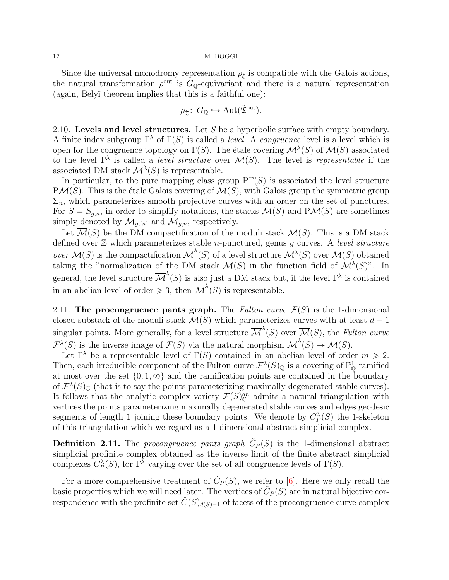<span id="page-11-1"></span>Since the universal monodromy representation  $\rho_{\bar{\varepsilon}}$  is compatible with the Galois actions, the natural transformation  $\rho^{\text{out}}$  is  $G_{\mathbb{Q}}$ -equivariant and there is a natural representation (again, Belyˇı theorem implies that this is a faithful one):

$$
\rho_{\tilde{\mathfrak{T}}}\colon G_{\mathbb{Q}} \hookrightarrow \mathrm{Aut}(\check{\mathfrak{T}}^{\mathrm{out}}).
$$

2.10. Levels and level structures. Let S be a hyperbolic surface with empty boundary. A finite index subgroup  $\Gamma^{\lambda}$  of  $\Gamma(S)$  is called a *level*. A *congruence* level is a level which is open for the congruence topology on  $\Gamma(S)$ . The étale covering  $\mathcal{M}^{\lambda}(S)$  of  $\mathcal{M}(S)$  associated to the level  $\Gamma^{\lambda}$  is called a *level structure* over  $\mathcal{M}(S)$ . The level is *representable* if the associated DM stack  $\mathcal{M}^{\lambda}(S)$  is representable.

In particular, to the pure mapping class group  $PT(S)$  is associated the level structure  $P\mathcal{M}(S)$ . This is the étale Galois covering of  $\mathcal{M}(S)$ , with Galois group the symmetric group  $\Sigma_n$ , which parameterizes smooth projective curves with an order on the set of punctures. For  $S = S_{g,n}$ , in order to simplify notations, the stacks  $\mathcal{M}(S)$  and P $\mathcal{M}(S)$  are sometimes simply denoted by  $\mathcal{M}_{g,[n]}$  and  $\mathcal{M}_{g,n}$ , respectively.

Let  $\overline{\mathcal{M}}(S)$  be the DM compactification of the moduli stack  $\mathcal{M}(S)$ . This is a DM stack defined over  $\mathbb Z$  which parameterizes stable *n*-punctured, genus g curves. A level structure over  $\overline{\mathcal{M}}(S)$  is the compactification  $\overline{\mathcal{M}}^{\lambda}(S)$  of a level structure  $\mathcal{M}^{\lambda}(S)$  over  $\mathcal{M}(S)$  obtained taking the "normalization of the DM stack  $\overline{\mathcal{M}}(S)$  in the function field of  $\mathcal{M}^{\lambda}(S)$ ". In general, the level structure  $\overline{\mathcal{M}}^{\lambda}(S)$  is also just a DM stack but, if the level  $\Gamma^{\lambda}$  is contained in an abelian level of order  $\geq 3$ , then  $\overline{\mathcal{M}}^{\lambda}(S)$  is representable.

<span id="page-11-0"></span>2.11. The procongruence pants graph. The Fulton curve  $\mathcal{F}(S)$  is the 1-dimensional closed substack of the moduli stack  $\overline{\mathcal{M}}(S)$  which parameterizes curves with at least  $d - 1$ singular points. More generally, for a level structure  $\overline{\mathcal{M}}^{\lambda}(S)$  over  $\overline{\mathcal{M}}(S)$ , the Fulton curve  $\mathcal{F}^{\lambda}(S)$  is the inverse image of  $\mathcal{F}(S)$  via the natural morphism  $\overline{\mathcal{M}}^{\lambda}(S) \to \overline{\mathcal{M}}(S)$ .

Let  $\Gamma^{\lambda}$  be a representable level of  $\Gamma(S)$  contained in an abelian level of order  $m \geq 2$ . Then, each irreducible component of the Fulton curve  $\mathcal{F}^{\lambda}(S)_{\mathbb{Q}}$  is a covering of  $\mathbb{P}^1_{\mathbb{Q}}$  ramified at most over the set  $\{0, 1, \infty\}$  and the ramification points are contained in the boundary of  $\mathcal{F}^{\lambda}(S)_{\mathbb{Q}}$  (that is to say the points parameterizing maximally degenerated stable curves). It follows that the analytic complex variety  $\mathcal{F}(S)^{an}_{\mathbb{C}}$  admits a natural triangulation with vertices the points parameterizing maximally degenerated stable curves and edges geodesic segments of length 1 joining these boundary points. We denote by  $C_P^{\lambda}(S)$  the 1-skeleton of this triangulation which we regard as a 1-dimensional abstract simplicial complex.

**Definition 2.11.** The procongruence pants graph  $\check{C}_P(S)$  is the 1-dimensional abstract simplicial profinite complex obtained as the inverse limit of the finite abstract simplicial complexes  $C_P^{\lambda}(S)$ , for  $\Gamma^{\lambda}$  varying over the set of all congruence levels of  $\Gamma(S)$ .

For a more comprehensive treatment of  $\check{C}_P(S)$ , we refer to [\[6\]](#page-51-9). Here we only recall the basic properties which we will need later. The vertices of  $\check{C}_P(S)$  are in natural bijective correspondence with the profinite set  $\check{C}(S)_{d(S)-1}$  of facets of the procongruence curve complex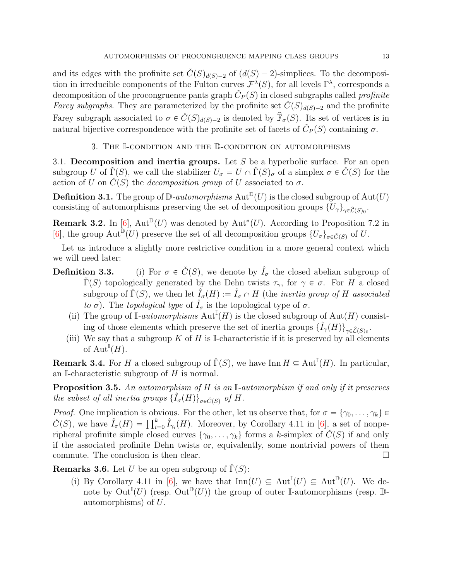<span id="page-12-2"></span>and its edges with the profinite set  $\check{C}(S)_{d(S)-2}$  of  $(d(S)-2)$ -simplices. To the decomposition in irreducible components of the Fulton curves  $\mathcal{F}^{\lambda}(S)$ , for all levels  $\Gamma^{\lambda}$ , corresponds a decomposition of the procongruence pants graph  $\check{C}_P(S)$  in closed subgraphs called profinite Farey subgraphs. They are parameterized by the profinite set  $\check{C}(S)_{d(S)-2}$  and the profinite Farey subgraph associated to  $\sigma \in C(S)_{d(S)-2}$  is denoted by  $\widehat{\mathbb{F}}_{\sigma}(S)$ . Its set of vertices is in natural bijective correspondence with the profinite set of facets of  $\check{C}_P(S)$  containing  $\sigma$ .

### 3. The I-condition and the D-condition on automorphisms

3.1. Decomposition and inertia groups. Let  $S$  be a hyperbolic surface. For an open subgroup U of  $\check{\Gamma}(S)$ , we call the stabilizer  $U_{\sigma} = U \cap \check{\Gamma}(S)_{\sigma}$  of a simplex  $\sigma \in \check{C}(S)$  for the action of U on  $\check{C}(S)$  the *decomposition group* of U associated to  $\sigma$ .

**Definition 3.1.** The group of  $\mathbb{D}\text{-}automorphisms$   $\text{Aut}^{\mathbb{D}}(U)$  is the closed subgroup of  $\text{Aut}(U)$ consisting of automorphisms preserving the set of decomposition groups  $\{U_{\gamma}\}_{\gamma \in \widehat{\mathcal{L}}(S)_{0}}$ .

**Remark 3.2.** In [\[6\]](#page-51-9),  $Aut^{\mathbb{D}}(U)$  was denoted by  $Aut^*(U)$ . According to Proposition 7.2 in [\[6\]](#page-51-9), the group  $\text{Aut}^{\mathbb{D}}(U)$  preserve the set of all decomposition groups  $\{U_{\sigma}\}_{{\sigma}\in\tilde{C}(S)}$  of U.

Let us introduce a slightly more restrictive condition in a more general context which we will need later:

- **Definition 3.3.** (i) For  $\sigma \in \check{C}(S)$ , we denote by  $\hat{I}_{\sigma}$  the closed abelian subgroup of  $\check{\Gamma}(S)$  topologically generated by the Dehn twists  $\tau_{\gamma}$ , for  $\gamma \in \sigma$ . For H a closed subgroup of  $\check{\Gamma}(S)$ , we then let  $\hat{I}_{\sigma}(H) := \hat{I}_{\sigma} \cap H$  (the *inertia group of H associated* to  $\sigma$ ). The topological type of  $\hat{I}_{\sigma}$  is the topological type of  $\sigma$ .
	- (ii) The group of  $\mathbb{I}\text{-}automorphisms$   $\text{Aut}^{\mathbb{I}}(H)$  is the closed subgroup of  $\text{Aut}(H)$  consisting of those elements which preserve the set of inertia groups  $\{\hat{I}_{\gamma}(H)\}_{\gamma \in \hat{\mathcal{L}}(S)_{0}}$ .
	- (iii) We say that a subgroup K of H is I-characteristic if it is preserved by all elements of  $\mathrm{Aut}^{\mathbb{I}}(H)$ .

**Remark 3.4.** For H a closed subgroup of  $\check{\Gamma}(S)$ , we have Inn  $H \subseteq \text{Aut}^{\mathbb{I}}(H)$ . In particular, an I-characteristic subgroup of  $H$  is normal.

<span id="page-12-1"></span>**Proposition 3.5.** An automorphism of  $H$  is an I-automorphism if and only if it preserves the subset of all inertia groups  $\{\hat{I}_{\sigma}(H)\}_{\sigma \in \check{C}(S)}$  of H.

*Proof.* One implication is obvious. For the other, let us observe that, for  $\sigma = {\gamma_0, \ldots, \gamma_k} \in \tilde{C}(S)$ , we have  $\hat{I}_{\sigma}(H) = \prod_{i=0}^{k} \hat{I}_{\gamma_i}(H)$ . Moreover, by Corollary 4.11 in [\[6\]](#page-51-9), a set of nonperipheral profinite simple closed curves  $\{\gamma_0, \ldots, \gamma_k\}$  forms a k-simplex of  $\check{C}(S)$  if and only if the associated profinite Dehn twists or, equivalently, some nontrivial powers of them commute. The conclusion is then clear.

<span id="page-12-0"></span>**Remarks 3.6.** Let U be an open subgroup of  $\Gamma(S)$ :

(i) By Corollary 4.11 in [\[6\]](#page-51-9), we have that  $\text{Inn}(U) \subseteq \text{Aut}^{\mathbb{I}}(U) \subseteq \text{Aut}^{\mathbb{D}}(U)$ . We denote by  $\mathrm{Out}^{\mathbb{I}}(U)$  (resp.  $\mathrm{Out}^{\mathbb{D}}(U)$ ) the group of outer I-automorphisms (resp. Dautomorphisms) of U.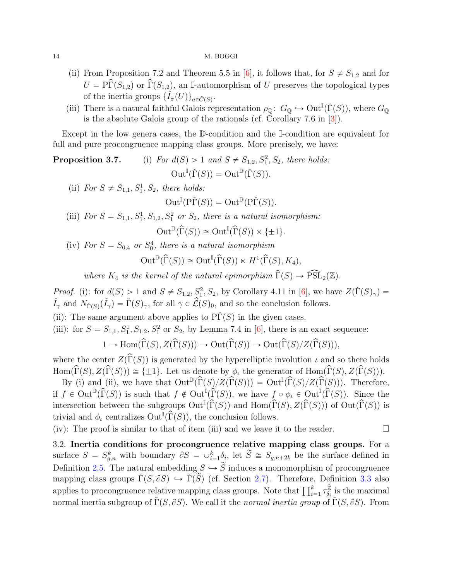- <span id="page-13-1"></span>(ii) From Proposition 7.2 and Theorem 5.5 in [\[6\]](#page-51-9), it follows that, for  $S \neq S_{1,2}$  and for  $U = \hat{\Gamma}(S_{1,2})$  or  $\hat{\Gamma}(S_{1,2})$ , an I-automorphism of U preserves the topological types of the inertia groups  $\{\hat{I}_{\sigma}(U)\}_{\sigma \in \check{C}(S)}$ .
- (iii) There is a natural faithful Galois representation  $\rho_{\mathbb{Q}}\colon G_{\mathbb{Q}} \hookrightarrow \mathrm{Out}^{\mathbb{I}}(\check{\Gamma}(S)),$  where  $G_{\mathbb{Q}}$ is the absolute Galois group of the rationals (cf. Corollary 7.6 in [\[3\]](#page-50-1)).

Except in the low genera cases, the D-condition and the I-condition are equivalent for full and pure procongruence mapping class groups. More precisely, we have:

- **Proposition 3.7.** (i) For  $d(S) > 1$  and  $S \neq S_{1,2}, S_1^2, S_2$ , there holds:  $\mathrm{Out}^{\mathbb{I}}(\check{\Gamma}(S)) = \mathrm{Out}^{\mathbb{D}}(\check{\Gamma}(S)).$ 
	- (ii) For  $S \neq S_{1,1}, S_1^1, S_2$ , there holds:

$$
Out^{\mathbb{I}}(\mathrm{P}\check{\Gamma}(S)) = Out^{\mathbb{D}}(\mathrm{P}\check{\Gamma}(S)).
$$

(iii) For  $S = S_{1,1}, S_1^1, S_{1,2}, S_1^2$  or  $S_2$ , there is a natural isomorphism:

 $\mathrm{Out}^{\mathbb{D}}(\widehat{\Gamma}(S)) \cong \mathrm{Out}^{\mathbb{I}}(\widehat{\Gamma}(S)) \times \{\pm 1\}.$ 

(iv) For  $S = S_{0,4}$  or  $S_0^4$ , there is a natural isomorphism

$$
\operatorname{Out}^{\mathbb{D}}(\widehat{\Gamma}(S)) \cong \operatorname{Out}^{\mathbb{I}}(\widehat{\Gamma}(S)) \ltimes H^1(\widehat{\Gamma}(S), K_4),
$$

where  $K_4$  is the kernel of the natural epimorphism  $\widehat{\Gamma}(S) \to \widehat{\mathrm{PSL}}_2(\mathbb{Z})$ .

*Proof.* (i): for  $d(S) > 1$  and  $S \neq S_{1,2}, S_1^2, S_2$ , by Corollary 4.11 in [\[6\]](#page-51-9), we have  $Z(\check{\Gamma}(S)_{\gamma}) =$  $\hat{I}_{\gamma}$  and  $N_{\check{\Gamma}(S)}(\hat{I}_{\gamma}) = \check{\Gamma}(S)_{\gamma}$ , for all  $\gamma \in \hat{\mathcal{L}}(S)_0$ , and so the conclusion follows.

- (ii): The same argument above applies to  $\tilde{\Gamma}(S)$  in the given cases.
- (iii): for  $S = S_{1,1}, S_1^1, S_{1,2}, S_1^2$  or  $S_2$ , by Lemma 7.4 in [\[6\]](#page-51-9), there is an exact sequence:

$$
1 \to \mathrm{Hom}(\widehat{\Gamma}(S), Z(\widehat{\Gamma}(S))) \to \mathrm{Out}(\widehat{\Gamma}(S)) \to \mathrm{Out}(\widehat{\Gamma}(S)/Z(\widehat{\Gamma}(S))),
$$

where the center  $Z(\widehat{\Gamma}(S))$  is generated by the hyperelliptic involution  $\iota$  and so there holds  $\text{Hom}(\widehat{\Gamma}(S), Z(\widehat{\Gamma}(S))) \cong \{\pm 1\}.$  Let us denote by  $\phi_{\iota}$  the generator of  $\text{Hom}(\widehat{\Gamma}(S), Z(\widehat{\Gamma}(S))).$ 

By (i) and (ii), we have that  $\text{Out}^{\mathbb{D}}(\widehat{\Gamma}(S)/Z(\widehat{\Gamma}(S))) = \text{Out}^{\mathbb{I}}(\widehat{\Gamma}(S)/Z(\widehat{\Gamma}(S)))$ . Therefore, if  $f \in \text{Out}^{\mathbb{D}}(\widehat{\Gamma}(S))$  is such that  $f \notin \text{Out}^{\mathbb{I}}(\widehat{\Gamma}(S))$ , we have  $f \circ \phi_{\iota} \in \text{Out}^{\mathbb{I}}(\widehat{\Gamma}(S))$ . Since the intersection between the subgroups  $\text{Out}^{\mathbb{I}}(\hat{\Gamma}(S))$  and  $\text{Hom}(\hat{\Gamma}(S), Z(\hat{\Gamma}(S)))$  of  $\text{Out}(\hat{\Gamma}(S))$  is trivial and  $\phi_{\iota}$  centralizes  $\mathrm{Out}^{\mathbb{I}}(\widehat{\Gamma}(S)),$  the conclusion follows.

(iv): The proof is similar to that of item (iii) and we leave it to the reader.  $\Box$ 

<span id="page-13-0"></span>3.2. Inertia conditions for procongruence relative mapping class groups. For a surface  $S = S_{g,n}^k$  with boundary  $\partial S = \bigcup_{i=1}^k \delta_i$ , let  $\widetilde{S} \cong S_{g,n+2k}$  be the surface defined in Definition [2.5.](#page-7-2) The natural embedding  $S \hookrightarrow \tilde{S}$  induces a monomorphism of procongruence mapping class groups  $\check{\Gamma}(S, \partial S) \hookrightarrow \check{\Gamma}(\check{S})$  (cf. Section [2.7\)](#page-7-3). Therefore, Definition [3.3](#page-0-0) also mapping class groups  $I(S, \mathcal{O}s) \hookrightarrow I(S)$  (cf. Section 2.7). Therefore, Definitionally applies to procongruence relative mapping class groups. Note that  $\prod_{i=1}^{k} \tau_{\delta_i}^{\hat{Z}}$  $\frac{\mathbb{Z}}{\delta_i}$  is the maximal normal inertia subgroup of  $\check{\Gamma}(S, \partial S)$ . We call it the normal inertia group of  $\check{\Gamma}(S, \partial S)$ . From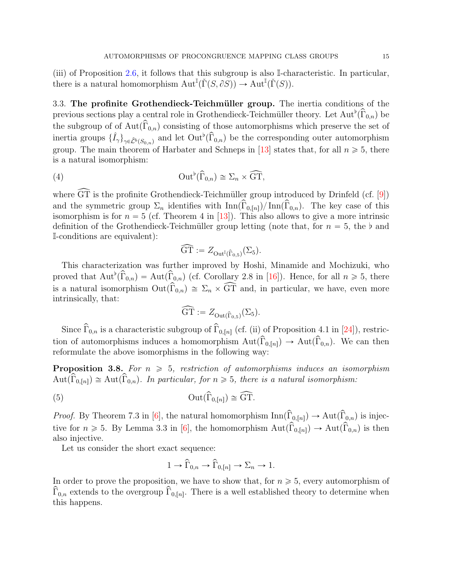<span id="page-14-2"></span>(iii) of Proposition [2.6,](#page-0-0) it follows that this subgroup is also I-characteristic. In particular, there is a natural homomorphism  $\mathrm{Aut}^{\mathbb{I}}(\check{\Gamma}(S, \partial S)) \to \mathrm{Aut}^{\mathbb{I}}(\check{\Gamma}(S)).$ 

3.3. The profinite Grothendieck-Teichmüller group. The inertia conditions of the previous sections play a central role in Grothendieck-Teichmüller theory. Let  $\text{Aut}^{\flat}(\widehat{\Gamma}_{0,n})$  be the subgroup of of Aut $(\hat{\Gamma}_{0,n})$  consisting of those automorphisms which preserve the set of inertia groups  $\{\hat{I}_{\gamma}\}_{{\gamma \in \hat{\mathcal{L}}^b(S_{0,n})}}$  and let  $\text{Out}^{\flat}(\widehat{\Gamma}_{0,n})$  be the corresponding outer automorphism group. The main theorem of Harbater and Schneps in [\[13\]](#page-51-5) states that, for all  $n \geq 5$ , there is a natural isomorphism:

(4) 
$$
\operatorname{Out}^{\flat}(\widehat{\Gamma}_{0,n}) \cong \Sigma_n \times \widehat{\operatorname{GT}},
$$

where  $\widehat{GT}$  is the profinite Grothendieck-Teichmüller group introduced by Drinfeld (cf. [[9\]](#page-51-4)) and the symmetric group  $\Sigma_n$  identifies with  $\text{Inn}(\widehat{\Gamma}_{0,n})/\text{Inn}(\widehat{\Gamma}_{0,n})$ . The key case of this isomorphism is for  $n = 5$  (cf. Theorem 4 in [\[13\]](#page-51-5)). This also allows to give a more intrinsic definition of the Grothendieck-Teichmüller group letting (note that, for  $n = 5$ , the  $\flat$  and I-conditions are equivalent):

<span id="page-14-1"></span>
$$
\widehat{\mathrm{GT}} := Z_{\mathrm{Out}^{\mathbb{I}}(\widehat{\Gamma}_{0,5})}(\Sigma_5).
$$

This characterization was further improved by Hoshi, Minamide and Mochizuki, who proved that  $\text{Aut}^{\flat}(\widehat{\Gamma}_{0,n}) = \text{Aut}(\widehat{\Gamma}_{0,n})$  (cf. Corollary 2.8 in [\[16\]](#page-51-7)). Hence, for all  $n \geq 5$ , there is a natural isomorphism  $Out(\widehat{\Gamma}_{0,n}) \cong \Sigma_n \times \widehat{GT}$  and, in particular, we have, even more intrinsically, that:

$$
\widehat{\mathrm{GT}} := Z_{\mathrm{Out}(\widehat{\Gamma}_{0,5})}(\Sigma_5).
$$

Since  $\widehat{\Gamma}_{0,n}$  is a characteristic subgroup of  $\widehat{\Gamma}_{0,[n]}$  (cf. (ii) of Proposition 4.1 in [\[24\]](#page-51-14)), restriction of automorphisms induces a homomorphism  $Aut(\hat{\Gamma}_{0,[n]}) \to Aut(\hat{\Gamma}_{0,n})$ . We can then reformulate the above isomorphisms in the following way:

<span id="page-14-0"></span>**Proposition 3.8.** For  $n \geq 5$ , restriction of automorphisms induces an isomorphism  $\text{Aut}(\widehat{\Gamma}_{0,[n]}) \cong \text{Aut}(\widehat{\Gamma}_{0,n})$ . In particular, for  $n \geq 5$ , there is a natural isomorphism:

(5) 
$$
\operatorname{Out}(\widehat{\Gamma}_{0,[n]}) \cong \widehat{\operatorname{GT}}.
$$

*Proof.* By Theorem 7.3 in [\[6\]](#page-51-9), the natural homomorphism  $\text{Inn}(\hat{\Gamma}_{0,[n]}) \to \text{Aut}(\hat{\Gamma}_{0,n})$  is injective for  $n \geq 5$ . By Lemma 3.3 in [\[6\]](#page-51-9), the homomorphism  $\text{Aut}(\widehat{\Gamma}_{0,\lfloor n\rfloor}) \to \text{Aut}(\widehat{\Gamma}_{0,n})$  is then also injective.

Let us consider the short exact sequence:

$$
1 \to \widehat{\Gamma}_{0,n} \to \widehat{\Gamma}_{0,[n]} \to \Sigma_n \to 1.
$$

In order to prove the proposition, we have to show that, for  $n \geq 5$ , every automorphism of  $\widehat{\Gamma}_{0,n}$  extends to the overgroup  $\widehat{\Gamma}_{0,[n]}$ . There is a well established theory to determine when this happens.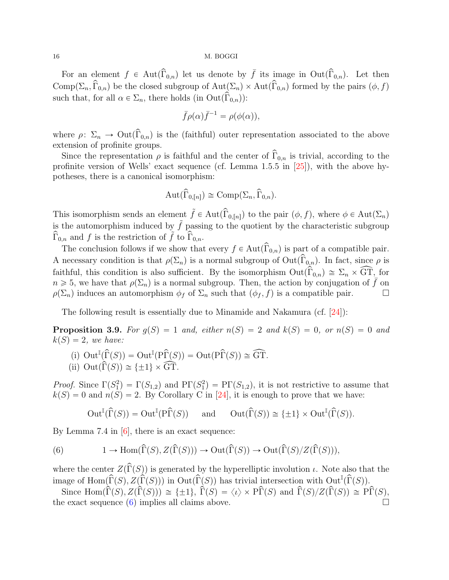<span id="page-15-2"></span>For an element  $f \in Aut(\widehat{\Gamma}_{0,n})$  let us denote by  $\overline{f}$  its image in Out $(\widehat{\Gamma}_{0,n})$ . Let then  $Comp(\Sigma_n, \widehat{\Gamma}_{0,n})$  be the closed subgroup of  $Aut(\Sigma_n) \times Aut(\widehat{\Gamma}_{0,n})$  formed by the pairs  $(\phi, f)$ such that, for all  $\alpha \in \Sigma_n$ , there holds (in Out $(\widehat{\Gamma}_{0,n})$ ):

$$
\bar{f}\rho(\alpha)\bar{f}^{-1} = \rho(\phi(\alpha)),
$$

where  $\rho: \Sigma_n \to \mathrm{Out}(\widehat{\Gamma}_{0,n})$  is the (faithful) outer representation associated to the above extension of profinite groups.

Since the representation  $\rho$  is faithful and the center of  $\hat{\Gamma}_{0,n}$  is trivial, according to the profinite version of Wells' exact sequence (cf. Lemma 1.5.5 in [\[25\]](#page-51-15)), with the above hypotheses, there is a canonical isomorphism:

$$
Aut(\widehat{\Gamma}_{0,[n]}) \cong Comp(\Sigma_n, \widehat{\Gamma}_{0,n}).
$$

This isomorphism sends an element  $\tilde{f} \in Aut(\hat{\Gamma}_{0,[n]})$  to the pair  $(\phi, f)$ , where  $\phi \in Aut(\Sigma_n)$ is the automorphism induced by  $\tilde{f}$  passing to the quotient by the characteristic subgroup  $\Gamma_{0,n}$  and f is the restriction of f to  $\Gamma_{0,n}$ .

The conclusion follows if we show that every  $f \in Aut(\widehat{\Gamma}_{0,n})$  is part of a compatible pair. A necessary condition is that  $\rho(\Sigma_n)$  is a normal subgroup of  $Out(\widehat{\Gamma}_{0,n})$ . In fact, since  $\rho$  is faithful, this condition is also sufficient. By the isomorphism  $Out(\widehat{\Gamma}_{0,n}) \cong \Sigma_n \times \widehat{\mathbb{GT}}$ , for  $n \geq 5$ , we have that  $\rho(\Sigma_n)$  is a normal subgroup. Then, the action by conjugation of  $\bar{f}$  on  $\rho(\Sigma_n)$  induces an automorphism  $\phi_f$  of  $\Sigma_n$  such that  $(\phi_f, f)$  is a compatible pair.

The following result is essentially due to Minamide and Nakamura (cf.  $[24]$ ):

<span id="page-15-1"></span>**Proposition 3.9.** For  $g(S) = 1$  and, either  $n(S) = 2$  and  $k(S) = 0$ , or  $n(S) = 0$  and  $k(S) = 2$ , we have:

(i) Out<sup>I</sup>(
$$
\widehat{\Gamma}(S)
$$
) = Out<sup>I</sup>( $\widehat{\Gamma}(S)$ ) = Out( $\widehat{\Gamma}(S)$ )  $\cong$  GT.  
(ii) Out( $\widehat{\Gamma}(S)$ )  $\cong \{\pm 1\} \times \widehat{\text{GT}}$ .

*Proof.* Since  $\Gamma(S_1^2) = \Gamma(S_{1,2})$  and  $\text{PT}(S_1^2) = \text{PT}(S_{1,2})$ , it is not restrictive to assume that  $k(S) = 0$  and  $n(S) = 2$ . By Corollary C in [\[24\]](#page-51-14), it is enough to prove that we have:

<span id="page-15-0"></span>
$$
\operatorname{Out}^\mathbb{I}({\widehat\Gamma}(S))=\operatorname{Out}^\mathbb{I}({\mathrm{P}\widehat\Gamma}(S))\quad \text{ and }\quad \operatorname{Out}({\widehat\Gamma}(S))\cong\{\pm 1\}\times\operatorname{Out}^\mathbb{I}({\widehat\Gamma}(S)).
$$

By Lemma 7.4 in  $[6]$ , there is an exact sequence:

(6) 
$$
1 \to \text{Hom}(\widehat{\Gamma}(S), Z(\widehat{\Gamma}(S))) \to \text{Out}(\widehat{\Gamma}(S)) \to \text{Out}(\widehat{\Gamma}(S)/Z(\widehat{\Gamma}(S))),
$$

where the center  $Z(\widehat{\Gamma}(S))$  is generated by the hyperelliptic involution  $\iota$ . Note also that the image of Hom $(\widehat{\Gamma}(S), \widetilde{Z}(\widehat{\Gamma}(S)))$  in  $Out(\widetilde{\Gamma}(S))$  has trivial intersection with  $Out^{\mathbb{I}}(\widehat{\Gamma}(S))$ .

Since Hom $(\widehat{\Gamma}(S), Z(\widehat{\Gamma}(S))) \cong {\pm 1}, \widehat{\Gamma}(S) = \langle \iota \rangle \times \widehat{\Gamma}(S)$  and  $\widehat{\Gamma}(S)/Z(\widehat{\Gamma}(S)) \cong \widehat{\Gamma}(S)$ , the exact sequence  $(6)$  implies all claims above.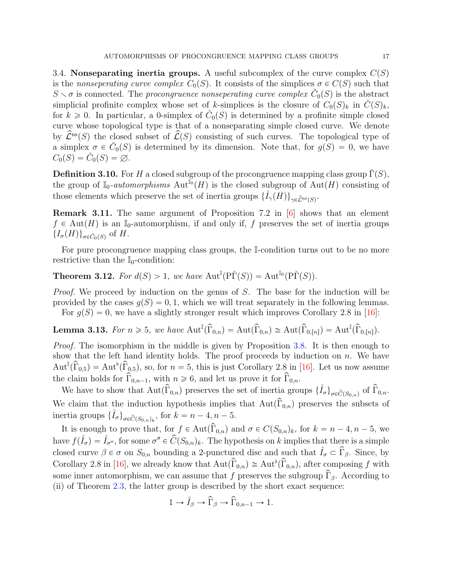<span id="page-16-3"></span><span id="page-16-2"></span>3.4. Nonseparating inertia groups. A useful subcomplex of the curve complex  $C(S)$ is the nonseperating curve complex  $C_0(S)$ . It consists of the simplices  $\sigma \in C(S)$  such that  $S \setminus \sigma$  is connected. The procongruence nonseperating curve complex  $\check{C}_0(S)$  is the abstract simplicial profinite complex whose set of k-simplices is the closure of  $C_0(S)_k$  in  $\check{C}(S)_k$ , for  $k \geq 0$ . In particular, a 0-simplex of  $\check{C}_0(S)$  is determined by a profinite simple closed curve whose topological type is that of a nonseparating simple closed curve. We denote by  $\hat{\mathcal{L}}^{ns}(S)$  the closed subset of  $\hat{\mathcal{L}}(S)$  consisting of such curves. The topological type of a simplex  $\sigma \in \check{C}_0(S)$  is determined by its dimension. Note that, for  $g(S) = 0$ , we have  $C_0(S) = \check{C}_0(S) = \varnothing.$ 

**Definition 3.10.** For H a closed subgroup of the procongruence mapping class group  $\Gamma(S)$ , the group of  $\mathbb{I}_0$ -automorphisms  $\text{Aut}^{\mathbb{I}_0}(H)$  is the closed subgroup of  $\text{Aut}(H)$  consisting of those elements which preserve the set of inertia groups  $\{\hat{I}_{\gamma}(H)\}_{\gamma \in \hat{\mathcal{L}}^{\text{ns}}(S)}$ .

Remark 3.11. The same argument of Proposition 7.2 in [\[6\]](#page-51-9) shows that an element  $f \in Aut(H)$  is an I<sub>0</sub>-automorphism, if and only if, f preserves the set of inertia groups  $\{I_{\sigma}(H)\}_{{\sigma}\in\check{C}_0(S)}$  of H.

For pure procongruence mapping class groups, the I-condition turns out to be no more restrictive than the  $\mathbb{I}_0$ -condition:

<span id="page-16-1"></span>**Theorem 3.12.** For  $d(S) > 1$ , we have  $Aut^{\mathbb{I}}(P\check{\Gamma}(S)) = Aut^{\mathbb{I}_0}(P\check{\Gamma}(S)).$ 

Proof. We proceed by induction on the genus of S. The base for the induction will be provided by the cases  $q(S) = 0, 1$ , which we will treat separately in the following lemmas. For  $g(S) = 0$ , we have a slightly stronger result which improves Corollary 2.8 in [\[16\]](#page-51-7):

<span id="page-16-0"></span>**Lemma 3.13.** For 
$$
n \ge 5
$$
, we have  $\text{Aut}^{\mathbb{I}}(\widehat{\Gamma}_{0,n}) = \text{Aut}(\widehat{\Gamma}_{0,n}) \cong \text{Aut}(\widehat{\Gamma}_{0,[n]}) = \text{Aut}^{\mathbb{I}}(\widehat{\Gamma}_{0,[n]}).$ 

Proof. The isomorphism in the middle is given by Proposition [3.8.](#page-14-0) It is then enough to show that the left hand identity holds. The proof proceeds by induction on  $n$ . We have  $\text{Aut}^{\mathbb{I}}(\widehat{\Gamma}_{0,5}) = \text{Aut}^{\flat}(\widehat{\Gamma}_{0,5}),$  so, for  $n = 5$ , this is just Corollary 2.8 in [\[16\]](#page-51-7). Let us now assume the claim holds for  $\widehat{\Gamma}_{0,n-1}$ , with  $n \geq 6$ , and let us prove it for  $\widehat{\Gamma}_{0,n}$ .

We have to show that  $\text{Aut}(\widehat{\Gamma}_{0,n})$  preserves the set of inertia groups  $\{\hat{I}_{\sigma}\}_{{\sigma}\in\widehat{\mathcal{C}}(S_{0,n})}$  of  $\widehat{\Gamma}_{0,n}$ . We claim that the induction hypothesis implies that  $Aut(\hat{\Gamma}_{0,n})$  preserves the subsets of inertia groups  $\{\hat{I}_{\sigma}\}_{{\sigma}\in \hat{C}(S_{0,n})_k}$ , for  $k = n - 4, n - 5$ .

It is enough to prove that, for  $f \in Aut(\widehat{\Gamma}_{0,n})$  and  $\sigma \in C(S_{0,n})_k$ , for  $k = n - 4, n - 5$ , we have  $f(\hat{I}_{\sigma}) = \hat{I}_{\sigma''}$ , for some  $\sigma'' \in \widehat{C}(S_{0,n})_k$ . The hypothesis on k implies that there is a simple closed curve  $\beta \in \sigma$  on  $S_{0,n}$  bounding a 2-punctured disc and such that  $\hat{I}_{\sigma} \subset \hat{\Gamma}_{\beta}$ . Since, by Corollary 2.8 in [\[16\]](#page-51-7), we already know that  $\text{Aut}(\widehat{\Gamma}_{0,n}) \cong \text{Aut}^{\flat}(\widehat{\Gamma}_{0,n})$ , after composing f with some inner automorphism, we can assume that f preserves the subgroup  $\hat{\Gamma}_{\beta}$ . According to (ii) of Theorem [2.3,](#page-6-1) the latter group is described by the short exact sequence:

$$
1 \to \hat{I}_{\beta} \to \hat{\Gamma}_{\beta} \to \hat{\Gamma}_{0,n-1} \to 1.
$$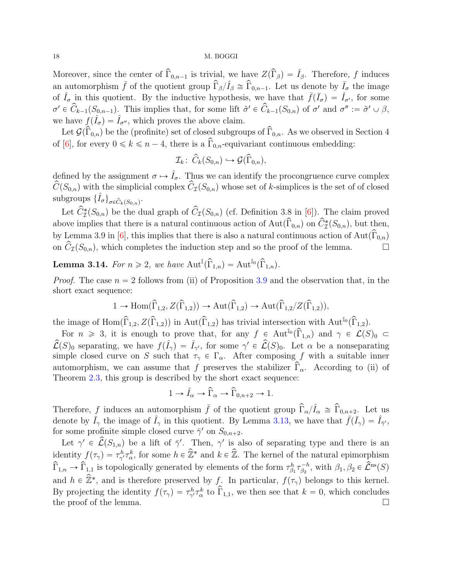<span id="page-17-1"></span>Moreover, since the center of  $\widehat{\Gamma}_{0,n-1}$  is trivial, we have  $Z(\widehat{\Gamma}_{\beta}) = \widehat{I}_{\beta}$ . Therefore, f induces an automorphism  $\bar{f}$  of the quotient group  $\hat{\Gamma}_{\beta}/\hat{I}_{\beta} \cong \hat{\Gamma}_{0,n-1}$ . Let us denote by  $\bar{I}_{\sigma}$  the image of  $\hat{I}_{\sigma}$  in this quotient. By the inductive hypothesis, we have that  $\bar{f}(\bar{I}_{\sigma}) = \hat{I}_{\sigma'}$ , for some  $\sigma' \in \widehat{C}_{k-1}(S_{0,n-1})$ . This implies that, for some lift  $\sigma' \in \widehat{C}_{k-1}(S_{0,n})$  of  $\sigma'$  and  $\sigma'' := \widetilde{\sigma'} \cup \beta$ , we have  $f(\hat{I}_{\sigma}) = \hat{I}_{\sigma''}$ , which proves the above claim.

Let  $\mathcal{G}(\widehat{\Gamma}_{0,n})$  be the (profinite) set of closed subgroups of  $\widehat{\Gamma}_{0,n}$ . As we observed in Section 4 of [\[6\]](#page-51-9), for every  $0 \le k \le n-4$ , there is a  $\hat{\Gamma}_{0,n}$ -equivariant continuous embedding:

$$
\mathcal{I}_k\colon\thinspace\widehat{C}_k(S_{0,n})\hookrightarrow\mathcal{G}(\widehat{\Gamma}_{0,n}),
$$

defined by the assignment  $\sigma \mapsto \hat{I}_{\sigma}$ . Thus we can identify the procongruence curve complex  $\hat{C}(S_{0,n})$  with the simplicial complex  $\hat{C}_{\mathcal{I}}(S_{0,n})$  whose set of k-simplices is the set of of closed subgroups  $\{\hat{I}_{\sigma}\}_{{\sigma}\in \widehat{C}_k(S_{0,n})}$ .

Let  $\hat{C}_{\mathcal{I}}^{*}(S_{0,n})$  be the dual graph of  $\hat{C}_{\mathcal{I}}(S_{0,n})$  (cf. Definition 3.8 in [\[6\]](#page-51-9)). The claim proved above implies that there is a natural continuous action of  $\text{Aut}(\widehat{\Gamma}_{0,n})$  on  $\widehat{C}_{\mathcal{I}}^{*}(S_{0,n})$ , but then, by Lemma 3.9 in [\[6\]](#page-51-9), this implies that there is also a natural continuous action of Aut $(\widehat{\Gamma}_{0,n})$ on  $\hat{C}_{\mathcal{I}}(S_{0,n})$ , which completes the induction step and so the proof of the lemma.

<span id="page-17-0"></span>**Lemma 3.14.** For  $n \ge 2$ , we have  $\text{Aut}^{\mathbb{I}}(\widehat{\Gamma}_{1,n}) = \text{Aut}^{\mathbb{I}_0}(\widehat{\Gamma}_{1,n}).$ 

*Proof.* The case  $n = 2$  follows from (ii) of Proposition [3.9](#page-15-1) and the observation that, in the short exact sequence:

$$
1 \to \text{Hom}(\widehat{\Gamma}_{1,2}, Z(\widehat{\Gamma}_{1,2})) \to \text{Aut}(\widehat{\Gamma}_{1,2}) \to \text{Aut}(\widehat{\Gamma}_{1,2}/Z(\widehat{\Gamma}_{1,2})),
$$

the image of Hom $(\widehat{\Gamma}_{1,2}, Z(\widehat{\Gamma}_{1,2}))$  in Aut $(\widehat{\Gamma}_{1,2})$  has trivial intersection with Aut<sup>I</sup><sup>0</sup> $(\widehat{\Gamma}_{1,2})$ .

For  $n \geq 3$ , it is enough to prove that, for any  $f \in \text{Aut}^{\mathbb{I}_0}(\widehat{\Gamma}_{1,n})$  and  $\gamma \in \mathcal{L}(S)_0 \subset$  $\hat{\mathcal{L}}(S)_0$  separating, we have  $f(\hat{I}_\gamma) = \hat{I}_{\gamma'}$ , for some  $\gamma' \in \hat{\mathcal{L}}(S)_0$ . Let  $\alpha$  be a nonseparating simple closed curve on S such that  $\tau_{\gamma} \in \Gamma_{\alpha}$ . After composing f with a suitable inner automorphism, we can assume that f preserves the stabilizer  $\hat{\Gamma}_{\alpha}$ . According to (ii) of Theorem [2.3,](#page-6-1) this group is described by the short exact sequence:

$$
1 \to \hat{I}_{\alpha} \to \widehat{\Gamma}_{\alpha} \to \widehat{\Gamma}_{0,n+2} \to 1.
$$

Therefore, f induces an automorphism  $\bar{f}$  of the quotient group  $\hat{\Gamma}_{\alpha}/\hat{I}_{\alpha} \cong \hat{\Gamma}_{0,n+2}$ . Let us denote by  $\bar{I}_{\gamma}$  the image of  $\hat{I}_{\gamma}$  in this quotient. By Lemma [3.13,](#page-16-0) we have that  $\bar{f}(\bar{I}_{\gamma}) = \hat{I}_{\bar{\gamma}'}$ , for some profinite simple closed curve  $\bar{\gamma}'$  on  $S_{0,n+2}$ .

Let  $\gamma' \in \hat{\mathcal{L}}(S_{1,n})$  be a lift of  $\bar{\gamma}'$ . Then,  $\gamma'$  is also of separating type and there is an identity  $f(\tau_\gamma) = \tau_{\gamma'}^h \tau_\alpha^k$ , for some  $h \in \hat{\mathbb{Z}}^*$  and  $k \in \hat{\mathbb{Z}}$ . The kernel of the natural epimorphism  $\widehat{\Gamma}_{1,n} \to \widehat{\Gamma}_{1,1}$  is topologically generated by elements of the form  $\tau_{\beta_1}^h \tau_{\beta_2}^{-h}$  $\widehat{\beta}_2^{-h}$ , with  $\beta_1, \beta_2 \in \widehat{\mathcal{L}}^{\text{ns}}(S)$ and  $h \in \hat{\mathbb{Z}}^*$ , and is therefore preserved by f. In particular,  $f(\tau_\gamma)$  belongs to this kernel. By projecting the identity  $f(\tau_\gamma) = \tau_{\gamma'}^h \tau_\alpha^k$  to  $\overline{\hat{\Gamma}}_{1,1}$ , we then see that  $k = 0$ , which concludes the proof of the lemma.  $\Box$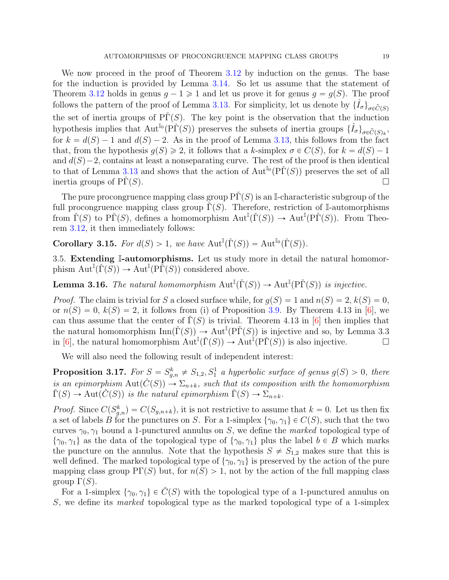<span id="page-18-3"></span>We now proceed in the proof of Theorem [3.12](#page-16-1) by induction on the genus. The base for the induction is provided by Lemma [3.14.](#page-17-0) So let us assume that the statement of Theorem [3.12](#page-16-1) holds in genus  $g - 1 \geq 1$  and let us prove it for genus  $g = g(S)$ . The proof follows the pattern of the proof of Lemma [3.13.](#page-16-0) For simplicity, let us denote by  $\{\hat{I}_{\sigma}\}_{\sigma\in\hat{C}(S)}$ the set of inertia groups of  $\tilde{\text{PI}}(S)$ . The key point is the observation that the induction hypothesis implies that  $Aut^{I_0}(\tilde{\mathrm{PT}}(S))$  preserves the subsets of inertia groups  $\{\hat{I}_{\sigma}\}_{\sigma \in \hat{C}(S)_k}$ , for  $k = d(S) - 1$  and  $d(S) - 2$ . As in the proof of Lemma [3.13,](#page-16-0) this follows from the fact that, from the hypothesis  $q(S) \geq 2$ , it follows that a k-simplex  $\sigma \in C(S)$ , for  $k = d(S) - 1$ and  $d(S)-2$ , contains at least a nonseparating curve. The rest of the proof is then identical to that of Lemma [3.13](#page-16-0) and shows that the action of  $\text{Aut}^{\mathbb{I}_0}(\text{P}\check{\Gamma}(S))$  preserves the set of all inertia groups of  $\overline{P\Gamma}(S)$ .

The pure procongruence mapping class group  $\Pr(S)$  is an I-characteristic subgroup of the full procongruence mapping class group  $\Gamma(S)$ . Therefore, restriction of I-automorphisms from  $\check{\Gamma}(S)$  to P $\check{\Gamma}(S)$ , defines a homomorphism  $\mathrm{Aut}^{\mathbb{I}}(\check{\Gamma}(S)) \to \mathrm{Aut}^{\mathbb{I}}(\mathrm{P}\check{\Gamma}(S))$ . From Theorem [3.12,](#page-16-1) it then immediately follows:

<span id="page-18-2"></span>**Corollary 3.15.** For  $d(S) > 1$ , we have  $Aut^{\mathbb{I}}(\check{\Gamma}(S)) = Aut^{\mathbb{I}_0}(\check{\Gamma}(S)).$ 

3.5. Extending I-automorphisms. Let us study more in detail the natural homomorphism  $\text{Aut}^{\mathbb{I}}(\check{\Gamma}(S)) \to \text{Aut}^{\mathbb{I}}(\text{P}\check{\Gamma}(S))$  considered above.

<span id="page-18-0"></span>**Lemma 3.16.** The natural homomorphism  $\text{Aut}^{\mathbb{I}}(\check{\Gamma}(S)) \to \text{Aut}^{\mathbb{I}}(\check{\Gamma}(S))$  is injective.

*Proof.* The claim is trivial for S a closed surface while, for  $g(S) = 1$  and  $n(S) = 2$ ,  $k(S) = 0$ , or  $n(S) = 0$ ,  $k(S) = 2$ , it follows from (i) of Proposition [3.9.](#page-15-1) By Theorem 4.13 in [\[6\]](#page-51-9), we can thus assume that the center of  $\tilde{\Gamma}(S)$  is trivial. Theorem 4.13 in [\[6\]](#page-51-9) then implies that the natural homomorphism  $\text{Inn}(\check{\Gamma}(S)) \to \text{Aut}^{\mathbb{I}}(\check{\Gamma}(S))$  is injective and so, by Lemma 3.3 in [\[6\]](#page-51-9), the natural homomorphism  $\text{Aut}^{\mathbb{I}}(\check{\Gamma}(S)) \to \text{Aut}^{\mathbb{I}}(\check{\Gamma}(S))$  is also injective.

We will also need the following result of independent interest:

<span id="page-18-1"></span>**Proposition 3.17.** For  $S = S_{g,n}^k \neq S_{1,2}, S_1^1$  a hyperbolic surface of genus  $g(S) > 0$ , there is an epimorphism  $\text{Aut}(\check{C}(S)) \to \Sigma_{n+k}$ , such that its composition with the homomorphism  $\check{\Gamma}(S) \to \text{Aut}(\check{C}(S))$  is the natural epimorphism  $\check{\Gamma}(S) \to \Sigma_{n+k}$ .

*Proof.* Since  $C(S_{g,n}^k) = C(S_{g,n+k})$ , it is not restrictive to assume that  $k = 0$ . Let us then fix a set of labels B for the punctures on S. For a 1-simplex  $\{\gamma_0, \gamma_1\} \in C(S)$ , such that the two curves  $\gamma_0$ ,  $\gamma_1$  bound a 1-punctured annulus on S, we define the *marked* topological type of  $\{\gamma_0, \gamma_1\}$  as the data of the topological type of  $\{\gamma_0, \gamma_1\}$  plus the label  $b \in B$  which marks the puncture on the annulus. Note that the hypothesis  $S \neq S_{1,2}$  makes sure that this is well defined. The marked topological type of  $\{\gamma_0, \gamma_1\}$  is preserved by the action of the pure mapping class group  $\Pr(S)$  but, for  $n(S) > 1$ , not by the action of the full mapping class group  $\Gamma(S)$ .

For a 1-simplex  $\{\gamma_0, \gamma_1\} \in \check{C}(S)$  with the topological type of a 1-punctured annulus on S, we define its marked topological type as the marked topological type of a 1-simplex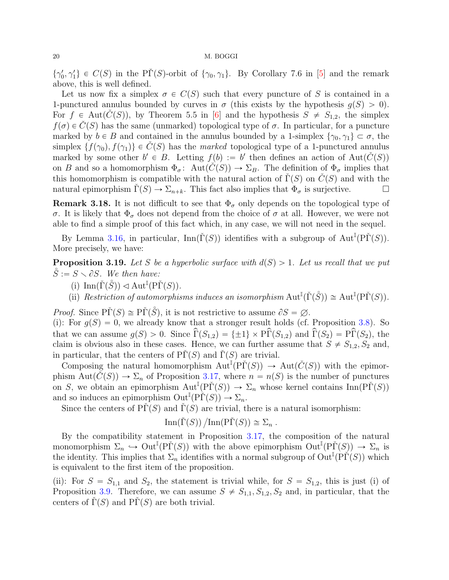<span id="page-19-1"></span> $\{\gamma'_0, \gamma'_1\} \in C(S)$  in the P $\check{\Gamma}(S)$ -orbit of  $\{\gamma_0, \gamma_1\}$ . By Corollary 7.6 in [\[5\]](#page-51-2) and the remark above, this is well defined.

Let us now fix a simplex  $\sigma \in C(S)$  such that every puncture of S is contained in a 1-punctured annulus bounded by curves in  $\sigma$  (this exists by the hypothesis  $g(S) > 0$ ). For  $f \in \text{Aut}(C(S))$ , by Theorem 5.5 in [\[6\]](#page-51-9) and the hypothesis  $S \neq S_{1,2}$ , the simplex  $f(\sigma) \in C(S)$  has the same (unmarked) topological type of  $\sigma$ . In particular, for a puncture marked by  $b \in B$  and contained in the annulus bounded by a 1-simplex  $\{\gamma_0, \gamma_1\} \subset \sigma$ , the simplex  $\{f(\gamma_0), f(\gamma_1)\}\in C(S)$  has the marked topological type of a 1-punctured annulus marked by some other  $b' \in B$ . Letting  $f(b) := b'$  then defines an action of  $Aut(\check{C}(S))$ on B and so a homomorphism  $\Phi_{\sigma}$ : Aut $(C(S)) \to \Sigma_B$ . The definition of  $\Phi_{\sigma}$  implies that this homomorphism is compatible with the natural action of  $\tilde{\Gamma}(S)$  on  $\tilde{C}(S)$  and with the natural epimorphism  $\Gamma(S) \to \Sigma_{n+k}$ . This fact also implies that  $\Phi_{\sigma}$  is surjective.

**Remark 3.18.** It is not difficult to see that  $\Phi_{\sigma}$  only depends on the topological type of σ. It is likely that  $\Phi_{\sigma}$  does not depend from the choice of σ at all. However, we were not able to find a simple proof of this fact which, in any case, we will not need in the sequel.

By Lemma [3.16,](#page-18-0) in particular,  $\text{Inn}(\check{\Gamma}(S))$  identifies with a subgroup of  $\text{Aut}^{\mathbb{I}}(\check{\Gamma}(S))$ . More precisely, we have:

<span id="page-19-0"></span>**Proposition 3.19.** Let S be a hyperbolic surface with  $d(S) > 1$ . Let us recall that we put  $\check{S} := S \setminus \partial S$ . We then have:

- (i)  $\text{Inn}(\check{\Gamma}(\mathring{S})) \triangleleft \text{Aut}^{\mathbb{I}}(\mathrm{P}\check{\Gamma}(S)).$
- (ii) Restriction of automorphisms induces an isomorphism  $\text{Aut}^{\mathbb{I}}(\check{\Gamma}(\check{S})) \cong \text{Aut}^{\mathbb{I}}(\text{P}\check{\Gamma}(S)).$

*Proof.* Since  $\widetilde{\text{PT}}(S) \cong \widetilde{\text{PT}}(\widetilde{S})$ , it is not restrictive to assume  $\partial S = \varnothing$ .

(i): For  $g(S) = 0$ , we already know that a stronger result holds (cf. Proposition [3.8\)](#page-14-0). So that we can assume  $g(S) > 0$ . Since  $\widehat{\Gamma}(S_{1,2}) = {\pm 1} \times \widehat{\Gamma}(S_{1,2})$  and  $\widehat{\Gamma}(S_2) = \widehat{\Gamma}(S_2)$ , the claim is obvious also in these cases. Hence, we can further assume that  $S \neq S_{1,2}, S_2$  and, in particular, that the centers of  $\overline{P}\Gamma(S)$  and  $\overline{\Gamma}(S)$  are trivial.

Composing the natural homomorphism  $\text{Aut}^{\mathbb{I}}(P\check{\Gamma}(S)) \to \text{Aut}(\check{C}(S))$  with the epimorphism  $Aut(\check{C}(S)) \to \Sigma_n$  of Proposition [3.17,](#page-18-1) where  $n = n(S)$  is the number of punctures on S, we obtain an epimorphism  $\mathrm{Aut}^{\mathbb{I}}(\mathrm{P}\check{\Gamma}(S)) \to \Sigma_n$  whose kernel contains  $\mathrm{Inn}(\mathrm{P}\check{\Gamma}(S))$ and so induces an epimorphism  $\mathrm{Out}^{\mathbb{I}}(\mathrm{P}\check{\Gamma}(S)) \to \Sigma_n$ .

Since the centers of  $\tilde{\text{PT}}(S)$  and  $\tilde{\Gamma}(S)$  are trivial, there is a natural isomorphism:

$$
\text{Inn}(\check{\Gamma}(S)) / \text{Inn}(\check{\Gamma}(S)) \cong \Sigma_n \ .
$$

By the compatibility statement in Proposition [3.17,](#page-18-1) the composition of the natural monomorphism  $\Sigma_n \hookrightarrow \text{Out}^{\mathbb{I}}(\text{P}\check{\Gamma}(S))$  with the above epimorphism  $\text{Out}^{\mathbb{I}}(\text{P}\check{\Gamma}(S)) \to \Sigma_n$  is the identity. This implies that  $\Sigma_n$  identifies with a normal subgroup of  $\text{Out}^{\mathbb{I}}(\text{P}\check{\Gamma}(S))$  which is equivalent to the first item of the proposition.

(ii): For  $S = S_{1,1}$  and  $S_2$ , the statement is trivial while, for  $S = S_{1,2}$ , this is just (i) of Proposition [3.9.](#page-15-1) Therefore, we can assume  $S \neq S_{1,1}, S_{1,2}, S_2$  and, in particular, that the centers of  $\Gamma(S)$  and  $\text{P}\Gamma(S)$  are both trivial.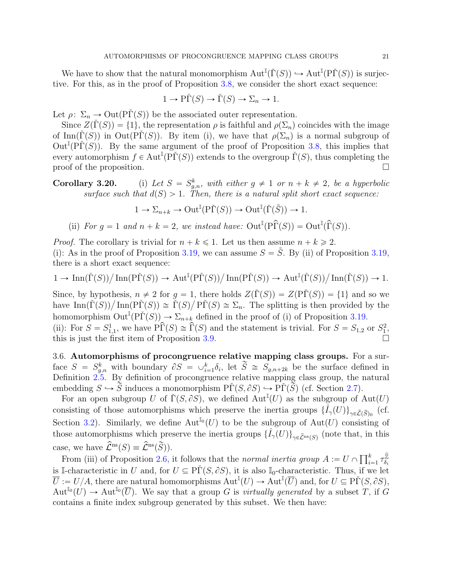We have to show that the natural monomorphism  $\text{Aut}^{\mathbb{I}}(\check{\Gamma}(S)) \hookrightarrow \text{Aut}^{\mathbb{I}}(\text{P}\check{\Gamma}(S))$  is surjective. For this, as in the proof of Proposition [3.8,](#page-14-0) we consider the short exact sequence:

$$
1 \to \tilde{\Gamma}(S) \to \tilde{\Gamma}(S) \to \Sigma_n \to 1.
$$

Let  $\rho: \Sigma_n \to \mathrm{Out}(\mathrm{P}\Gamma(S))$  be the associated outer representation.

Since  $Z(\tilde{\Gamma}(S)) = \{1\}$ , the representation  $\rho$  is faithful and  $\rho(\Sigma_n)$  coincides with the image of Inn( $\Gamma(S)$ ) in Out( $\Pr(S)$ ). By item (i), we have that  $\rho(\Sigma_n)$  is a normal subgroup of  $\text{Out}^{\mathbb{I}}(\overrightarrow{PI}(S))$ . By the same argument of the proof of Proposition [3.8,](#page-14-0) this implies that every automorphism  $f \in \text{Aut}^{\mathbb{I}}(\widetilde{PT}(S))$  extends to the overgroup  $\widetilde{\Gamma}(S)$ , thus completing the proof of the proposition.  $\Box$ 

Corollary 3.20.  $k_{g,n}^{k}$ , with either  $g \neq 1$  or  $n + k \neq 2$ , be a hyperbolic surface such that  $d(S) > 1$ . Then, there is a natural split short exact sequence:

$$
1 \to \Sigma_{n+k} \to \mathrm{Out}^{\mathbb{I}}(\mathrm{P}\check{\Gamma}(S)) \to \mathrm{Out}^{\mathbb{I}}(\check{\Gamma}(\mathring{S})) \to 1.
$$

(ii) For  $g = 1$  and  $n + k = 2$ , we instead have:  $\text{Out}^{\mathbb{I}}(\widehat{P}(S)) = \text{Out}^{\mathbb{I}}(\widehat{\Gamma}(S)).$ 

*Proof.* The corollary is trivial for  $n + k \le 1$ . Let us then assume  $n + k \ge 2$ .

(i): As in the proof of Proposition [3.19,](#page-19-0) we can assume  $S = \check{S}$ . By (ii) of Proposition 3.19, there is a short exact sequence:

$$
1 \to \operatorname{Inn}(\check{\Gamma}(S)) / \operatorname{Inn}(\tilde{\Gamma}(S)) \to \operatorname{Aut}^{\mathbb{I}}(\tilde{\Gamma}(S)) / \operatorname{Inn}(\tilde{\Gamma}(S)) \to \operatorname{Aut}^{\mathbb{I}}(\check{\Gamma}(S)) / \operatorname{Inn}(\check{\Gamma}(S)) \to 1.
$$

Since, by hypothesis,  $n \neq 2$  for  $g = 1$ , there holds  $Z(\tilde{\Gamma}(S)) = Z(\tilde{\Gamma}(S)) = \{1\}$  and so we Since, by hypothesis,  $n \neq 2$  for  $g = 1$ , there holds  $Z(\Gamma(S)) = Z(\text{PI}(S)) = \{1\}$  and so we have  $\text{Inn}(\check{\Gamma}(S))/\text{Inn}(\text{PI}(S)) \cong \check{\Gamma}(S)/\text{PI}(S) \cong \Sigma_n$ . The splitting is then provided by the homomorphism  $\text{Out}^{\mathbb{I}}(\text{P}\check{\Gamma}(S)) \to \Sigma_{n+k}$  defined in the proof of (i) of Proposition [3.19.](#page-19-0) (ii): For  $S = S_{1,1}^1$ , we have  $\widehat{PT}(S) \cong \widehat{T}(S)$  and the statement is trivial. For  $S = S_{1,2}$  or  $S_1^2$ , this is just the first item of Proposition [3.9.](#page-15-1)

3.6. Automorphisms of procongruence relative mapping class groups. For a surface  $S = S_{g,n}^k$  with boundary  $\partial S = \bigcup_{i=1}^k \delta_i$ , let  $\widetilde{S} \cong S_{g,n+2k}$  be the surface defined in Definition [2.5.](#page-7-2) By definition of procongruence relative mapping class group, the natural embedding  $S \hookrightarrow \widetilde{S}$  induces a monomorphism  $\widetilde{P}\Gamma(S, \partial S) \hookrightarrow \widetilde{P}\Gamma(\widetilde{S})$  (cf. Section [2.7\)](#page-7-3).

For an open subgroup U of  $\check{\Gamma}(S, \partial S)$ , we defined  $\text{Aut}^{\mathbb{I}}(U)$  as the subgroup of  $\text{Aut}(U)$ consisting of those automorphisms which preserve the inertia groups  $\{\hat{I}_{\gamma}(U)\}_{\gamma \in \hat{\mathcal{L}}(\tilde{S})_0}$  (cf. Section [3.2\)](#page-13-0). Similarly, we define  $\text{Aut}^{\mathbb{I}_0}(U)$  to be the subgroup of  $\text{Aut}(U)$  consisting of those automorphisms which preserve the inertia groups  $\{\hat{I}_{\gamma}(U)\}_{\gamma \in \hat{\mathcal{L}}^{\text{ns}}(S)}$  (note that, in this case, we have  $\widehat{\mathcal{L}}^{\text{ns}}(S) \equiv \widehat{\mathcal{L}}^{\text{ns}}(\widetilde{S})$ .

Se, we nave  $\mathcal{L}^{\infty}(S) \equiv \mathcal{L}^{\infty}(S)$ .<br>From (iii) of Proposition [2.6,](#page-0-0) it follows that the normal inertia group  $A := U \cap \prod_{i=1}^{k}$ .  $\sum_{i=1}^k \tau_{\delta_i}^{\hat{\mathbb{Z}}}$  $\delta_i$ is I-characteristic in U and, for  $U \subseteq \tilde{P}\Gamma(S, \partial S)$ , it is also I<sub>0</sub>-characteristic. Thus, if we let  $\overline{U} := U/A$ , there are natural homomorphisms  $\text{Aut}^{\mathbb{I}}(U) \to \text{Aut}^{\mathbb{I}}(\overline{U})$  and, for  $U \subseteq \text{P}\check{\Gamma}(S, \partial S)$ ,  $\mathrm{Aut}^{\mathbb{I}_0}(U) \to \mathrm{Aut}^{\mathbb{I}_0}(\overline{U})$ . We say that a group G is *virtually generated* by a subset T, if G contains a finite index subgroup generated by this subset. We then have: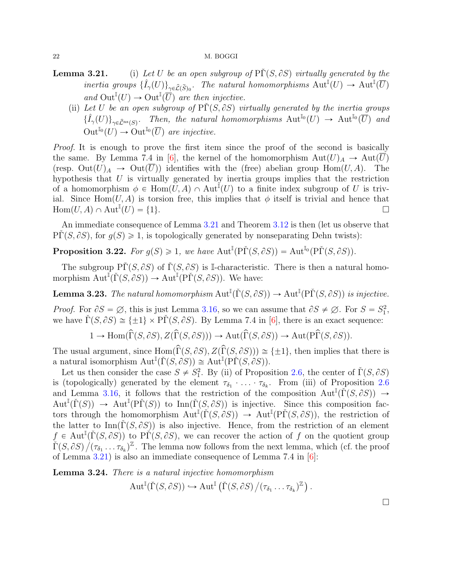- **Lemma 3.21.** (i) Let U be an open subgroup of  $\tilde{P}(S, \partial S)$  virtually generated by the inertia groups  $\{\hat{I}_{\gamma}(U)\}_{\gamma \in \hat{\mathcal{L}}(\tilde{S})_0}$ . The natural homomorphisms  $\text{Aut}^{\mathbb{I}}(U) \to \text{Aut}^{\mathbb{I}}(\overline{U})$ and  $\text{Out}^{\mathbb{I}}(U) \to \text{Out}^{\mathbb{I}}(\overline{U})$  are then injective.
	- (ii) Let U be an open subgroup of  $\Pr(S, \partial S)$  virtually generated by the inertia groups  $\{\hat{I}_{\gamma}(U)\}_{\gamma \in \hat{\mathcal{L}}^{\text{ns}}(S)}$ . Then, the natural homomorphisms  $\text{Aut}^{\mathbb{I}_{0}}(U) \to \text{Aut}^{\mathbb{I}_{0}}(\overline{U})$  and  $\mathrm{Out}^{\mathbb{I}_0}(U) \to \mathrm{Out}^{\mathbb{I}_0}(\overline{U})$  are injective.

*Proof.* It is enough to prove the first item since the proof of the second is basically the same. By Lemma 7.4 in [\[6\]](#page-51-9), the kernel of the homomorphism  $Aut(U)_A \to Aut(\overline{U})$ (resp.  $Out(U)_A \to Out(\overline{U})$ ) identifies with the (free) abelian group Hom $(U, A)$ . The hypothesis that  $U$  is virtually generated by inertia groups implies that the restriction of a homomorphism  $\phi \in \text{Hom}(U, A) \cap \text{Aut}^{\mathbb{I}}(U)$  to a finite index subgroup of U is trivial. Since Hom $(U, A)$  is torsion free, this implies that  $\phi$  itself is trivial and hence that  $\mathrm{Hom}(U, A) \cap \mathrm{Aut}^{\mathbb{I}}(U) = \{1\}.$ 

An immediate consequence of Lemma [3.21](#page-0-0) and Theorem [3.12](#page-16-1) is then (let us observe that  $\Pr(S, \partial S)$ , for  $g(S) \geq 1$ , is topologically generated by nonseparating Dehn twists):

<span id="page-21-0"></span>**Proposition 3.22.** For  $g(S) \geq 1$ , we have  $\text{Aut}^{\mathbb{I}}(\text{P}\check{\Gamma}(S, \partial S)) = \text{Aut}^{\mathbb{I}_0}(\text{P}\check{\Gamma}(S, \partial S))$ .

The subgroup  $\tilde{\Gamma}(S, \partial S)$  of  $\tilde{\Gamma}(S, \partial S)$  is I-characteristic. There is then a natural homomorphism  $\text{Aut}^{\mathbb{I}}(\check{\Gamma}(S, \partial S)) \to \text{Aut}^{\mathbb{I}}(\text{P}\check{\Gamma}(S, \partial S)).$  We have:

<span id="page-21-1"></span>**Lemma 3.23.** The natural homomorphism  $\text{Aut}^{\mathbb{I}}(\check{\Gamma}(S, \partial S)) \to \text{Aut}^{\mathbb{I}}(\text{P}\check{\Gamma}(S, \partial S))$  is injective.

*Proof.* For  $\partial S = \emptyset$ , this is just Lemma [3.16,](#page-18-0) so we can assume that  $\partial S \neq \emptyset$ . For  $S = S_1^2$ , we have  $\check{\Gamma}(S, \partial S) \cong {\pm 1} \times P\check{\Gamma}(S, \partial S)$ . By Lemma 7.4 in [\[6\]](#page-51-9), there is an exact sequence:

$$
1 \to \text{Hom}(\widehat{\Gamma}(S, \partial S), Z(\widehat{\Gamma}(S, \partial S))) \to \text{Aut}(\widehat{\Gamma}(S, \partial S)) \to \text{Aut}(\text{P}\widehat{\Gamma}(S, \partial S)).
$$

The usual argument, since  $\text{Hom}(\widehat{\Gamma}(S, \partial S), Z(\widehat{\Gamma}(S, \partial S))) \cong {\pm 1}$ , then implies that there is a natural isomorphism  $\mathrm{Aut}^{\mathbb{I}}(\check{\Gamma}(S, \partial S)) \cong \mathrm{Aut}^{\mathbb{I}}(\mathrm{P}\check{\Gamma}(S, \partial S)).$ 

Let us then consider the case  $S \neq S_1^2$ . By (ii) of Proposition [2.6,](#page-0-0) the center of  $\check{\Gamma}(S, \partial S)$ is (topologically) generated by the element  $\tau_{\delta_1} \cdot \ldots \cdot \tau_{\delta_k}$ . From (iii) of Proposition [2.6](#page-0-0) and Lemma [3.16,](#page-18-0) it follows that the restriction of the composition  $\text{Aut}^{\mathbb{I}}(\check{\Gamma}(S, \partial S)) \to$  $\mathrm{Aut}^{\mathbb{I}}(\check{\Gamma}(S)) \to \mathrm{Aut}^{\mathbb{I}}(\mathrm{P}\check{\Gamma}(S))$  to  $\mathrm{Inn}(\check{\Gamma}(S,\partial S))$  is injective. Since this composition factors through the homomorphism  $\text{Aut}^{\mathbb{I}}(\check{\Gamma}(S, \partial S)) \to \text{Aut}^{\mathbb{I}}(\text{P}\check{\Gamma}(S, \partial S)),$  the restriction of the latter to  $\text{Inn}(\tilde{\Gamma}(S, \partial S))$  is also injective. Hence, from the restriction of an element  $f \in \text{Aut}^{\mathbb{I}}(\check{\Gamma}(S, \partial S))$  to  $\check{\Pr}(S, \partial S)$ , we can recover the action of f on the quotient group  $\check{\Gamma}(S, \partial S) / (\tau_{\delta_1} \dots \tau_{\delta_k})^{\mathbb{Z}}$ . The lemma now follows from the next lemma, which (cf. the proof of Lemma [3.21\)](#page-0-0) is also an immediate consequence of Lemma 7.4 in [\[6\]](#page-51-9):

**Lemma 3.24.** There is a natural injective homomorphism

$$
\operatorname{Aut}^{\mathbb{I}}(\check{\Gamma}(S, \partial S)) \hookrightarrow \operatorname{Aut}^{\mathbb{I}}(\check{\Gamma}(S, \partial S)/(\tau_{\delta_1} \ldots \tau_{\delta_k})^{\mathbb{Z}}).
$$

<span id="page-21-2"></span>

 $\Box$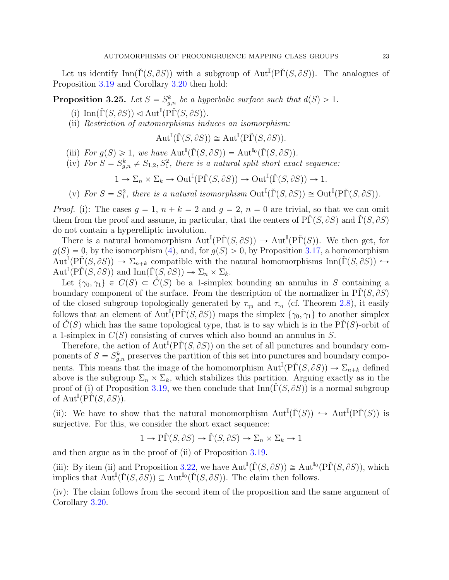Let us identify  $\text{Inn}(\check{\Gamma}(S, \partial S))$  with a subgroup of  $\text{Aut}^{\mathbb{I}}(\check{\Gamma}(S, \partial S))$ . The analogues of Proposition [3.19](#page-19-0) and Corollary [3.20](#page-0-0) then hold:

<span id="page-22-0"></span>**Proposition 3.25.** Let  $S = S_{g,n}^k$  be a hyperbolic surface such that  $d(S) > 1$ .

- (i)  $\text{Inn}(\check{\Gamma}(S, \partial S)) \triangleleft \text{Aut}^{\mathbb{I}}(\text{P}\check{\Gamma}(S, \partial S)).$
- (ii) Restriction of automorphisms induces an isomorphism:

$$
\operatorname{Aut}^{\mathbb{I}}(\check{\Gamma}(S, \partial S)) \cong \operatorname{Aut}^{\mathbb{I}}(\mathrm{P}\check{\Gamma}(S, \partial S)).
$$

- (iii) For  $g(S) \geq 1$ , we have  $Aut^{\mathbb{I}}(\check{\Gamma}(S, \partial S)) = Aut^{\mathbb{I}_0}(\check{\Gamma}(S, \partial S)).$
- (iv) For  $S = S_{g,n}^k \neq S_{1,2}, S_1^2$ , there is a natural split short exact sequence:

$$
1 \to \Sigma_n \times \Sigma_k \to \mathrm{Out}^{\mathbb{I}}(\mathrm{P}\check{\Gamma}(S,\partial S)) \to \mathrm{Out}^{\mathbb{I}}(\check{\Gamma}(S,\partial S)) \to 1.
$$

(v) For  $S = S_1^2$ , there is a natural isomorphism  $\text{Out}^{\mathbb{I}}(\check{\Gamma}(S, \partial S)) \cong \text{Out}^{\mathbb{I}}(\text{P}\check{\Gamma}(S, \partial S)).$ 

*Proof.* (i): The cases  $q = 1$ ,  $n + k = 2$  and  $q = 2$ ,  $n = 0$  are trivial, so that we can omit them from the proof and assume, in particular, that the centers of  $\Pr(S, \partial S)$  and  $\Gamma(S, \partial S)$ do not contain a hyperelliptic involution.

There is a natural homomorphism  $\text{Aut}^{\mathbb{I}}(\text{P}\check{\Gamma}(S,\partial S)) \to \text{Aut}^{\mathbb{I}}(\text{P}\check{\Gamma}(S)).$  We then get, for  $q(S) = 0$ , by the isomorphism [\(4\)](#page-14-1), and, for  $q(S) > 0$ , by Proposition [3.17,](#page-18-1) a homomorphism  $Aut^{\mathbb{I}}(P\check{\Gamma}(S,\partial S)) \to \Sigma_{n+k}$  compatible with the natural homomorphisms Inn $(\check{\Gamma}(S,\partial S)) \to$  $\mathrm{Aut}^{\mathbb{I}}(\mathrm{P}\check{\Gamma}(S,\partial S))$  and  $\mathrm{Inn}(\check{\Gamma}(S,\partial S)) \twoheadrightarrow \Sigma_n \times \Sigma_k$ .

Let  $\{\gamma_0, \gamma_1\} \in C(S) \subset C(S)$  be a 1-simplex bounding an annulus in S containing a boundary component of the surface. From the description of the normalizer in  $\text{PT}(S, \partial S)$ of the closed subgroup topologically generated by  $\tau_{\gamma_0}$  and  $\tau_{\gamma_1}$  (cf. Theorem [2.8\)](#page-8-2), it easily follows that an element of  $\text{Aut}^{\mathbb{I}}(P\check{\Gamma}(S, \partial S))$  maps the simplex  $\{\gamma_0, \gamma_1\}$  to another simplex of  $C(S)$  which has the same topological type, that is to say which is in the PΓ $(S)$ -orbit of a 1-simplex in  $C(S)$  consisting of curves which also bound an annulus in S.

Therefore, the action of  $\text{Aut}^{\mathbb{I}}(\text{P}\check{\Gamma}(S, \partial S))$  on the set of all punctures and boundary components of  $S = S_{g,n}^k$  preserves the partition of this set into punctures and boundary components. This means that the image of the homomorphism  $\text{Aut}^{\mathbb{I}}(\text{P}\check{\Gamma}(S,\partial S)) \to \Sigma_{n+k}$  defined above is the subgroup  $\Sigma_n \times \Sigma_k$ , which stabilizes this partition. Arguing exactly as in the proof of (i) of Proposition [3.19,](#page-19-0) we then conclude that  $\text{Inn}(\Gamma(S, \partial S))$  is a normal subgroup of  $\mathrm{Aut}^{\mathbb{I}}(\check{\mathrm{P}\Gamma}(S, \partial S)).$ 

(ii): We have to show that the natural monomorphism  $Aut^{\mathbb{I}}(\check{\Gamma}(S)) \hookrightarrow Aut^{\mathbb{I}}(\check{P}(\check{S}))$  is surjective. For this, we consider the short exact sequence:

$$
1 \to \tilde{\text{PT}}(S, \partial S) \to \tilde{\Gamma}(S, \partial S) \to \Sigma_n \times \Sigma_k \to 1
$$

and then argue as in the proof of (ii) of Proposition [3.19.](#page-19-0)

(iii): By item (ii) and Proposition [3.22,](#page-21-0) we have  $\text{Aut}^{\mathbb{I}}(\check{\Gamma}(S, \partial S)) \cong \text{Aut}^{\mathbb{I}_{0}}(\text{P}\check{\Gamma}(S, \partial S)),$  which implies that  $\text{Aut}^{\mathbb{I}}(\check{\Gamma}(S, \partial S)) \subseteq \text{Aut}^{\mathbb{I}_0}(\check{\Gamma}(S, \partial S))$ . The claim then follows.

(iv): The claim follows from the second item of the proposition and the same argument of Corollary [3.20.](#page-0-0)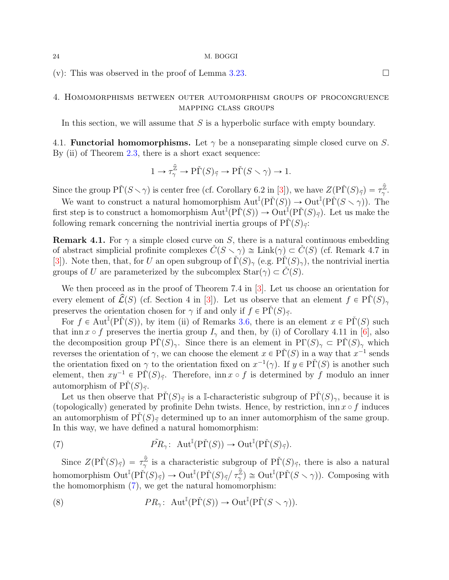<span id="page-23-2"></span>(v): This was observed in the proof of Lemma [3.23.](#page-21-1)

## 4. Homomorphisms between outer automorphism groups of procongruence mapping class groups

In this section, we will assume that  $S$  is a hyperbolic surface with empty boundary.

4.1. **Functorial homomorphisms.** Let  $\gamma$  be a nonseparating simple closed curve on S. By (ii) of Theorem [2.3,](#page-6-1) there is a short exact sequence:

$$
1 \to \tau_{\gamma}^{\hat{\mathbb{Z}}} \to \mathrm{P}\check{\Gamma}(S)_{\vec{\gamma}} \to \mathrm{P}\check{\Gamma}(S \smallsetminus \gamma) \to 1.
$$

Since the group  $\tilde{\text{PT}}(S \setminus \gamma)$  is center free (cf. Corollary 6.2 in [\[3\]](#page-50-1)), we have  $Z(\tilde{\text{PT}}(S)_{\vec{\gamma}}) = \tau_{\gamma}^{\hat{\mathbb{Z}}}$ .z<br>γ.

We want to construct a natural homomorphism  $\text{Aut}^{\mathbb{I}}(\text{P}\check{\Gamma}(S)) \to \text{Out}^{\mathbb{I}}(\text{P}\check{\Gamma}(S \setminus \gamma)).$  The first step is to construct a homomorphism  $Aut^{\mathbb{I}}(P\check{\Gamma}(S)) \to Out^{\mathbb{I}}(P\check{\Gamma}(S)_{\vec{\gamma}})$ . Let us make the following remark concerning the nontrivial inertia groups of  $\text{P}\Gamma(S)_{\vec{\gamma}}$ :

<span id="page-23-1"></span>**Remark 4.1.** For  $\gamma$  a simple closed curve on S, there is a natural continuous embedding of abstract simplicial profinite complexes  $\tilde{C}(S \setminus \gamma) \cong \text{Link}(\gamma) \subset \tilde{C}(S)$  (cf. Remark 4.7 in [\[3\]](#page-50-1)). Note then, that, for U an open subgroup of  $\check{\Gamma}(S)_{\gamma}$  (e.g.  $\check{\Gamma}(S)_{\gamma}$ ), the nontrivial inertial groups of U are parameterized by the subcomplex  $\text{Star}(\gamma) \subset C(S)$ .

We then proceed as in the proof of Theorem 7.4 in [\[3\]](#page-50-1). Let us choose an orientation for every element of  $\widehat{\mathcal{L}}(S)$  (cf. Section 4 in [\[3\]](#page-50-1)). Let us observe that an element  $f \in \widetilde{\text{PI}}(S)_{\gamma}$ preserves the orientation chosen for  $\gamma$  if and only if  $f \in \mathrm{P}\check{\Gamma}(S)_{\vec{\gamma}}$ .

For  $f \in \text{Aut}^{\mathbb{I}}(P\check{\Gamma}(S))$ , by item (ii) of Remarks [3.6,](#page-12-0) there is an element  $x \in P\check{\Gamma}(S)$  such that inn  $x \circ f$  preserves the inertia group  $I_{\gamma}$  and then, by (i) of Corollary 4.11 in [\[6\]](#page-51-9), also the decomposition group  $\tilde{\text{PT}}(S)_{\gamma}$ . Since there is an element in  $\text{PT}(S)_{\gamma} \subset \tilde{\text{PT}}(S)_{\gamma}$  which reverses the orientation of  $\gamma$ , we can choose the element  $x \in P\check{\Gamma}(S)$  in a way that  $x^{-1}$  sends the orientation fixed on  $\gamma$  to the orientation fixed on  $x^{-1}(\gamma)$ . If  $y \in P\check{\Gamma}(S)$  is another such element, then  $xy^{-1} \in \tilde{PT}(S)_{\vec{\gamma}}$ . Therefore, inn  $x \circ f$  is determined by f modulo an inner automorphism of  $\Pr(S)_{\vec{\gamma}}$ .

Let us then observe that  $P\Gamma(S)_{\vec{\gamma}}$  is a I-characteristic subgroup of  $P\Gamma(S)_{\gamma}$ , because it is (topologically) generated by profinite Dehn twists. Hence, by restriction, inn  $x \circ f$  induces an automorphism of  $\Pr(S)_{\vec{\gamma}}$  determined up to an inner automorphism of the same group. In this way, we have defined a natural homomorphism:

<span id="page-23-0"></span>(7) 
$$
\tilde{PR}_{\gamma}
$$
:  $\text{Aut}^{\mathbb{I}}(\text{P}\check{\Gamma}(S)) \to \text{Out}^{\mathbb{I}}(\text{P}\check{\Gamma}(S)_{\vec{\gamma}}).$ 

Since  $Z(\tilde{\mathrm{P}\Gamma}(S)_{\vec{\gamma}}) = \tau_{\gamma}^{\hat{\mathbb{Z}}}$  $\frac{\hat{z}}{\gamma}$  is a characteristic subgroup of  $\tilde{\text{PT}}(S)_{\vec{\gamma}},$  there is also a natural since  $Z(\text{PI}(\beta)\overline{\gamma}) = \gamma_{\gamma}$  is a characteristic subgription.<br>homomorphism  $\text{Out}^{\mathbb{I}}(\text{P}\check{\Gamma}(S)\overline{\gamma}) \to \text{Out}^{\mathbb{I}}(\text{P}\check{\Gamma}(S)\overline{\gamma}/\tau_{\gamma}^{\mathbb{Z}}$  $(\hat{z}) \cong \text{Out}^{\mathbb{I}}(\text{P}\check{\Gamma}(S \smallsetminus \gamma)).$  Composing with the homomorphism [\(7\)](#page-23-0), we get the natural homomorphism:

(8) 
$$
PR_{\gamma}: \operatorname{Aut}^{\mathbb{I}}(\mathrm{P}\check{\Gamma}(S)) \to \mathrm{Out}^{\mathbb{I}}(\mathrm{P}\check{\Gamma}(S \smallsetminus \gamma)).
$$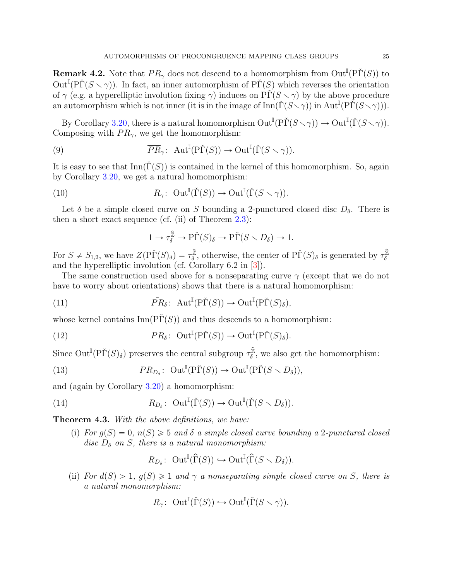<span id="page-24-3"></span>**Remark 4.2.** Note that  $PR_{\gamma}$  does not descend to a homomorphism from  $Out^{\mathbb{I}}(P\check{\Gamma}(S))$  to  $\text{Out}^{\mathbb{I}}(\text{P}\check{\Gamma}(S \setminus \gamma)).$  In fact, an inner automorphism of  $\text{P}\check{\Gamma}(S)$  which reverses the orientation of  $\gamma$  (e.g. a hyperelliptic involution fixing  $\gamma$ ) induces on PΓ $(S \setminus \gamma)$  by the above procedure an automorphism which is not inner (it is in the image of  $\text{Inn}(\check{\Gamma}(S\setminus\gamma))$  in  $\text{Aut}^{\mathbb{I}}(\check{\Pr}(S\setminus\gamma))$ ).

By Corollary [3.20,](#page-0-0) there is a natural homomorphism  $\mathrm{Out}^{\mathbb{I}}(\mathrm{P}\check{\Gamma}(S\smallsetminus\gamma))\to \mathrm{Out}^{\mathbb{I}}(\check{\Gamma}(S\smallsetminus\gamma)).$ Composing with  $PR_{\gamma}$ , we get the homomorphism:

(9) 
$$
\overline{PR}_{\gamma}
$$
:  $\text{Aut}^{\mathbb{I}}(\tilde{P}\tilde{\Gamma}(S)) \to \text{Out}^{\mathbb{I}}(\tilde{\Gamma}(S \setminus \gamma)).$ 

It is easy to see that  $\text{Inn}(\Gamma(S))$  is contained in the kernel of this homomorphism. So, again by Corollary [3.20,](#page-0-0) we get a natural homomorphism:

(10) 
$$
R_{\gamma}: \operatorname{Out}^{\mathbb{I}}(\check{\Gamma}(S)) \to \operatorname{Out}^{\mathbb{I}}(\check{\Gamma}(S \smallsetminus \gamma)).
$$

Let  $\delta$  be a simple closed curve on S bounding a 2-punctured closed disc  $D_{\delta}$ . There is then a short exact sequence (cf. (ii) of Theorem [2.3\)](#page-6-1):

<span id="page-24-1"></span>
$$
1 \to \tau_{\delta}^{\hat{\mathbb{Z}}} \to P\check{\Gamma}(S)_{\delta} \to P\check{\Gamma}(S \setminus D_{\delta}) \to 1.
$$

For  $S \neq S_{1,2}$ , we have  $Z(\widetilde{\mathrm{P}\Gamma}(S)_{\delta}) = \tau_{\delta}^{\widehat{\mathbb{Z}}}$  $\hat{\bar{z}}$ , otherwise, the center of  $\tilde{\text{PI}}(S)_{\delta}$  is generated by  $\tau_{\delta}^{\hat{\mathbb{Z}}}$ δ and the hyperelliptic involution (cf. Corollary 6.2 in [\[3\]](#page-50-1)).

The same construction used above for a nonseparating curve  $\gamma$  (except that we do not have to worry about orientations) shows that there is a natural homomorphism:

(11) 
$$
\tilde{PR}_{\delta}
$$
:  $\text{Aut}^{\mathbb{I}}(\text{P}\check{\Gamma}(S)) \to \text{Out}^{\mathbb{I}}(\text{P}\check{\Gamma}(S)_{\delta}),$ 

whose kernel contains  $\text{Inn}(P\check{\Gamma}(S))$  and thus descends to a homomorphism:

<span id="page-24-2"></span>(12) 
$$
PR_{\delta}: \ \operatorname{Out}^{\mathbb{I}}(\mathrm{P}\check{\Gamma}(S)) \to \operatorname{Out}^{\mathbb{I}}(\mathrm{P}\check{\Gamma}(S)_{\delta}).
$$

Since  $\mathrm{Out}^{\mathbb{I}}(\mathrm{P}\check{\Gamma}(S)_{\delta})$  preserves the central subgroup  $\tau_{\delta}^{\hat{\mathbb{Z}}}$  $\mathbb{Z}^{\mathbb{Z}}$ , we also get the homomorphism:

(13) 
$$
PR_{D_{\delta}}: \text{ Out}^{\mathbb{I}}(\text{P}\check{\Gamma}(S)) \to \text{Out}^{\mathbb{I}}(\text{P}\check{\Gamma}(S \setminus D_{\delta})),
$$

and (again by Corollary [3.20\)](#page-0-0) a homomorphism:

(14) 
$$
R_{D_{\delta}}\colon \text{ Out}^{\mathbb{I}}(\check{\Gamma}(S)) \to \text{Out}^{\mathbb{I}}(\check{\Gamma}(S \setminus D_{\delta})).
$$

<span id="page-24-0"></span>**Theorem 4.3.** With the above definitions, we have:

(i) For  $g(S) = 0$ ,  $n(S) \geq 5$  and  $\delta$  a simple closed curve bounding a 2-punctured closed disc  $D_{\delta}$  on S, there is a natural monomorphism:

$$
R_{D_{\delta}}\colon \operatorname{Out}^{\mathbb{I}}(\widehat{\Gamma}(S)) \hookrightarrow \operatorname{Out}^{\mathbb{I}}(\widehat{\Gamma}(S \setminus D_{\delta})).
$$

(ii) For  $d(S) > 1$ ,  $q(S) \geq 1$  and  $\gamma$  a nonseparating simple closed curve on S, there is a natural monomorphism:

$$
R_{\gamma} \colon \operatorname{Out}^{\mathbb{I}}(\check{\Gamma}(S)) \hookrightarrow \operatorname{Out}^{\mathbb{I}}(\check{\Gamma}(S \smallsetminus \gamma)).
$$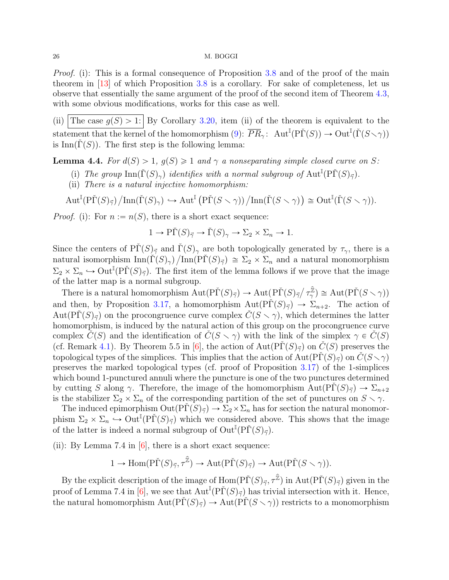<span id="page-25-1"></span>*Proof.* (i): This is a formal consequence of Proposition [3.8](#page-14-0) and of the proof of the main theorem in [\[13\]](#page-51-5) of which Proposition [3.8](#page-14-0) is a corollary. For sake of completeness, let us observe that essentially the same argument of the proof of the second item of Theorem [4.3,](#page-24-0) with some obvious modifications, works for this case as well.

(ii) The case  $g(S) > 1$ : By Corollary [3.20,](#page-0-0) item (ii) of the theorem is equivalent to the statement that the kernel of the homomorphism [\(9\)](#page-24-1):  $\overline{PR}_{\gamma}$ :  $Aut^{\mathbb{I}}(\tilde{P}\tilde{\Gamma}(S)) \to Out^{\mathbb{I}}(\tilde{\Gamma}(S \setminus \gamma))$ is Inn( $\Gamma(S)$ ). The first step is the following lemma:

<span id="page-25-0"></span>**Lemma 4.4.** For  $d(S) > 1$ ,  $g(S) \geq 1$  and  $\gamma$  a nonseparating simple closed curve on S:

- (i) The group  $\text{Inn}(\check{\Gamma}(S)_{\gamma})$  identifies with a normal subgroup of  $\text{Aut}^{\mathbb{I}}(\check{\Gamma}(S)_{\vec{\gamma}})$ .
- (ii) There is a natural injective homomorphism:

 $\operatorname{Aut}^\mathbb{I}({\mathrm{P}\check\Gamma}(S)_{\vec{\gamma}})$  $\text{Inn}(\check{\Gamma}(S)_{\gamma}) \hookrightarrow \text{Aut}^{\mathbb{I}}$  $\frac{\text{mean}}{\text{Pr}(S \setminus \gamma)} / \text{Inn}(\check{\Gamma}(S \setminus \gamma))$  $\cong$  Out<sup>I</sup>( $\check{\Gamma}(S \smallsetminus \gamma)$ ).

*Proof.* (i): For  $n := n(S)$ , there is a short exact sequence:

$$
1 \to \tilde{\mathrm{PT}}(S)_{\vec{\gamma}} \to \check{\Gamma}(S)_{\gamma} \to \Sigma_2 \times \Sigma_n \to 1.
$$

Since the centers of  $\tilde{\text{PI}}(S)_{\vec{\gamma}}$  and  $\tilde{\Gamma}(S)_{\gamma}$  are both topologically generated by  $\tau_{\gamma}$ , there is a natural isomorphism  $\text{Inn}(\check{\Gamma}(S)_{\gamma}) / \text{Inn}(\check{\Gamma}(S)_{\vec{\gamma}}) \cong \Sigma_2 \times \Sigma_n$  and a natural monomorphism  $\Sigma_2 \times \Sigma_n \hookrightarrow \mathrm{Out}^{\mathbb{I}}(\mathrm{P}\check{\Gamma}(S)_{\vec{\gamma}})$ . The first item of the lemma follows if we prove that the image of the latter map is a normal subgroup.

the latter map is a normal subgroup.<br>There is a natural homomorphism  $\text{Aut}(\text{P}\check{\Gamma}(S)_{\vec{\gamma}}) \to \text{Aut}(\text{P}\check{\Gamma}(S)_{\vec{\gamma}}/\tau_{\gamma}^{\hat{\mathbb{Z}}}$  $(\hat{\mathbb{Z}})\cong \mathrm{Aut}(\mathrm{P}\check{\Gamma}(S\smallsetminus\gamma))$ and then, by Proposition [3.17,](#page-18-1) a homomorphism  $\text{Aut}(\text{P}\check{\Gamma}(S)_{\vec{\gamma}}) \longrightarrow \Sigma_{n+2}$ . The action of Aut $(PI(S)_{\vec{\gamma}})$  on the procongruence curve complex  $\hat{C}(S \setminus \gamma)$ , which determines the latter homomorphism, is induced by the natural action of this group on the procongruence curve complex  $C(S)$  and the identification of  $C(S \setminus \gamma)$  with the link of the simplex  $\gamma \in C(S)$ (cf. Remark [4.1\)](#page-23-1). By Theorem 5.5 in [\[6\]](#page-51-9), the action of  $Aut(PI(S)_{\vec{\gamma}})$  on  $\check{C}(S)$  preserves the topological types of the simplices. This implies that the action of  $Aut(PT(S)_{\vec{\gamma}})$  on  $C(S \setminus \gamma)$ preserves the marked topological types (cf. proof of Proposition [3.17\)](#page-18-1) of the 1-simplices which bound 1-punctured annuli where the puncture is one of the two punctures determined by cutting S along  $\gamma$ . Therefore, the image of the homomorphism Aut $(PI(S)_{\vec{\gamma}}) \to \Sigma_{n+2}$ is the stabilizer  $\Sigma_2 \times \Sigma_n$  of the corresponding partition of the set of punctures on  $S \setminus \gamma$ .

The induced epimorphism  $Out(\tilde{P}\tilde{\Gamma}(S)_{\vec{\gamma}}) \to \Sigma_2 \times \Sigma_n$  has for section the natural monomorphism  $\Sigma_2 \times \Sigma_n \to \text{Out}^{\mathbb{I}}(\text{P}\check{\Gamma}(S)_{\vec{\gamma}})$  which we considered above. This shows that the image of the latter is indeed a normal subgroup of  $\text{Out}^{\mathbb{I}}(\text{P}\check{\Gamma}(S)_{\vec{\gamma}})$ .

(ii): By Lemma 7.4 in  $[6]$ , there is a short exact sequence:

$$
1 \to \mathrm{Hom}(\mathrm{P}\check{\Gamma}(S)_{\vec{\gamma}}, \tau^{\widehat{\mathbb{Z}}}) \to \mathrm{Aut}(\mathrm{P}\check{\Gamma}(S)_{\vec{\gamma}}) \to \mathrm{Aut}(\mathrm{P}\check{\Gamma}(S \smallsetminus \gamma)).
$$

By the explicit description of the image of  $\text{Hom}(\text{P}\check{\Gamma}(S)_{\vec{\gamma}}, \tau^{\hat{\mathbb{Z}}})$  in  $\text{Aut}(\text{P}\check{\Gamma}(S)_{\vec{\gamma}})$  given in the proof of Lemma 7.4 in [\[6\]](#page-51-9), we see that  $\text{Aut}^{\mathbb{I}}(\text{P}\check{\Gamma}(S)_{\vec{\gamma}})$  has trivial intersection with it. Hence, the natural homomorphism  $Aut(P\check{\Gamma}(S_{\check{\gamma}})) \to Aut(P\check{\Gamma}(S \setminus \gamma))$  restricts to a monomorphism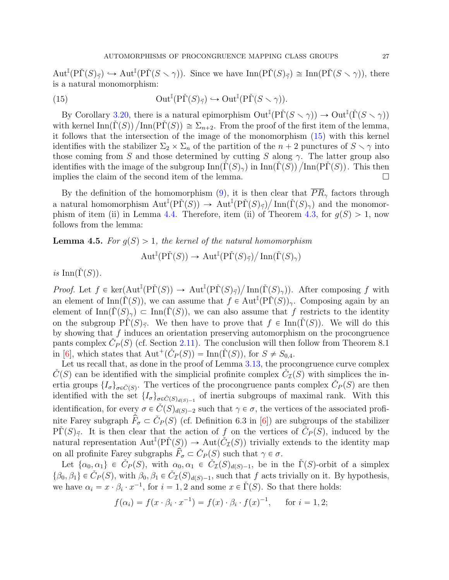<span id="page-26-2"></span> $\mathrm{Aut}^{\mathbb{I}}(\mathrm{P}\check{\Gamma}(S)_{\vec{\gamma}}) \hookrightarrow \mathrm{Aut}^{\mathbb{I}}(\mathrm{P}\check{\Gamma}(S\smallsetminus\gamma)).$  Since we have  $\mathrm{Inn}(\mathrm{P}\check{\Gamma}(S)_{\vec{\gamma}}) \cong \mathrm{Inn}(\mathrm{P}\check{\Gamma}(S\smallsetminus\gamma)),$  there is a natural monomorphism:

<span id="page-26-0"></span>(15) 
$$
\operatorname{Out}^{\mathbb{I}}(\mathrm{P}\check{\Gamma}(S)_{\vec{\gamma}}) \hookrightarrow \operatorname{Out}^{\mathbb{I}}(\mathrm{P}\check{\Gamma}(S \smallsetminus \gamma)).
$$

By Corollary [3.20,](#page-0-0) there is a natural epimorphism  $\mathrm{Out}^{\mathbb{I}}(\mathrm{P}\check{\Gamma}(S \setminus \gamma)) \to \mathrm{Out}^{\mathbb{I}}(\check{\Gamma}(S \setminus \gamma))$ By Corollary 3.20, there is a natural epimorphism  $Out^*(PI(S \setminus \gamma)) \to Out^*(\Gamma(S \setminus \gamma))$ <br>with kernel Inn( $\check{\Gamma}(S)$ ) /Inn( $\check{\Gamma}(S)$ )  $\cong \Sigma_{n+2}$ . From the proof of the first item of the lemma, it follows that the intersection of the image of the monomorphism [\(15\)](#page-26-0) with this kernel identifies with the stabilizer  $\Sigma_2 \times \Sigma_n$  of the partition of the  $n + 2$  punctures of  $S \setminus \gamma$  into those coming from S and those determined by cutting S along  $\gamma$ . The latter group also those coming from S and those determined by cutting S along  $\gamma$ . The latter group also identifies with the image of the subgroup  $\text{Inn}(\check{\Gamma}(S)_{\gamma})$  in  $\text{Inn}(\check{\Gamma}(S)) / \text{Inn}(\check{\Gamma}(S))$ . This then implies the claim of the second item of the lemma.  $\Box$ 

By the definition of the homomorphism [\(9\)](#page-24-1), it is then clear that  $PR_{\gamma}$  factors through a natural homomorphism  $\mathrm{Aut}^{\mathbb{I}}(\mathrm{P}\check{\Gamma}(S)) \to \mathrm{Aut}^{\mathbb{I}}(\mathrm{P}\check{\Gamma}(S)_{\vec{\gamma}})/\mathrm{Inn}(\check{\Gamma}(S)_{\gamma})$  and the monomor-phism of item (ii) in Lemma [4.4.](#page-25-0) Therefore, item (ii) of Theorem [4.3,](#page-24-0) for  $g(S) > 1$ , now follows from the lemma:

# <span id="page-26-1"></span>**Lemma 4.5.** For  $g(S) > 1$ , the kernel of the natural homomorphism

$$
\operatorname{Aut}^\mathbb{I}(\mathrm{P}\check{\Gamma}(S)) \to \left.\operatorname{Aut}^\mathbb{I}(\mathrm{P}\check{\Gamma}(S)_{\vec{\gamma}})\right/\operatorname{Inn}(\check{\Gamma}(S)_{\gamma})
$$

is  $\text{Inn}(\dot{\Gamma}(S)).$ 

Proof. Let  $f \in \text{ker}(\text{Aut}^{\mathbb{I}}(\text{P}\check{\Gamma}(S)) \to \text{Aut}^{\mathbb{I}}(\text{P}\check{\Gamma}(S)_{\vec{\gamma}})$ Inn( $\check{\Gamma}(S)_{\gamma}$ )). After composing f with an element of Inn( $\check{\Gamma}(S)$ ), we can assume that  $f \in Aut^{\mathbb{I}}(\mathrm{P}\check{\Gamma}(S))_{\gamma}$ . Composing again by an element of  $\text{Inn}(\Gamma(S_{\gamma}) \subset \text{Inn}(\Gamma(S))$ , we can also assume that f restricts to the identity on the subgroup  $\Pr(S)_{\vec{\gamma}}$ . We then have to prove that  $f \in \text{Inn}(\Gamma(S))$ . We will do this by showing that  $f$  induces an orientation preserving automorphism on the procongruence pants complex  $\check{C}_P(S)$  (cf. Section [2.11\)](#page-11-0). The conclusion will then follow from Theorem 8.1 in [\[6\]](#page-51-9), which states that  $\text{Aut}^+(\check{C}_P(S)) = \text{Inn}(\check{\Gamma}(S))$ , for  $S \neq S_{0,4}$ .

Let us recall that, as done in the proof of Lemma [3.13,](#page-16-0) the procongruence curve complex  $\check{C}(S)$  can be identified with the simplicial profinite complex  $\check{C}_{\mathcal{I}}(S)$  with simplices the inertia groups  $\{I_{\sigma}\}_{\sigma \in \tilde{C}(S)}$ . The vertices of the procongruence pants complex  $\tilde{C}_P(S)$  are then identified with the set  $\{I_{\sigma}\}_{{\sigma}\in\check{C}(S)_{d(S)-1}}$  of inertia subgroups of maximal rank. With this identification, for every  $\sigma \in C(S)_{d(S)-2}$  such that  $\gamma \in \sigma$ , the vertices of the associated profinite Farey subgraph  $\hat{F}_{\sigma} \subset \check{C}_P(S)$  (cf. Definition 6.3 in [\[6\]](#page-51-9)) are subgroups of the stabilizer  $\widetilde{\text{PT}}(S)_{\vec{\gamma}}$ . It is then clear that the action of f on the vertices of  $\widetilde{C}_P(S)$ , induced by the natural representation  $\text{Aut}^{\mathbb{I}}(\text{P}\check{\Gamma}(S)) \to \text{Aut}(\check{C}_{\mathcal{I}}(S))$  trivially extends to the identity map on all profinite Farey subgraphs  $\hat{F}_{\sigma} \subset \check{C}_P(S)$  such that  $\gamma \in \sigma$ .

Let  $\{\alpha_0, \alpha_1\} \in \check{C}_P(S)$ , with  $\alpha_0, \alpha_1 \in \check{C}_I(S)_{d(S)-1}$ , be in the  $\check{\Gamma}(S)$ -orbit of a simplex  $\{\beta_0, \beta_1\} \in \check{C}_P(S)$ , with  $\beta_0, \beta_1 \in \check{C}_\mathcal{I}(S)_{d(S)-1}$ , such that f acts trivially on it. By hypothesis, we have  $\alpha_i = x \cdot \beta_i \cdot x^{-1}$ , for  $i = 1, 2$  and some  $x \in \check{\Gamma}(S)$ . So that there holds:

$$
f(\alpha_i) = f(x \cdot \beta_i \cdot x^{-1}) = f(x) \cdot \beta_i \cdot f(x)^{-1}
$$
, for  $i = 1, 2$ ;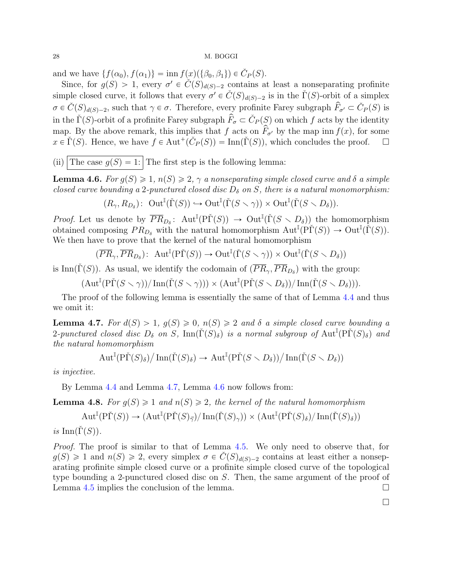and we have  $\{f(\alpha_0), f(\alpha_1)\} = \text{inn } f(x)(\{\beta_0, \beta_1\}) \in \check{C}_P(S)$ .

Since, for  $g(S) > 1$ , every  $\sigma' \in \check{C}(S)_{d(S)-2}$  contains at least a nonseparating profinite simple closed curve, it follows that every  $\sigma' \in \check{C}(S)_{d(S)-2}$  is in the  $\check{\Gamma}(S)$ -orbit of a simplex  $\sigma \in \check{C}(S)_{d(S)-2}$ , such that  $\gamma \in \sigma$ . Therefore, every profinite Farey subgraph  $\hat{F}_{\sigma'} \subset \check{C}_P(S)$  is in the  $\check{\Gamma}(S)$ -orbit of a profinite Farey subgraph  $\hat{F}_{\sigma} \subset \check{C}_P(S)$  on which f acts by the identity map. By the above remark, this implies that f acts on  $\hat{F}_{\sigma}$  by the map inn  $f(x)$ , for some  $x \in \check{\Gamma}(S)$ . Hence, we have  $f \in \text{Aut}^+(\check{C}_P(S)) = \text{Inn}(\check{\Gamma}(S))$ , which concludes the proof.  $\square$ 

(ii) The case  $g(S) = 1$ : The first step is the following lemma:

<span id="page-27-1"></span>**Lemma 4.6.** For  $g(S) \geq 1$ ,  $n(S) \geq 2$ ,  $\gamma$  a nonseparating simple closed curve and  $\delta$  a simple closed curve bounding a 2-punctured closed disc  $D_{\delta}$  on S, there is a natural monomorphism:

$$
(R_{\gamma}, R_{D_{\delta}}): \ \operatorname{Out}^{\mathbb{I}}(\check{\Gamma}(S)) \hookrightarrow \operatorname{Out}^{\mathbb{I}}(\check{\Gamma}(S \smallsetminus \gamma)) \times \operatorname{Out}^{\mathbb{I}}(\check{\Gamma}(S \smallsetminus D_{\delta})).
$$

*Proof.* Let us denote by  $\overline{PR}_{D_{\delta}}$ :  $Aut^{\mathbb{I}}(P\check{\Gamma}(S)) \rightarrow Out^{\mathbb{I}}(\check{\Gamma}(S \setminus D_{\delta}))$  the homomorphism obtained composing  $PR_{D_{\delta}}$  with the natural homomorphism  $\text{Aut}^{\mathbb{I}}(\tilde{P}\tilde{\Gamma}(S)) \to \text{Out}^{\mathbb{I}}(\tilde{\Gamma}(S)).$ We then have to prove that the kernel of the natural homomorphism

$$
(\overline{PR}_{\gamma}, \overline{PR}_{D_{\delta}}): \ \operatorname{Aut}^{\mathbb{I}}(\mathrm{P}\check{\Gamma}(S)) \to \operatorname{Out}^{\mathbb{I}}(\check{\Gamma}(S \smallsetminus \gamma)) \times \operatorname{Out}^{\mathbb{I}}(\check{\Gamma}(S \smallsetminus D_{\delta}))
$$

is Inn( $\check{\Gamma}(S)$ ). As usual, we identify the codomain of  $(\overline{PR}_{\gamma}, \overline{PR}_{D_{\delta}})$  with the group:

$$
(\operatorname{Aut}^\mathbb{I}({\mathrm{P}\check\Gamma}(S\smallsetminus\gamma))/\operatorname{Inn}({\check\Gamma}(S\smallsetminus\gamma)))\times (\operatorname{Aut}^\mathbb{I}({\mathrm{P}\check\Gamma}(S\smallsetminus D_\delta))/\operatorname{Inn}({\check\Gamma}(S\smallsetminus D_\delta))).
$$

The proof of the following lemma is essentially the same of that of Lemma [4.4](#page-25-0) and thus we omit it:

<span id="page-27-0"></span>**Lemma 4.7.** For  $d(S) > 1$ ,  $g(S) \geq 0$ ,  $n(S) \geq 2$  and  $\delta$  a simple closed curve bounding a 2-punctured closed disc  $D_{\delta}$  on S,  $\text{Inn}(\check{\Gamma}(S)_{\delta})$  is a normal subgroup of  $\text{Aut}^{\mathbb{I}}(\check{\Gamma}(S)_{\delta})$  and the natural homomorphism L

$$
\operatorname{Aut}^{\mathbb{I}}(\operatorname{P\check{\Gamma}}(S)_{\delta})/\operatorname{Inn}(\check{\Gamma}(S)_{\delta}) \to \operatorname{Aut}^{\mathbb{I}}(\operatorname{P\check{\Gamma}}(S \smallsetminus D_{\delta}))/\operatorname{Inn}(\check{\Gamma}(S \smallsetminus D_{\delta}))
$$

is injective.

By Lemma [4.4](#page-25-0) and Lemma [4.7,](#page-27-0) Lemma [4.6](#page-27-1) now follows from:

**Lemma 4.8.** For  $g(S) \geq 1$  and  $n(S) \geq 2$ , the kernel of the natural homomorphism

$$
\operatorname{Aut}^\mathbb{I}(\mathrm{P}\check{\Gamma}(S)) \to (\operatorname{Aut}^\mathbb{I}(\mathrm{P}\check{\Gamma}(S)_{\vec{\gamma}})/\operatorname{Inn}(\check{\Gamma}(S)_{\gamma})) \times (\operatorname{Aut}^\mathbb{I}(\mathrm{P}\check{\Gamma}(S)_{\delta})/\operatorname{Inn}(\check{\Gamma}(S)_{\delta}))
$$

is Inn( $\check{\Gamma}(S)$ ).

Proof. The proof is similar to that of Lemma [4.5.](#page-26-1) We only need to observe that, for  $g(S) \geq 1$  and  $n(S) \geq 2$ , every simplex  $\sigma \in C(S)_{d(S)-2}$  contains at least either a nonseparating profinite simple closed curve or a profinite simple closed curve of the topological type bounding a 2-punctured closed disc on S. Then, the same argument of the proof of Lemma [4.5](#page-26-1) implies the conclusion of the lemma.  $\Box$ 

 $\Box$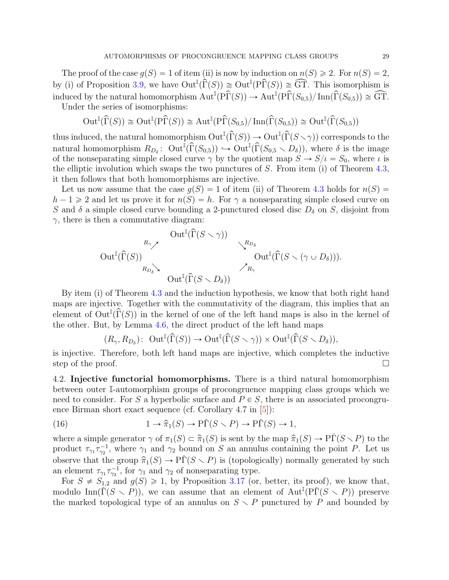<span id="page-28-2"></span>The proof of the case  $g(S) = 1$  of item (ii) is now by induction on  $n(S) \geq 2$ . For  $n(S) = 2$ , by (i) of Proposition [3.9,](#page-15-1) we have  $\text{Out}^{\mathbb{I}}(\hat{\Gamma}(S)) \cong \text{Out}^{\mathbb{I}}(\widehat{\Gamma}(S)) \cong \widehat{\text{GT}}$ . This isomorphism is induced by the natural homomorphism  $\text{Aut}^{\mathbb{I}}(P\hat{\Gamma}(S)) \to \text{Aut}^{\mathbb{I}}(P\hat{\Gamma}(S_{0,5})/\text{Inn}(\hat{\Gamma}(S_{0,5})) \cong \widehat{\text{GT}}$ . Under the series of isomorphisms:

$$
\operatorname{Out}^\mathbb{I}(\widehat\Gamma(S))\cong\operatorname{Out}^\mathbb{I}({\mathrm{P}\widehat\Gamma}(S))\cong\operatorname{Aut}^\mathbb{I}({\mathrm{P}\widehat\Gamma}(S_{0,5})/\operatorname{Inn}(\widehat\Gamma(S_{0,5}))\cong\operatorname{Out}^\mathbb{I}(\widehat\Gamma(S_{0,5}))
$$

thus induced, the natural homomorphism  $\mathrm{Out}^\mathbb{I}(\widehat\Gamma(S))\to \mathrm{Out}^\mathbb{I}(\widehat\Gamma(S\smallsetminus\gamma))$  corresponds to the natural homomorphism  $R_{D_{\delta}}$ :  $\mathrm{Out}^{\mathbb{I}}(\widehat{\Gamma}(S_{0,5})) \hookrightarrow \mathrm{Out}^{\mathbb{I}}(\widehat{\Gamma}(S_{0,5} \setminus D_{\delta})),$  where  $\delta$  is the image of the nonseparating simple closed curve  $\gamma$  by the quotient map  $S \to S/\iota = S_0$ , where  $\iota$  is the elliptic involution which swaps the two punctures of  $S$ . From item (i) of Theorem [4.3,](#page-24-0) it then follows that both homomorphisms are injective.

Let us now assume that the case  $g(S) = 1$  of item (ii) of Theorem [4.3](#page-24-0) holds for  $n(S) =$  $h - 1 \geq 2$  and let us prove it for  $n(S) = h$ . For  $\gamma$  a nonseparating simple closed curve on S and  $\delta$  a simple closed curve bounding a 2-punctured closed disc  $D_{\delta}$  on S, disjoint from  $\gamma$ , there is then a commutative diagram:

$$
\begin{array}{ccccc}\n& & \text{Out}^{\mathbb{I}}(\widehat{\Gamma}(S \smallsetminus \gamma)) & & & \\
& & \downarrow^{R_{D_{\delta}}} & & \\
& & & \downarrow^{R_{D_{\delta}}} & \\
& & & \text{Out}^{\mathbb{I}}(\widehat{\Gamma}(S \smallsetminus ( \gamma \cup D_{\delta}))). & \\
& & & \downarrow^{R_{D_{\delta}}} & \\
& & & \downarrow^{R_{D_{\delta}}} & \\
& & & & \downarrow^{R_{\gamma}} & \\
& & & & \downarrow^{R_{\gamma}} & \\
& & & & \downarrow^{R_{\gamma}} & \\
& & & & \downarrow^{R_{\gamma}} & \\
& & & & & \downarrow^{R_{\gamma}} & \\
& & & & & \downarrow^{R_{\gamma}} & \\
& & & & & \downarrow^{R_{\gamma}} & \\
& & & & & & \downarrow^{R_{\gamma}} & \\
& & & & & & \downarrow^{R_{\gamma}} & \\
& & & & & & \downarrow^{R_{\gamma}} & \\
& & & & & & \downarrow^{R_{\gamma}} & \\
& & & & & & \downarrow^{R_{\gamma}} & \\
& & & & & & \downarrow^{R_{\gamma}} & \\
& & & & & & \downarrow^{R_{\gamma}} & \\
& & & & & & & \downarrow^{R_{\gamma}} & \\
& & & & & & & \downarrow^{R_{\gamma}} & \\
& & & & & & & \downarrow^{R_{\gamma}} & \\
& & & & & & & \downarrow^{R_{\gamma}} & \\
& & & & & & & \downarrow^{R_{\gamma}} & \\
& & & & & & & \downarrow^{R_{\gamma}} & \\
& & & & & & & \downarrow^{R_{\gamma}} & \\
& & & & & & & & \downarrow^{R_{\gamma}} & \\
& & & & & & & & \downarrow^{R_{\gamma}} & \\
& & & & & & & & \downarrow^{R_{\gamma}} & \\
& & & & & & & & \downarrow^{R_{\gamma}} & \\
& & & & & & & & \downarrow^{R_{\gamma}} & \\
& & & & & & & & \downarrow^{R_{\gamma}} & \\
& & & & & & & & \downarrow^{R_{\gamma}} & \\
& & & & & & & & \downarrow^{R_{\gamma}} & \\
& & & & & & & & \downarrow^{R_{\gamma}} & \\
& & & & & & & & \downarrow^{R_{\gamma}} & \\
& & & & & & & & \downarrow^{R_{\gamma}} & \\
& & & & & & & & \downarrow^{R_{\gamma}} & \\
& & & & & & & & \downarrow^{R_{\gamma}} & \\
& & & & & & & & \downarrow^{R_{\gamma
$$

By item (i) of Theorem [4.3](#page-24-0) and the induction hypothesis, we know that both right hand maps are injective. Together with the commutativity of the diagram, this implies that an element of  $\text{Out}^{\mathbb{I}}(\widehat{\Gamma}(S))$  in the kernel of one of the left hand maps is also in the kernel of the other. But, by Lemma [4.6,](#page-27-1) the direct product of the left hand maps

$$
(R_{\gamma}, R_{D_{\delta}}): \ \operatorname{Out}^{\mathbb{I}}(\widehat{\Gamma}(S)) \to \operatorname{Out}^{\mathbb{I}}(\widehat{\Gamma}(S \smallsetminus \gamma)) \times \operatorname{Out}^{\mathbb{I}}(\widehat{\Gamma}(S \smallsetminus D_{\delta})),
$$

is injective. Therefore, both left hand maps are injective, which completes the inductive step of the proof.  $\Box$ 

<span id="page-28-1"></span>4.2. Injective functorial homomorphisms. There is a third natural homomorphism between outer I-automorphism groups of procongruence mapping class groups which we need to consider. For S a hyperbolic surface and  $P \in S$ , there is an associated procongruence Birman short exact sequence (cf. Corollary 4.7 in [\[5\]](#page-51-2)):

<span id="page-28-0"></span>(16) 
$$
1 \to \hat{\pi}_1(S) \to \tilde{\text{PT}}(S \smallsetminus P) \to \tilde{\text{PT}}(S) \to 1,
$$

where a simple generator  $\gamma$  of  $\pi_1(S) \subset \hat{\pi}_1(S)$  is sent by the map  $\hat{\pi}_1(S) \to \tilde{\text{PI}}(S \setminus P)$  to the product  $\tau_{\gamma_1} \tau_{\gamma_2}^{-1}$ , where  $\gamma_1$  and  $\gamma_2$  bound on S an annulus containing the point P. Let us observe that the group  $\hat{\pi}_1(S) \to \tilde{\Gamma}(S \setminus P)$  is (topologically) normally generated by such an element  $\tau_{\gamma_1} \tau_{\gamma_2}^{-1}$ , for  $\gamma_1$  and  $\gamma_2$  of nonseparating type.

For  $S \neq S_{1,2}$  and  $g(S) \geq 1$ , by Proposition [3.17](#page-18-1) (or, better, its proof), we know that, modulo  $\text{Inn}(\check{\Gamma}(S \setminus P))$ , we can assume that an element of  $\text{Aut}^{\mathbb{I}}(\check{P}\check{\Gamma}(S \setminus P))$  preserve the marked topological type of an annulus on  $S \setminus P$  punctured by P and bounded by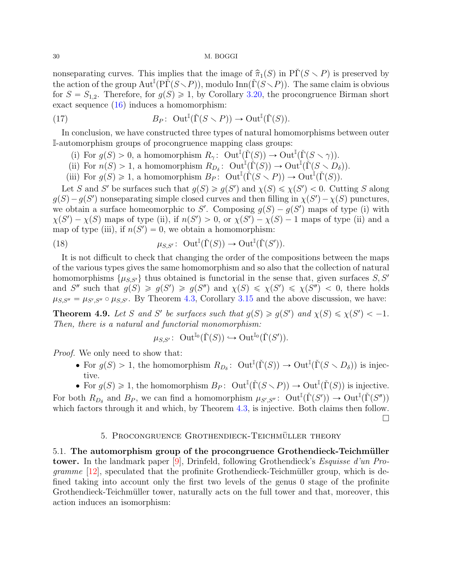<span id="page-29-2"></span>nonseparating curves. This implies that the image of  $\hat{\pi}_1(S)$  in P $\check{\Gamma}(S \setminus P)$  is preserved by the action of the group  $\text{Aut}^{\mathbb{I}}(P\check{\Gamma}(S\setminus P)),$  modulo  $\text{Inn}(\check{\Gamma}(S\setminus P)).$  The same claim is obvious for  $S = S_{1,2}$ . Therefore, for  $g(S) \geq 1$ , by Corollary [3.20,](#page-0-0) the procongruence Birman short exact sequence [\(16\)](#page-28-0) induces a homomorphism:

(17) 
$$
B_P: \quad \text{Out}^{\mathbb{I}}(\check{\Gamma}(S \setminus P)) \to \text{Out}^{\mathbb{I}}(\check{\Gamma}(S)).
$$

In conclusion, we have constructed three types of natural homomorphisms between outer I-automorphism groups of procongruence mapping class groups:

- <span id="page-29-1"></span>(i) For  $g(S) > 0$ , a homomorphism  $R_\gamma$ :  $\text{Out}^{\mathbb{I}}(\check{\Gamma}(S)) \to \text{Out}^{\mathbb{I}}(\check{\Gamma}(S \setminus \gamma)).$
- (ii) For  $n(S) > 1$ , a homomorphism  $R_{D_{\delta}}$ :  $\mathrm{Out}^{\mathbb{I}}(\check{\Gamma}(S)) \to \mathrm{Out}^{\mathbb{I}}(\check{\Gamma}(S \setminus D_{\delta})).$
- (iii) For  $g(S) \geq 1$ , a homomorphism  $B_P$ :  $Out^{\mathbb{I}}(\check{\Gamma}(S \setminus P)) \to Out^{\mathbb{I}}(\check{\Gamma}(S)).$

Let S and S' be surfaces such that  $g(S) \ge g(S')$  and  $\chi(S) \le \chi(S') < 0$ . Cutting S along  $g(S) - g(S')$  nonseparating simple closed curves and then filling in  $\chi(S') - \chi(S)$  punctures, we obtain a surface homeomorphic to S'. Composing  $g(S) - g(S')$  maps of type (i) with  $\chi(S') - \chi(S)$  maps of type (ii), if  $n(S') > 0$ , or  $\chi(S') - \chi(S) - 1$  maps of type (ii) and a map of type (iii), if  $n(S') = 0$ , we obtain a homomorphism:

(18) 
$$
\mu_{S,S'}\colon \operatorname{Out}^{\mathbb{I}}(\check{\Gamma}(S)) \to \operatorname{Out}^{\mathbb{I}}(\check{\Gamma}(S')).
$$

It is not difficult to check that changing the order of the compositions between the maps of the various types gives the same homomorphism and so also that the collection of natural homomorphisms  $\{\mu_{S,S'}\}$  thus obtained is functorial in the sense that, given surfaces S, S' and S'' such that  $g(S) \geq g(S') \geq g(S'')$  and  $\chi(S) \leq \chi(S') \leq \chi(S'') < 0$ , there holds  $\mu_{S,S''} = \mu_{S',S''} \circ \mu_{S,S'}$ . By Theorem [4.3,](#page-24-0) Corollary [3.15](#page-18-2) and the above discussion, we have:

<span id="page-29-0"></span>**Theorem 4.9.** Let S and S' be surfaces such that  $g(S) \ge g(S')$  and  $\chi(S) \le \chi(S') < -1$ . Then, there is a natural and functorial monomorphism:

$$
\mu_{S,S'}\colon \operatorname{Out}^{\mathbb{I}_0}(\check\Gamma(S))\hookrightarrow \operatorname{Out}^{\mathbb{I}_0}(\check\Gamma(S')).
$$

Proof. We only need to show that:

- For  $g(S) > 1$ , the homomorphism  $R_{D_{\delta}}$ :  $Out^{\mathbb{I}}(\check{\Gamma}(S)) \to Out^{\mathbb{I}}(\check{\Gamma}(S \setminus D_{\delta}))$  is injective.
- For  $g(S) \geq 1$ , the homomorphism  $B_P$ :  $\text{Out}^{\mathbb{I}}(\check{\Gamma}(S \setminus P)) \to \text{Out}^{\mathbb{I}}(\check{\Gamma}(S))$  is injective.

For both  $R_{D_{\delta}}$  and  $B_P$ , we can find a homomorphism  $\mu_{S',S''}$ :  $\mathrm{Out}^{\mathbb{I}}(\check{\Gamma}(S')) \to \mathrm{Out}^{\mathbb{I}}(\check{\Gamma}(S''))$ which factors through it and which, by Theorem [4.3,](#page-24-0) is injective. Both claims then follow.

 $\Box$ 

## 5. PROCONGRUENCE GROTHENDIECK-TEICHMÜLLER THEORY

5.1. The automorphism group of the procongruence Grothendieck-Teichmüller tower. In the landmark paper [\[9\]](#page-51-4), Drinfeld, following Grothendieck's Esquisse d'un Pro*gramme* [\[12\]](#page-51-3), speculated that the profinite Grothendieck-Teichmüller group, which is defined taking into account only the first two levels of the genus 0 stage of the profinite Grothendieck-Teichmüller tower, naturally acts on the full tower and that, moreover, this action induces an isomorphism: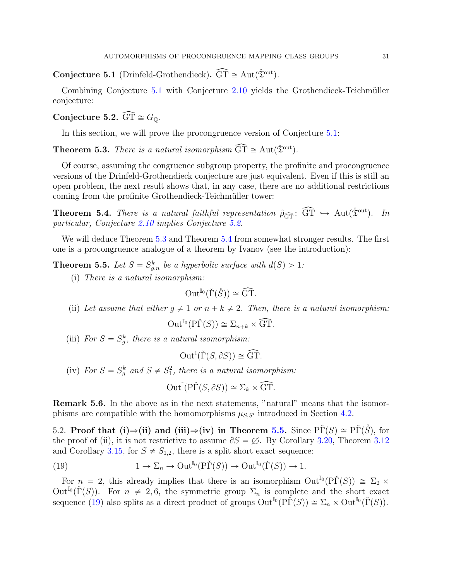<span id="page-30-2"></span>**Conjecture 5.1** (Drinfeld-Grothendieck).  $\widehat{GT} \cong Aut(\hat{\mathfrak{T}}^{out})$ .

Combining Conjecture  $5.1$  with Conjecture  $2.10$  yields the Grothendieck-Teichmüller conjecture:

<span id="page-30-3"></span>Conjecture 5.2.  $\widehat{\text{GT}} \cong G_{\mathbb{Q}}$ .

In this section, we will prove the procongruence version of Conjecture [5.1:](#page-30-2)

<span id="page-30-4"></span>**Theorem 5.3.** There is a natural isomorphism  $\widehat{GT} \cong Aut(\check{\mathfrak{T}}^{out})$ .

Of course, assuming the congruence subgroup property, the profinite and procongruence versions of the Drinfeld-Grothendieck conjecture are just equivalent. Even if this is still an open problem, the next result shows that, in any case, there are no additional restrictions coming from the profinite Grothendieck-Teichmüller tower:

<span id="page-30-1"></span>**Theorem 5.4.** There is a natural faithful representation  $\hat{\rho}_{\widehat{GT}}$ :  $\widehat{GT} \hookrightarrow \text{Aut}(\hat{\mathfrak{T}}^{out})$ . In particular, Conjecture [2.10](#page-10-0) implies Conjecture [5.2.](#page-30-3)

We will deduce Theorem [5.3](#page-30-4) and Theorem [5.4](#page-30-1) from somewhat stronger results. The first one is a procongruence analogue of a theorem by Ivanov (see the introduction):

<span id="page-30-0"></span>**Theorem 5.5.** Let  $S = S_{g,n}^k$  be a hyperbolic surface with  $d(S) > 1$ :

(i) There is a natural isomorphism:

$$
\operatorname{Out}^{\mathbb{I}_0}(\check{\Gamma}(\mathring{S})) \cong \widehat{\operatorname{GT}}.
$$

(ii) Let assume that either  $q \neq 1$  or  $n + k \neq 2$ . Then, there is a natural isomorphism:

$$
\operatorname{Out}^{\mathbb{I}_0}(\mathrm{P}\check{\Gamma}(S)) \cong \Sigma_{n+k} \times \widehat{\operatorname{GT}}.
$$

(iii) For  $S = S_g^k$ , there is a natural isomorphism:

$$
\operatorname{Out}^{\mathbb{I}}(\check{\Gamma}(S, \partial S)) \cong \widehat{\operatorname{GT}}.
$$

(iv) For  $S = S_g^k$  and  $S \neq S_1^2$ , there is a natural isomorphism:

$$
\operatorname{Out}^{\mathbb{I}}(\mathrm{P}\check{\Gamma}(S,\partial S)) \cong \Sigma_k \times \widehat{\operatorname{GT}}.
$$

Remark 5.6. In the above as in the next statements, "natural" means that the isomorphisms are compatible with the homomorphisms  $\mu_{S,S'}$  introduced in Section [4.2.](#page-28-1)

<span id="page-30-6"></span>5.2. Proof that (i) $\Rightarrow$ (ii) and (iii) $\Rightarrow$ (iv) in Theorem [5.5.](#page-30-0) Since PΓ(S)  $\cong$  PΓ(S), for the proof of (ii), it is not restrictive to assume  $\partial S = \emptyset$ . By Corollary [3.20,](#page-0-0) Theorem [3.12](#page-16-1) and Corollary [3.15,](#page-18-2) for  $S \neq S_{1,2}$ , there is a split short exact sequence:

<span id="page-30-5"></span>(19) 
$$
1 \to \Sigma_n \to \mathrm{Out}^{\mathbb{I}_0}(\mathrm{P}\check{\Gamma}(S)) \to \mathrm{Out}^{\mathbb{I}_0}(\check{\Gamma}(S)) \to 1.
$$

For  $n = 2$ , this already implies that there is an isomorphism  $Out^{I_0}(P\check{\Gamma}(S)) \cong \Sigma_2 \times$ Out<sup>I<sub>0</sub></sup>( $\check{\Gamma}(S)$ ). For  $n \neq 2, 6$ , the symmetric group  $\Sigma_n$  is complete and the short exact sequence [\(19\)](#page-30-5) also splits as a direct product of groups  $\text{Out}^{\mathbb{I}_0}(\text{P}\check{\Gamma}(S)) \cong \Sigma_n \times \text{Out}^{\mathbb{I}_0}(\check{\Gamma}(S)).$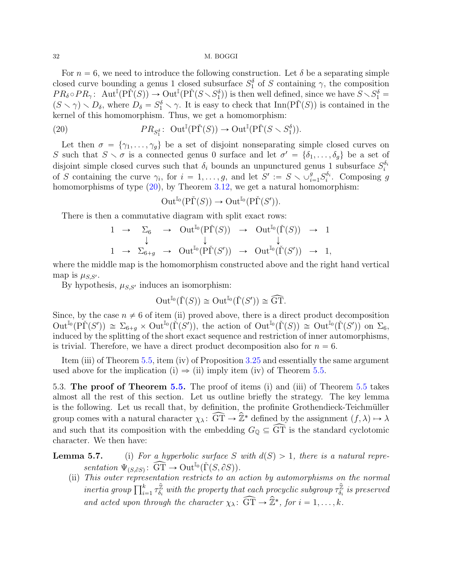For  $n = 6$ , we need to introduce the following construction. Let  $\delta$  be a separating simple closed curve bounding a genus 1 closed subsurface  $S_1^{\delta}$  of S containing  $\gamma$ , the composition  $PR_{\delta} \circ PR_{\gamma}$ : Aut<sup>I</sup> $(P\check{\Gamma}(S)) \to \text{Out}^{\mathbb{I}}(P\check{\Gamma}(S \setminus S_1^{\delta}))$  is then well defined, since we have  $S \setminus S_1^{\delta} =$  $(S \setminus \gamma) \setminus D_{\delta}$ , where  $D_{\delta} = S_1^{\delta} \setminus \gamma$ . It is easy to check that Inn(P $\check{\Gamma}(S)$ ) is contained in the kernel of this homomorphism. Thus, we get a homomorphism:

(20) 
$$
PR_{S_1^{\delta}}: \ \operatorname{Out}^{\mathbb{I}}(\mathrm{P}\check{\Gamma}(S)) \to \operatorname{Out}^{\mathbb{I}}(\mathrm{P}\check{\Gamma}(S \setminus S_1^{\delta})).
$$

Let then  $\sigma = \{\gamma_1, \ldots, \gamma_g\}$  be a set of disjoint nonseparating simple closed curves on S such that  $S \setminus \sigma$  is a connected genus 0 surface and let  $\sigma' = \{\delta_1, \ldots, \delta_g\}$  be a set of disjoint simple closed curves such that  $\delta_i$  bounds an unpunctured genus 1 subsurface  $S_i^{\delta_i}$ of S containing the curve  $\gamma_i$ , for  $i = 1, \ldots, g$ , and let  $S' := S \setminus \cup_{i=1}^g S_i^{\delta_i}$ . Composing g homomorphisms of type  $(20)$ , by Theorem [3.12,](#page-16-1) we get a natural homomorphism:

<span id="page-31-0"></span>
$$
\operatorname{Out}^{\mathbb{I}_0}(\mathrm{P}\check{\Gamma}(S)) \to \operatorname{Out}^{\mathbb{I}_0}(\mathrm{P}\check{\Gamma}(S')).
$$

There is then a commutative diagram with split exact rows:

$$
\begin{array}{ccccccc}\n1 & \rightarrow & \Sigma_{6} & \rightarrow & \text{Out}^{\mathbb{I}_{0}}(\tilde{\text{PI}}(S)) & \rightarrow & \text{Out}^{\mathbb{I}_{0}}(\check{\text{I}}(S)) & \rightarrow & 1 \\
 & \downarrow & & \downarrow & & \downarrow \\
1 & \rightarrow & \Sigma_{6+g} & \rightarrow & \text{Out}^{\mathbb{I}_{0}}(\tilde{\text{PI}}(S')) & \rightarrow & \text{Out}^{\mathbb{I}_{0}}(\check{\text{I}}(S')) & \rightarrow & 1,\n\end{array}
$$

where the middle map is the homomorphism constructed above and the right hand vertical map is  $\mu_{S,S'}$ .

By hypothesis,  $\mu_{S,S'}$  induces an isomorphism:

$$
\operatorname{Out}^{\mathbb{I}_0}(\check{\Gamma}(S)) \cong \operatorname{Out}^{\mathbb{I}_0}(\check{\Gamma}(S')) \cong \widehat{\operatorname{GT}}.
$$

Since, by the case  $n \neq 6$  of item (ii) proved above, there is a direct product decomposition  $\mathrm{Out}^{\mathbb{I}_{0}}(\mathrm{P}\check{\Gamma}(S')) \cong \Sigma_{6+g} \times \mathrm{Out}^{\mathbb{I}_{0}}(\check{\Gamma}(S'))$ , the action of  $\mathrm{Out}^{\mathbb{I}_{0}}(\check{\Gamma}(S')) \cong \mathrm{Out}^{\mathbb{I}_{0}}(\check{\Gamma}(S'))$  on  $\Sigma_{6}$ , induced by the splitting of the short exact sequence and restriction of inner automorphisms, is trivial. Therefore, we have a direct product decomposition also for  $n = 6$ .

Item (iii) of Theorem [5.5,](#page-30-0) item (iv) of Proposition [3.25](#page-22-0) and essentially the same argument used above for the implication (i)  $\Rightarrow$  (ii) imply item (iv) of Theorem [5.5.](#page-30-0)

5.3. The proof of Theorem [5.5.](#page-30-0) The proof of items (i) and (iii) of Theorem [5.5](#page-30-0) takes almost all the rest of this section. Let us outline briefly the strategy. The key lemma is the following. Let us recall that, by definition, the profinite Grothendieck-Teichmüller group comes with a natural character  $\chi_{\lambda} : \widehat{GT} \to \widehat{\mathbb{Z}}^*$  defined by the assignment  $(f, \lambda) \mapsto \lambda$ and such that its composition with the embedding  $G_{\mathbb{Q}} \subseteq \widehat{\text{GT}}$  is the standard cyclotomic character. We then have:

**Lemma 5.7.** (i) For a hyperbolic surface S with  $d(S) > 1$ , there is a natural representation  $\Psi$ <sub>(S, $\partial S$ )</sub>:  $\widehat{GT} \to \mathrm{Out}^{\mathbb{I}_0}(\check{\Gamma}(S, \partial S)).$ 

(ii) This outer representation restricts to an action by automorphisms on the normal *inertia group*  $\prod_{i=1}^{k} \tau_{\delta_i}^{\hat{\mathbb{Z}}}$  $\hat{\bar{z}}_{\delta_i}$  with the property that each procyclic subgroup  $\tau \hat{\bar{z}}_{\delta_i}$  $\frac{\mathbb{Z}}{\delta_i}$  is preserved and acted upon through the character  $\chi_{\lambda} \colon \widehat{GT} \to \widehat{\mathbb{Z}}^*$ , for  $i = 1, \ldots, k$ .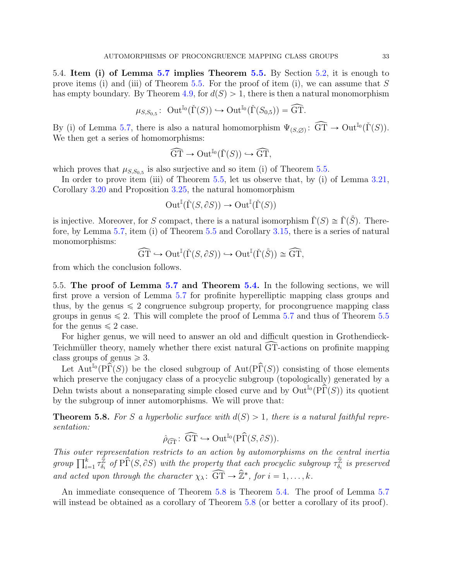<span id="page-32-1"></span>5.4. Item (i) of Lemma [5.7](#page-0-0) implies Theorem [5.5.](#page-30-0) By Section [5.2,](#page-30-6) it is enough to prove items (i) and (iii) of Theorem [5.5.](#page-30-0) For the proof of item (i), we can assume that  $S$ has empty boundary. By Theorem [4.9,](#page-29-0) for  $d(S) > 1$ , there is then a natural monomorphism

$$
\mu_{S,S_{0,5}}\colon \operatorname{Out}^{\mathbb{I}_0}({\check\Gamma}(S))\hookrightarrow \operatorname{Out}^{\mathbb{I}_0}({\check\Gamma}(S_{0,5}))=\widehat{\operatorname{GT}}.
$$

By (i) of Lemma [5.7,](#page-0-0) there is also a natural homomorphism  $\Psi_{(S,\varnothing)}$ :  $\widehat{GT} \to Out^{\mathbb{I}_0}(\check{\Gamma}(S)).$ We then get a series of homomorphisms:

$$
\widehat{\mathrm{GT}} \to \mathrm{Out}^{\mathbb{I}_0}(\check{\Gamma}(S)) \hookrightarrow \widehat{\mathrm{GT}},
$$

which proves that  $\mu_{S,S_{0,5}}$  is also surjective and so item (i) of Theorem [5.5.](#page-30-0)

In order to prove item (iii) of Theorem [5.5,](#page-30-0) let us observe that, by (i) of Lemma [3.21,](#page-0-0) Corollary [3.20](#page-0-0) and Proposition [3.25,](#page-22-0) the natural homomorphism

$$
\operatorname{Out}^\mathbb{I}({\check\Gamma}(S,{\partial S}))\to\operatorname{Out}^\mathbb{I}({\check\Gamma}(S))
$$

is injective. Moreover, for S compact, there is a natural isomorphism  $\check{\Gamma}(S) \cong \check{\Gamma}(\check{S})$ . Therefore, by Lemma [5.7,](#page-0-0) item (i) of Theorem [5.5](#page-30-0) and Corollary [3.15,](#page-18-2) there is a series of natural monomorphisms:

$$
\widehat{\mathrm{GT}} \hookrightarrow \mathrm{Out}^{\mathbb{I}}(\check{\Gamma}(S, \partial S)) \hookrightarrow \mathrm{Out}^{\mathbb{I}}(\check{\Gamma}(\mathring{S})) \cong \widehat{\mathrm{GT}},
$$

from which the conclusion follows.

5.5. The proof of Lemma [5.7](#page-0-0) and Theorem [5.4.](#page-30-1) In the following sections, we will first prove a version of Lemma [5.7](#page-0-0) for profinite hyperelliptic mapping class groups and thus, by the genus  $\leq 2$  congruence subgroup property, for procongruence mapping class groups in genus  $\leq 2$ . This will complete the proof of Lemma [5.7](#page-0-0) and thus of Theorem [5.5](#page-30-0) for the genus  $\leq 2$  case.

For higher genus, we will need to answer an old and difficult question in Grothendieck-Teichmüller theory, namely whether there exist natural  $\widehat{GT}$ -actions on profinite mapping class groups of genus  $\geq 3$ .

Let  $\mathrm{Aut}^{\mathbb{F}_0}(\mathrm{P}\widehat{\Gamma}(S))$  be the closed subgroup of  $\mathrm{Aut}(\mathrm{P}\widehat{\Gamma}(S))$  consisting of those elements which preserve the conjugacy class of a procyclic subgroup (topologically) generated by a Dehn twists about a nonseparating simple closed curve and by  $\text{Out}^{\mathbb{I}_0}(\tilde{\text{P}\Gamma}(S))$  its quotient by the subgroup of inner automorphisms. We will prove that:

<span id="page-32-0"></span>**Theorem 5.8.** For S a hyperbolic surface with  $d(S) > 1$ , there is a natural faithful representation:

$$
\hat{\rho}_{\widehat{\mathrm{GT}}} \colon \widehat{\mathrm{GT}} \hookrightarrow \mathrm{Out}^{\mathbb{I}_0}(\mathrm{P}\widehat{\Gamma}(S, \partial S)).
$$

This outer representation restricts to an action by automorphisms on the central inertia This outer repr $\prod_{i=1}^k \tau_{\delta_i}^{\hat{\mathbb{Z}}}$  $\hat{\hat{Z}}_{\delta_i}$  of P $\widehat{\Gamma}(S, \partial S)$  with the property that each procyclic subgroup  $\tau_{\delta_i}^{\widehat{\mathbb{Z}}}$  $\vec{\delta}_i$  is preserved and acted upon through the character  $\chi_{\lambda} \colon \widehat{GT} \to \widehat{\mathbb{Z}}^*$ , for  $i = 1, \ldots, k$ .

An immediate consequence of Theorem [5.8](#page-32-0) is Theorem [5.4.](#page-30-1) The proof of Lemma [5.7](#page-0-0) will instead be obtained as a corollary of Theorem [5.8](#page-32-0) (or better a corollary of its proof).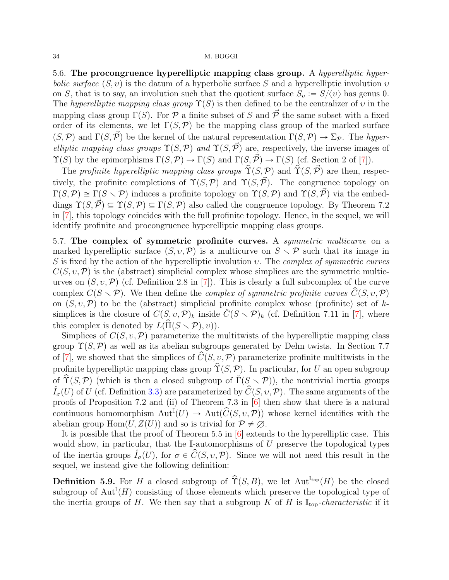<span id="page-33-0"></span>5.6. The procongruence hyperelliptic mapping class group. A hyperelliptic hyperbolic surface  $(S, v)$  is the datum of a hyperbolic surface S and a hyperelliptic involution  $v$ on S, that is to say, an involution such that the quotient surface  $S_v := S/\langle v \rangle$  has genus 0. The hyperelliptic mapping class group  $\Upsilon(S)$  is then defined to be the centralizer of v in the mapping class group  $\Gamma(S)$ . For P a finite subset of S and  $\overline{P}$  the same subset with a fixed order of its elements, we let  $\Gamma(S,\mathcal{P})$  be the mapping class group of the marked surface  $(S,\mathcal{P})$  and  $\Gamma(S,\vec{\mathcal{P}})$  be the kernel of the natural representation  $\Gamma(S,\mathcal{P}) \to \Sigma_{\mathcal{P}}$ . The hyperelliptic mapping class groups  $\Upsilon(S,\mathcal{P})$  and  $\Upsilon(S,\vec{\mathcal{P}})$  are, respectively, the inverse images of  $\Upsilon(S)$  by the epimorphisms  $\Gamma(S,\mathcal{P}) \to \Gamma(S)$  and  $\Gamma(S,\vec{\mathcal{P}}) \to \Gamma(S)$  (cf. Section 2 of [\[7\]](#page-51-16)).

The profinite hyperelliptic mapping class groups  $\hat{\Upsilon}(S,\mathcal{P})$  and  $\hat{\Upsilon}(S,\vec{\mathcal{P}})$  are then, respectively, the profinite completions of  $\Upsilon(S,\mathcal{P})$  and  $\Upsilon(S,\vec{\mathcal{P}})$ . The congruence topology on  $\Gamma(S,\mathcal{P}) \cong \Gamma(S \setminus \mathcal{P})$  induces a profinite topology on  $\Upsilon(S,\mathcal{P})$  and  $\Upsilon(S,\mathcal{P})$  via the embeddings  $\Upsilon(S,\mathcal{P}) \subseteq \Upsilon(S,\mathcal{P}) \subseteq \Gamma(S,\mathcal{P})$  also called the congruence topology. By Theorem 7.2 in [\[7\]](#page-51-16), this topology coincides with the full profinite topology. Hence, in the sequel, we will identify profinite and procongruence hyperelliptic mapping class groups.

5.7. The complex of symmetric profinite curves. A symmetric multicurve on a marked hyperelliptic surface  $(S, v, \mathcal{P})$  is a multicurve on  $S \setminus \mathcal{P}$  such that its image in S is fixed by the action of the hyperelliptic involution  $v$ . The *complex of symmetric curves*  $C(S, v, \mathcal{P})$  is the (abstract) simplicial complex whose simplices are the symmetric multicurves on  $(S, v, \mathcal{P})$  (cf. Definition 2.8 in [\[7\]](#page-51-16)). This is clearly a full subcomplex of the curve complex  $C(S \setminus \mathcal{P})$ . We then define the *complex of symmetric profinite curves*  $\hat{C}(S, v, \mathcal{P})$ on  $(S, v, \mathcal{P})$  to be the (abstract) simplicial profinite complex whose (profinite) set of ksimplices is the closure of  $C(S, v, \mathcal{P})_k$  inside  $\check{C}(S \setminus \mathcal{P})_k$  (cf. Definition 7.11 in [\[7\]](#page-51-16), where this complex is denoted by  $L(\Pi(S \setminus \mathcal{P}), v)$ .

Simplices of  $C(S, v, \mathcal{P})$  parameterize the multitwists of the hyperelliptic mapping class group  $\Upsilon(S,\mathcal{P})$  as well as its abelian subgroups generated by Dehn twists. In Section 7.7 of [\[7\]](#page-51-16), we showed that the simplices of  $\hat{C}(S, v, \mathcal{P})$  parameterize profinite multitwists in the profinite hyperelliptic mapping class group  $\hat{\Upsilon}(S,\mathcal{P})$ . In particular, for U an open subgroup of  $\hat{\Upsilon}(S,\mathcal{P})$  (which is then a closed subgroup of  $\check{\Gamma}(S \setminus \mathcal{P})$ ), the nontrivial inertia groups  $\hat{I}_{\sigma}(U)$  of U (cf. Definition [3.3\)](#page-0-0) are parameterized by  $\hat{C}(S, v, \mathcal{P})$ . The same arguments of the proofs of Proposition 7.2 and (ii) of Theorem 7.3 in [\[6\]](#page-51-9) then show that there is a natural continuous homomorphism  ${\rm Aut}^{\mathbb{I}}(U) \to {\rm Aut}(\widehat{\mathcal{C}}(S, v, \mathcal{P}))$  whose kernel identifies with the abelian group  $\text{Hom}(U, Z(U))$  and so is trivial for  $\mathcal{P} \neq \emptyset$ .

It is possible that the proof of Theorem 5.5 in [\[6\]](#page-51-9) extends to the hyperelliptic case. This would show, in particular, that the  $\mathbb{I}\text{-}$ automorphisms of U preserve the topological types of the inertia groups  $\hat{I}_{\sigma}(U)$ , for  $\sigma \in \hat{C}(S, v, \mathcal{P})$ . Since we will not need this result in the sequel, we instead give the following definition:

**Definition 5.9.** For H a closed subgroup of  $\hat{\Upsilon}(S, B)$ , we let Aut<sup>Itop</sup> $(H)$  be the closed subgroup of  $\text{Aut}^{\mathbb{I}}(H)$  consisting of those elements which preserve the topological type of the inertia groups of H. We then say that a subgroup K of H is  $\mathbb{I}_{top}$ -characteristic if it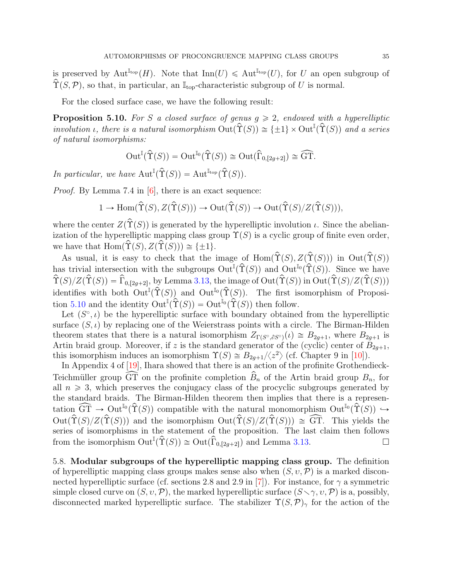<span id="page-34-1"></span>is preserved by Aut<sup>I<sub>top</sub></sup> $(H)$ . Note that Inn $(U) \leq A$ ut<sup>I<sub>top</sub></sup> $(U)$ , for U an open subgroup of  $\hat{\Upsilon}(S,\mathcal{P})$ , so that, in particular, an  $\mathbb{I}_{\text{top}}$ -characteristic subgroup of U is normal.

For the closed surface case, we have the following result:

<span id="page-34-0"></span>**Proposition 5.10.** For S a closed surface of genus  $g \ge 2$ , endowed with a hyperelliptic involution *i*, there is a natural isomorphism  $Out(\hat{T}(S)) \cong {\pm 1} \times Out^{\mathbb{I}}(\hat{T}(S))$  and a series of natural isomorphisms:

$$
\operatorname{Out}^{\mathbb{I}}({\hat \Upsilon}(S)) = \operatorname{Out}^{\mathbb{I}_0}({\hat \Upsilon}(S)) \cong \operatorname{Out}({\hat \Gamma}_{0, [2g+2]}) \cong \widehat{\operatorname{GT}}.
$$

In particular, we have  $\text{Aut}^{\mathbb{I}}(\hat{\Upsilon}(S)) = \text{Aut}^{\mathbb{I}_{\text{top}}}(\hat{\Upsilon}(S)).$ 

*Proof.* By Lemma 7.4 in [\[6\]](#page-51-9), there is an exact sequence:

$$
1 \to \text{Hom}(\hat{\Upsilon}(S), Z(\hat{\Upsilon}(S))) \to \text{Out}(\hat{\Upsilon}(S)) \to \text{Out}(\hat{\Upsilon}(S)/Z(\hat{\Upsilon}(S))),
$$

where the center  $Z(\hat{\Upsilon}(S))$  is generated by the hyperelliptic involution  $\iota$ . Since the abelianization of the hyperelliptic mapping class group  $\Upsilon(S)$  is a cyclic group of finite even order, we have that  $\text{Hom}(\hat{\Upsilon}(S), Z(\hat{\Upsilon}(S))) \cong \{\pm 1\}.$ 

As usual, it is easy to check that the image of  $\text{Hom}(\hat{\Upsilon}(S), Z(\hat{\Upsilon}(S)))$  in  $\text{Out}(\hat{\Upsilon}(S))$ has trivial intersection with the subgroups  $\mathrm{Out}^{\mathbb{I}}(\hat{\Upsilon}(S))$  and  $\mathrm{Out}^{\mathbb{I}_0}(\hat{\Upsilon}(S))$ . Since we have  $\hat{\Upsilon}(S)/Z(\hat{\Upsilon}(S)) = \hat{\Gamma}_{0,[2g+2]},$  by Lemma [3.13,](#page-16-0) the image of  $Out(\hat{\Upsilon}(S))$  in  $Out(\hat{\Upsilon}(S)/Z(\hat{\Upsilon}(S)))$ identifies with both  $\mathrm{Out}^{\mathbb{I}}(\hat{\Upsilon}(S))$  and  $\mathrm{Out}^{\mathbb{I}_0}(\hat{\Upsilon}(S))$ . The first isomorphism of Proposi-tion [5.10](#page-34-0) and the identity  $\text{Out}^{\mathbb{I}}(\hat{\Upsilon}(S)) = \text{Out}^{\mathbb{I}_{0}}(\hat{\Upsilon}(S))$  then follow.

Let  $(S^{\circ}, \iota)$  be the hyperelliptic surface with boundary obtained from the hyperelliptic surface  $(S, \iota)$  by replacing one of the Weierstrass points with a circle. The Birman-Hilden theorem states that there is a natural isomorphism  $Z_{\Gamma(S^{\circ},\partial S^{\circ})}(t) \cong B_{2q+1}$ , where  $B_{2q+1}$  is Artin braid group. Moreover, if z is the standard generator of the (cyclic) center of  $B_{2q+1}$ , this isomorphism induces an isomorphism  $\Upsilon(S) \cong B_{2g+1}/\langle z^2 \rangle$  (cf. Chapter 9 in [\[10\]](#page-51-13)).

In Appendix 4 of [\[19\]](#page-51-17), Ihara showed that there is an action of the profinite Grothendieck-Teichmüller group  $\widehat{GT}$  on the profinite completion  $\widehat{B}_n$  of the Artin braid group  $B_n$ , for all  $n \geq 3$ , which preserves the conjugacy class of the procyclic subgroups generated by the standard braids. The Birman-Hilden theorem then implies that there is a representation  $\widehat{\mathrm{GT}} \to \mathrm{Out}^{\mathbb{I}_0}(\widehat{\Upsilon}(S))$  compatible with the natural monomorphism  $\mathrm{Out}^{\mathbb{I}_0}(\widehat{\Upsilon}(S)) \hookrightarrow$  $Out(\hat{\Upsilon}(S)/Z(\hat{\Upsilon}(S)))$  and the isomorphism  $Out(\hat{\Upsilon}(S)/Z(\hat{\Upsilon}(S))) \cong \widehat{GT}$ . This yields the series of isomorphisms in the statement of the proposition. The last claim then follows from the isomorphism  $\text{Out}^{\mathbb{I}}(\hat{\Upsilon}(S)) \cong \text{Out}(\hat{\Gamma}_{0,[2g+2]})$  and Lemma [3.13.](#page-16-0)

5.8. Modular subgroups of the hyperelliptic mapping class group. The definition of hyperelliptic mapping class groups makes sense also when  $(S, v, \mathcal{P})$  is a marked discon-nected hyperelliptic surface (cf. sections 2.8 and 2.9 in [\[7\]](#page-51-16)). For instance, for  $\gamma$  a symmetric simple closed curve on  $(S, v, \mathcal{P})$ , the marked hyperelliptic surface  $(S \setminus \gamma, v, \mathcal{P})$  is a, possibly, disconnected marked hyperelliptic surface. The stabilizer  $\Upsilon(S,\mathcal{P})_{\gamma}$  for the action of the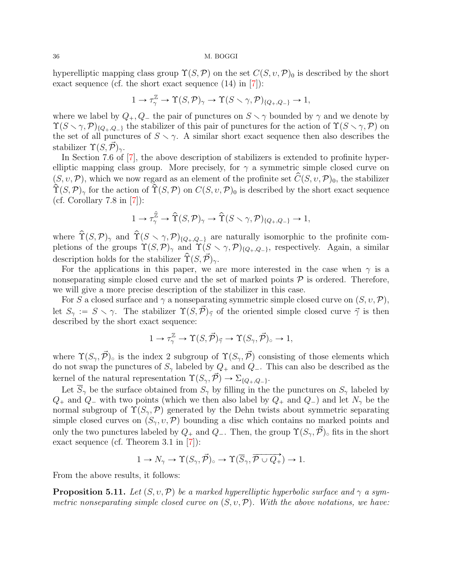<span id="page-35-1"></span>hyperelliptic mapping class group  $\Upsilon(S,\mathcal{P})$  on the set  $C(S, v, \mathcal{P})_0$  is described by the short exact sequence (cf. the short exact sequence  $(14)$  in  $[7]$ ):

$$
1 \to \tau_{\gamma}^{\mathbb{Z}} \to \Upsilon(S, \mathcal{P})_{\gamma} \to \Upsilon(S \setminus \gamma, \mathcal{P})_{\{Q_{+}, Q_{-}\}} \to 1,
$$

where we label by  $Q_+, Q_-$  the pair of punctures on  $S \setminus \gamma$  bounded by  $\gamma$  and we denote by  $\Upsilon(S \setminus \gamma, \mathcal{P})_{Q_+,Q_-}$  the stabilizer of this pair of punctures for the action of  $\Upsilon(S \setminus \gamma, \mathcal{P})$  on the set of all punctures of  $S \setminus \gamma$ . A similar short exact sequence then also describes the stabilizer  $\Upsilon(S,\mathcal{P})_{\gamma}$ .

In Section 7.6 of [\[7\]](#page-51-16), the above description of stabilizers is extended to profinite hyperelliptic mapping class group. More precisely, for  $\gamma$  a symmetric simple closed curve on  $(S, v, \mathcal{P})$ , which we now regard as an element of the profinite set  $\hat{C}(S, v, \mathcal{P})_0$ , the stabilizer  $\hat{\Upsilon}(S,\mathcal{P})_{\gamma}$  for the action of  $\hat{\Upsilon}(S,\mathcal{P})$  on  $C(S,\nu,\mathcal{P})_0$  is described by the short exact sequence (cf. Corollary  $7.8$  in [\[7\]](#page-51-16)):

$$
1 \to \tau_{\gamma}^{\hat{\mathbb{Z}}} \to \hat{\Upsilon}(S, \mathcal{P})_{\gamma} \to \hat{\Upsilon}(S \times \gamma, \mathcal{P})_{\{Q_{+}, Q_{-}\}} \to 1,
$$

where  $\hat{\Upsilon}(S,\mathcal{P})_{\gamma}$  and  $\hat{\Upsilon}(S \setminus \gamma,\mathcal{P})_{\{Q_+,Q_-\}}$  are naturally isomorphic to the profinite completions of the groups  $\Upsilon(S,\mathcal{P})_\gamma$  and  $\Upsilon(S \setminus \gamma,\mathcal{P})_{Q_+,Q_-}$ , respectively. Again, a similar description holds for the stabilizer  $\hat{\Upsilon}(S,\vec{\mathcal{P}})_{\gamma}$ .

For the applications in this paper, we are more interested in the case when  $\gamma$  is a nonseparating simple closed curve and the set of marked points  $P$  is ordered. Therefore, we will give a more precise description of the stabilizer in this case.

For S a closed surface and  $\gamma$  a nonseparating symmetric simple closed curve on  $(S, v, \mathcal{P}),$ let  $S_\gamma := S \setminus \gamma$ . The stabilizer  $\Upsilon(S,\vec{P})_{\vec{\gamma}}$  of the oriented simple closed curve  $\vec{\gamma}$  is then described by the short exact sequence:

$$
1 \to \tau_{\gamma}^{\mathbb{Z}} \to \Upsilon(S, \vec{\mathcal{P}})_{\vec{\gamma}} \to \Upsilon(S_{\gamma}, \vec{\mathcal{P}})_{\circ} \to 1,
$$

where  $\Upsilon(S_\gamma, \vec{\mathcal{P}})$  is the index 2 subgroup of  $\Upsilon(S_\gamma, \vec{\mathcal{P}})$  consisting of those elements which do not swap the punctures of  $S_\gamma$  labeled by  $Q_+$  and  $Q_-$ . This can also be described as the kernel of the natural representation  $\Upsilon(S_{\gamma}, \vec{\mathcal{P}}) \to \Sigma_{\{Q_+,Q_-\}}$ .

Let  $\overline{S}_{\gamma}$  be the surface obtained from  $S_{\gamma}$  by filling in the the punctures on  $S_{\gamma}$  labeled by  $Q_+$  and  $Q_-$  with two points (which we then also label by  $Q_+$  and  $Q_-$ ) and let  $N_\gamma$  be the normal subgroup of  $\Upsilon(S_\gamma,\mathcal{P})$  generated by the Dehn twists about symmetric separating simple closed curves on  $(S_{\gamma}, v, \mathcal{P})$  bounding a disc which contains no marked points and only the two punctures labeled by  $Q_+$  and  $Q_-$ . Then, the group  $\Upsilon(S_\gamma, \vec{\mathcal{P}})_{\circ}$  fits in the short exact sequence (cf. Theorem 3.1 in [\[7\]](#page-51-16)):

$$
1 \to N_\gamma \to \Upsilon(S_\gamma,\vec{\mathcal{P}})_\circ \to \Upsilon(\overline{S}_\gamma,\overline{\mathcal{P} \cup Q_+}) \to 1.
$$

From the above results, it follows:

<span id="page-35-0"></span>**Proposition 5.11.** Let  $(S, v, \mathcal{P})$  be a marked hyperelliptic hyperbolic surface and  $\gamma$  a symmetric nonseparating simple closed curve on  $(S, v, \mathcal{P})$ . With the above notations, we have: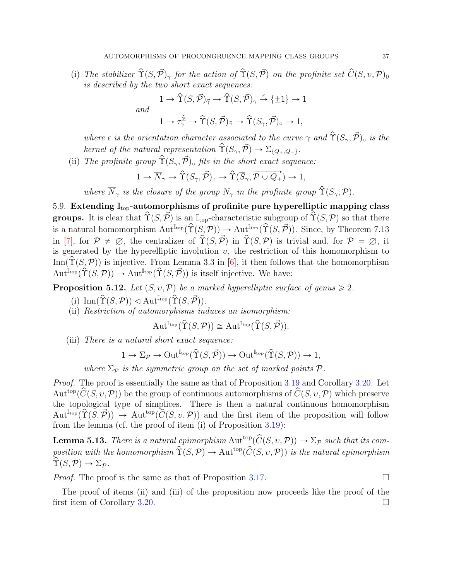<span id="page-36-1"></span>(i) The stabilizer  $\hat{\Upsilon}(S,\vec{\mathcal{P}})_{\gamma}$  for the action of  $\hat{\Upsilon}(S,\vec{\mathcal{P}})$  on the profinite set  $\hat{C}(S,\nu,\mathcal{P})_0$ is described by the two short exact sequences:

$$
1 \to \hat{\Upsilon}(S, \vec{\mathcal{P}})_{\vec{\gamma}} \to \hat{\Upsilon}(S, \vec{\mathcal{P}})_{\gamma} \stackrel{\epsilon}{\to} {\{\pm 1\}} \to 1
$$

and

$$
1 \to \tau_\gamma^{\widehat{\mathbb{Z}}} \to \widehat{\Upsilon}(S, \vec{\mathcal{P}})_{\vec{\gamma}} \to \widehat{\Upsilon}(S_\gamma, \vec{\mathcal{P}})_{\circ} \to 1,
$$

where  $\epsilon$  is the orientation character associated to the curve  $\gamma$  and  $\hat{\Upsilon}(S_{\gamma}, \vec{\mathcal{P}})_{\circ}$  is the kernel of the natural representation  $\hat{\Upsilon}(S_{\gamma}, \vec{\mathcal{P}}) \rightarrow \Sigma_{\{Q_+,Q_-\}}$ .

(ii) The profinite group  $\hat{\Upsilon}(S_{\gamma}, \vec{\mathcal{P}})_{\circ}$  fits in the short exact sequence:

$$
1 \to \overline{N}_{\gamma} \to \hat{\Upsilon}(S_{\gamma}, \vec{\mathcal{P}})_{\circ} \to \hat{\Upsilon}(\overline{S}_{\gamma}, \overrightarrow{\mathcal{P} \cup Q_{+}}) \to 1,
$$

where  $\overline{N}_{\gamma}$  is the closure of the group  $N_{\gamma}$  in the profinite group  $\hat{\Upsilon}(S_{\gamma},\mathcal{P})$ .

5.9. Extending  $\mathbb{I}_{\text{top}}$ -automorphisms of profinite pure hyperelliptic mapping class **groups.** It is clear that  $\hat{T}(S,\vec{\mathcal{P}})$  is an  $\mathbb{I}_{top}$ -characteristic subgroup of  $\hat{T}(S,\mathcal{P})$  so that there is a natural homomorphism  $\mathrm{Aut}^{\mathbb{I}_{\text{top}}}(\hat{\Upsilon}(S,\mathcal{P})) \to \mathrm{Aut}^{\mathbb{I}_{\text{top}}}(\hat{\Upsilon}(S,\vec{\mathcal{P}})).$  Since, by Theorem 7.13 in [\[7\]](#page-51-16), for  $\mathcal{P} \neq \emptyset$ , the centralizer of  $\hat{\Upsilon}(S,\vec{\mathcal{P}})$  in  $\hat{\Upsilon}(S,\mathcal{P})$  is trivial and, for  $\mathcal{P} = \emptyset$ , it is generated by the hyperelliptic involution  $v$ , the restriction of this homomorphism to Inn( $\hat{\Upsilon}(S,\mathcal{P})$ ) is injective. From Lemma 3.3 in [\[6\]](#page-51-9), it then follows that the homomorphism  $Aut^{\mathbb{I}_{\text{top}}}(\hat{\Upsilon}(S,\mathcal{P})) \to Aut^{\mathbb{I}_{\text{top}}}(\hat{\Upsilon}(S,\vec{\mathcal{P}}))$  is itself injective. We have:

<span id="page-36-0"></span>**Proposition 5.12.** Let  $(S, v, \mathcal{P})$  be a marked hyperelliptic surface of genus  $\geq 2$ .

- (i)  $\text{Inn}(\hat{\Upsilon}(S, \mathcal{P})) \triangleleft \text{Aut}^{\mathbb{I}_{\text{top}}}(\hat{\Upsilon}(S, \vec{\mathcal{P}})).$
- (ii) Restriction of automorphisms induces an isomorphism:

$$
\operatorname{Aut}^{\mathbb{I}_{\operatorname{top}}}(\widehat{\Upsilon}(S,\mathcal{P})) \cong \operatorname{Aut}^{\mathbb{I}_{\operatorname{top}}}(\widehat{\Upsilon}(S,\vec{\mathcal{P}})).
$$

(iii) There is a natural short exact sequence:

$$
1 \to \Sigma_{\mathcal{P}} \to \mathrm{Out}^{\mathbb{I}_{\mathrm{top}}}(\hat{\Upsilon}(S, \vec{\mathcal{P}})) \to \mathrm{Out}^{\mathbb{I}_{\mathrm{top}}}(\hat{\Upsilon}(S, \mathcal{P})) \to 1,
$$

where  $\Sigma_{\mathcal{P}}$  is the symmetric group on the set of marked points  $\mathcal{P}$ .

Proof. The proof is essentially the same as that of Proposition [3.19](#page-19-0) and Corollary [3.20.](#page-0-0) Let Aut<sup>top</sup>( $\hat{C}(S, v, \mathcal{P})$ ) be the group of continuous automorphisms of  $\hat{C}(S, v, \mathcal{P})$  which preserve the topological type of simplices. There is then a natural continuous homomorphism  $Aut^{I_{\text{top}}}(\hat{\Upsilon}(S,\vec{\mathcal{P}})) \rightarrow Aut^{top}(\hat{C}(S,\nu,\mathcal{P}))$  and the first item of the proposition will follow from the lemma (cf. the proof of item (i) of Proposition [3.19\)](#page-19-0):

**Lemma 5.13.** There is a natural epimorphism Aut<sup>top</sup> $(\widehat{C}(S, v, \mathcal{P})) \to \Sigma_{\mathcal{P}}$  such that its composition with the homomorphism  $\hat{\Upsilon}(S,\mathcal{P}) \to \text{Aut}^{\text{top}}(\hat{C}(S,\nu,\mathcal{P}))$  is the natural epimorphism  $\hat{\Upsilon}(S,\mathcal{P}) \rightarrow \Sigma_{\mathcal{P}}$ .

*Proof.* The proof is the same as that of Proposition [3.17.](#page-18-1)

The proof of items (ii) and (iii) of the proposition now proceeds like the proof of the first item of Corollary [3.20.](#page-0-0)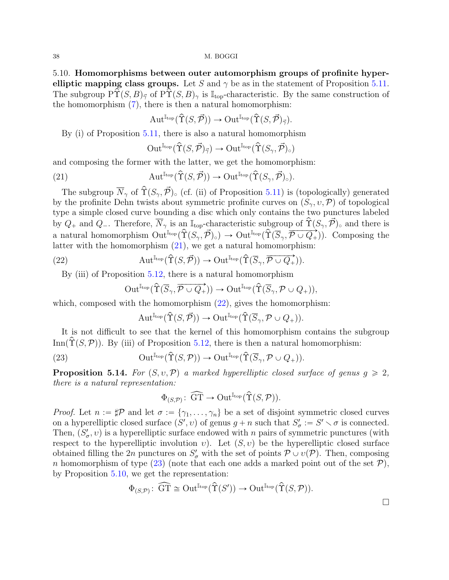5.10. Homomorphisms between outer automorphism groups of profinite hyperelliptic mapping class groups. Let S and  $\gamma$  be as in the statement of Proposition [5.11.](#page-35-0) The subgroup  $\hat{\Upsilon}(S, B)$ <sub>7</sub> of  $\hat{\Upsilon}(S, B)$ <sub>γ</sub> is  $\mathbb{I}_{top}$ -characteristic. By the same construction of the homomorphism  $(7)$ , there is then a natural homomorphism:

$$
\operatorname{Aut}^{\mathbb{I}_{\operatorname{top}}}(\widehat{\Upsilon}(S, \vec{\mathcal{P}})) \to \operatorname{Out}^{\mathbb{I}_{\operatorname{top}}}(\widehat{\Upsilon}(S, \vec{\mathcal{P}})_{\vec{\gamma}}).
$$

By (i) of Proposition [5.11,](#page-35-0) there is also a natural homomorphism

<span id="page-37-0"></span>
$$
\mathrm{Out}^{\mathbb{I}_{\mathrm{top}}}(\hat{\Upsilon}(S,\vec{\mathcal{P}})_{\vec{\gamma}}) \to \mathrm{Out}^{\mathbb{I}_{\mathrm{top}}}(\hat{\Upsilon}(S_{\gamma},\vec{\mathcal{P}})_{\circ})
$$

and composing the former with the latter, we get the homomorphism:

(21) 
$$
\operatorname{Aut}^{\mathbb{I}_{\text{top}}}(\hat{\Upsilon}(S,\vec{\mathcal{P}})) \to \operatorname{Out}^{\mathbb{I}_{\text{top}}}(\hat{\Upsilon}(S_{\gamma},\vec{\mathcal{P}})_{\circ}).
$$

The subgroup  $\overline{N}_{\gamma}$  of  $\hat{\Upsilon}(S_{\gamma}, \vec{\mathcal{P}})_{\circ}$  (cf. (ii) of Proposition [5.11\)](#page-35-0) is (topologically) generated by the profinite Dehn twists about symmetric profinite curves on  $(S_{\gamma}, v, \mathcal{P})$  of topological type a simple closed curve bounding a disc which only contains the two punctures labeled by  $Q_+$  and  $Q_-$ . Therefore,  $\overline{N}_{\gamma}$  is an  $\mathbb{I}_{\text{top}}$ -characteristic subgroup of  $\hat{\Upsilon}(S_{\gamma}, \vec{\mathcal{P}})_{\circ}$  and there is a natural homomorphism  $\text{Out}^{\mathbb{I}_{\text{top}}}(\hat{\Upsilon}(S_{\gamma}, \vec{\mathcal{P}})_{\circ}) \to \text{Out}^{\mathbb{I}_{\text{top}}}(\hat{\Upsilon}(\overline{S}_{\gamma}, \overline{\vec{\mathcal{P}} \cup Q_{+}}))$ . Composing the latter with the homomorphism [\(21\)](#page-37-0), we get a natural homomorphism:

(22) 
$$
\operatorname{Aut}^{\mathbb{I}_{\text{top}}}(\hat{\Upsilon}(S, \vec{\mathcal{P}})) \to \operatorname{Out}^{\mathbb{I}_{\text{top}}}(\hat{\Upsilon}(\overline{S}_{\gamma}, \overrightarrow{\mathcal{P} \cup Q_+})).
$$

By (iii) of Proposition [5.12,](#page-36-0) there is a natural homomorphism

<span id="page-37-1"></span>
$$
\mathrm{Out}^{\mathbb{I}_{\mathrm{top}}}(\widehat{\Upsilon}(\overrightarrow{S}_{\gamma}, \overrightarrow{\mathcal{P}\cup Q_{+}}))\rightarrow \mathrm{Out}^{\mathbb{I}_{\mathrm{top}}}(\widehat{\Upsilon}(\overrightarrow{S}_{\gamma}, \mathcal{P}\cup Q_{+})),
$$

which, composed with the homomorphism  $(22)$ , gives the homomorphism:

<span id="page-37-2"></span>
$$
\operatorname{Aut}^{\mathbb{I}_{\operatorname{top}}}(\widehat{\Upsilon}(S,\vec{\mathcal{P}})) \to \operatorname{Out}^{\mathbb{I}_{\operatorname{top}}}(\widehat{\Upsilon}(\overline{S}_{\gamma},\mathcal{P} \cup Q_+)).
$$

It is not difficult to see that the kernel of this homomorphism contains the subgroup Inn( $\hat{\Upsilon}(S,\mathcal{P})$ ). By (iii) of Proposition [5.12,](#page-36-0) there is then a natural homomorphism:

(23) 
$$
\operatorname{Out}^{\mathbb{I}_{\operatorname{top}}}(\hat{\Upsilon}(S,\mathcal{P})) \to \operatorname{Out}^{\mathbb{I}_{\operatorname{top}}}(\hat{\Upsilon}(\overline{S}_{\gamma},\mathcal{P} \cup Q_+)).
$$

<span id="page-37-3"></span>**Proposition 5.14.** For  $(S, v, \mathcal{P})$  a marked hyperelliptic closed surface of genus  $g \ge 2$ , there is a natural representation:

$$
\Phi_{(S, \mathcal{P})} \colon \, \widehat{\text{GT}} \to \text{Out}^{\mathbb{I}_{\text{top}}}(\hat{\Upsilon}(S, \mathcal{P})).
$$

*Proof.* Let  $n := \sharp \mathcal{P}$  and let  $\sigma := \{\gamma_1, \ldots, \gamma_n\}$  be a set of disjoint symmetric closed curves on a hyperelliptic closed surface  $(S', v)$  of genus  $g + n$  such that  $S'_{\sigma} := S' \setminus \sigma$  is connected. Then,  $(S'_{\sigma}, v)$  is a hyperelliptic surface endowed with n pairs of symmetric punctures (with respect to the hyperelliptic involution v). Let  $(S, v)$  be the hyperelliptic closed surface obtained filling the 2n punctures on  $S'_{\sigma}$  with the set of points  $\mathcal{P} \cup v(\mathcal{P})$ . Then, composing n homomorphism of type  $(23)$  (note that each one adds a marked point out of the set  $P$ ), by Proposition [5.10,](#page-34-0) we get the representation:

$$
\Phi_{(S, \mathcal{P})} \colon \, \widehat{\text{GT}} \cong \text{Out}^{\mathbb{I}_{\text{top}}}(\hat{\Upsilon}(S')) \to \text{Out}^{\mathbb{I}_{\text{top}}}(\hat{\Upsilon}(S, \mathcal{P})).
$$

 $\Box$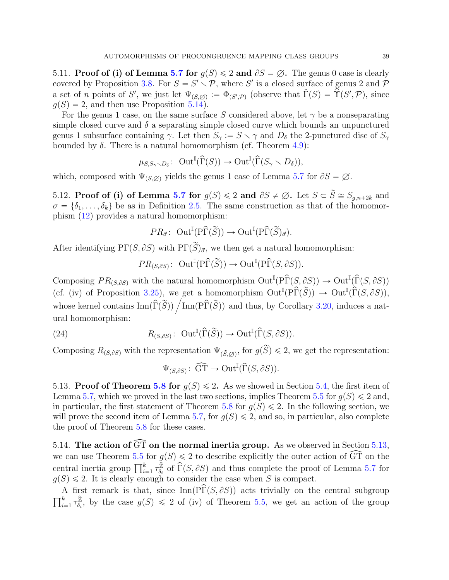<span id="page-38-0"></span>5.11. Proof of (i) of Lemma [5.7](#page-0-0) for  $g(S) \leq 2$  and  $\partial S = \emptyset$ . The genus 0 case is clearly covered by Proposition [3.8.](#page-14-0) For  $S = S' \setminus \mathcal{P}$ , where S' is a closed surface of genus 2 and  $\mathcal{P}$ a set of *n* points of S', we just let  $\Psi_{(S,\varnothing)} := \Phi_{(S',\mathcal{P})}$  (observe that  $\check{\Gamma}(S) = \check{\Upsilon}(S',\mathcal{P})$ , since  $g(S) = 2$ , and then use Proposition [5.14\)](#page-37-3).

For the genus 1 case, on the same surface S considered above, let  $\gamma$  be a nonseparating simple closed curve and  $\delta$  a separating simple closed curve which bounds an unpunctured genus 1 subsurface containing  $\gamma$ . Let then  $S_{\gamma} := S \setminus \gamma$  and  $D_{\delta}$  the 2-punctured disc of  $S_{\gamma}$ bounded by  $\delta$ . There is a natural homomorphism (cf. Theorem [4.9\)](#page-29-0):

$$
\mu_{S,S_{\gamma} \setminus D_{\delta}} \colon \operatorname{Out}^{\mathbb{I}}(\widehat{\Gamma}(S)) \to \operatorname{Out}^{\mathbb{I}}(\widehat{\Gamma}(S_{\gamma} \setminus D_{\delta})),
$$

which, composed with  $\Psi_{(S,\emptyset)}$  yields the genus 1 case of Lemma [5.7](#page-0-0) for  $\partial S = \emptyset$ .

<span id="page-38-2"></span>5.12. Proof of (i) of Lemma [5.7](#page-0-0) for  $g(S) \leq 2$  and  $\partial S \neq \emptyset$ . Let  $S \subset \widetilde{S} \cong S_{g,n+2k}$  and  $\sigma = \{\delta_1, \ldots, \delta_k\}$  be as in Definition [2.5.](#page-7-2) The same construction as that of the homomorphism [\(12\)](#page-24-2) provides a natural homomorphism:

$$
PR_{\vec{\sigma}} \colon \operatorname{Out}^{\mathbb{I}}(\mathrm{P}\widehat{\Gamma}(\widetilde{S})) \to \operatorname{Out}^{\mathbb{I}}(\mathrm{P}\widehat{\Gamma}(\widetilde{S})_{\vec{\sigma}}).
$$

After identifying PΓ $(S, \partial S)$  with PΓ $(\widetilde{S})_{\vec{\sigma}}$ , we then get a natural homomorphism:

$$
PR_{(S,\partial S)}: \text{ Out}^{\mathbb{I}}(\text{P}\widehat{\Gamma}(\widetilde{S})) \to \text{Out}^{\mathbb{I}}(\text{P}\widehat{\Gamma}(S,\partial S)).
$$

Composing  $PR_{(S,\partial S)}$  with the natural homomorphism  $Out^{\mathbb{I}}(\widehat{P}\widehat{\Gamma}(S,\partial S)) \to Out^{\mathbb{I}}(\widehat{\Gamma}(S,\partial S))$ (cf. (iv) of Proposition [3.25\)](#page-22-0), we get a homomorphism  $\mathrm{Out}^{\mathbb{I}}(\widehat{P}\widehat{\Gamma}(\widetilde{S})) \to \mathrm{Out}^{\mathbb{I}}(\widehat{\Gamma}(S, \partial S)),$ (cf. (iv) of Proposition 3.25), we get a homomorphism  $Out^*(PT(S)) \to Out^*(\Gamma(S, \partial S)),$ <br>whose kernel contains  $Inn(\hat{\Gamma}(\widetilde{S})) / Inn(\hat{\Gamma}(\widetilde{S}))$  and thus, by Corollary [3.20,](#page-0-0) induces a natural homomorphism:

(24) 
$$
R_{(S,\partial S)}: \operatorname{Out}^{\mathbb{I}}(\widehat{\Gamma}(\widetilde{S})) \to \operatorname{Out}^{\mathbb{I}}(\widehat{\Gamma}(S,\partial S)).
$$

Composing  $R_{(S,\partial S)}$  with the representation  $\Psi_{(\widetilde{S},\varnothing)}$ , for  $g(\widetilde{S}) \leq 2$ , we get the representation:

<span id="page-38-4"></span>
$$
\Psi_{(S,\partial S)}\colon \widehat{\mathrm{GT}} \to \mathrm{Out}^{\mathbb{I}}(\widehat{\Gamma}(S,\partial S)).
$$

<span id="page-38-1"></span>5.13. Proof of Theorem [5.8](#page-32-0) for  $g(S) \le 2$ . As we showed in Section [5.4,](#page-32-1) the first item of Lemma [5.7,](#page-0-0) which we proved in the last two sections, implies Theorem [5.5](#page-30-0) for  $g(S) \leq 2$  and, in particular, the first statement of Theorem [5.8](#page-32-0) for  $g(S) \leq 2$ . In the following section, we will prove the second item of Lemma [5.7,](#page-0-0) for  $g(S) \leq 2$ , and so, in particular, also complete the proof of Theorem [5.8](#page-32-0) for these cases.

<span id="page-38-3"></span>5.14. The action of  $\widehat{GT}$  on the normal inertia group. As we observed in Section [5.13,](#page-38-1) we can use Theorem [5.5](#page-30-0) for  $g(S) \leq 2$  to describe explicitly the outer action of  $\widehat{GT}$  on the we can use Theorem 5.5 for  $g$ <br>central inertia group  $\prod_{i=1}^{k} \tau_{\delta_i}^{\widehat{\mathbb{Z}}}$  $\sum_{\delta_i}^{\widehat{\mathbb{Z}}}$  of  $\widehat{\Gamma}(S, \partial S)$  and thus complete the proof of Lemma [5.7](#page-0-0) for  $g(S) \leq 2$ . It is clearly enough to consider the case when S is compact.

A first remark is that, since  $\text{Inn}(\widehat{PT}(S, \partial S))$  acts trivially on the central subgroup  $\frac{f}{\prod k}$  $\sum_{i=1}^k \tau_{\delta_i}^{\hat{\mathbb{Z}}}$  $\mathbb{Z}_{\delta_i}$ , by the case  $g(S) \leq 2$  of (iv) of Theorem [5.5,](#page-30-0) we get an action of the group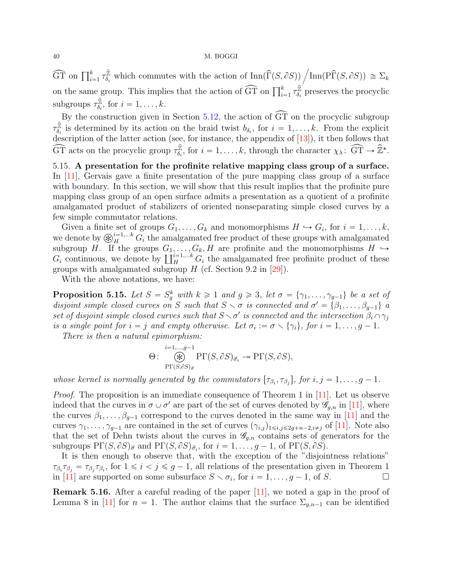<span id="page-39-1"></span> $\widehat{\text{GT}}$  on  $\prod_{i=1}^{k} \tau_{\delta_i}^{\hat{\mathbb{Z}}}$  $\sum_{\delta_i}^{\widehat{\mathbb{Z}}}$  which commutes with the action of  $\text{Inn}(\widehat{\Gamma}(S, \partial S)) / \text{Inn}(\widehat{\text{PT}}(S, \partial S)) \simeq \Sigma_k$ on the same group. This implies that the action of  $\widehat{GT}$  on  $\prod_{i=1}^{k} \tau_{\delta_i}^{\widehat{Z}}$  $\frac{Z}{\delta_i}$  preserves the procyclic subgroups  $\tau_{\delta_i}^{\hat{\mathbb{Z}}}$  $\mathcal{L}_{\delta_i}$ , for  $i = 1, \ldots, k$ .

By the construction given in Section [5.12,](#page-38-2) the action of  $\widehat{GT}$  on the procyclic subgroup  $\tau_{\delta_i}^{\hat{\mathbb{Z}}}$  $\mathbb{Z}_{\delta_i}$  is determined by its action on the braid twist  $b_{\delta_i}$ , for  $i = 1, \ldots, k$ . From the explicit description of the latter action (see, for instance, the appendix of [\[13\]](#page-51-5)), it then follows that  $\widehat{\text{GT}}$  acts on the procyclic group  $\tau_{\delta}^{\widehat{\mathbb{Z}}}$  $\widehat{\mathbb{Z}}_{\delta_i}$ , for  $i = 1, \ldots, k$ , through the character  $\chi_{\lambda} \colon \widehat{\text{GT}} \to \widehat{\mathbb{Z}}^*$ .

5.15. A presentation for the profinite relative mapping class group of a surface. In [\[11\]](#page-51-10), Gervais gave a finite presentation of the pure mapping class group of a surface with boundary. In this section, we will show that this result implies that the profinite pure mapping class group of an open surface admits a presentation as a quotient of a profinite amalgamated product of stabilizers of oriented nonseparating simple closed curves by a few simple commutator relations.

Given a finite set of groups  $G_1, \ldots, G_k$  and monomorphisms  $H \hookrightarrow G_i$ , for  $i = 1, \ldots, k$ , Given a finite set of groups  $G_1, \ldots, G_k$  and monomorphisms  $H \hookrightarrow G_i$ , for  $i = 1, \ldots, k$ , we denote by  $\bigotimes_{H}^{i=1,\ldots,k} G_i$  the amalgamated free product of these groups with amalgamated subgroup H. If the groups  $G_1, \ldots, G_k, H$  are profinite and the monomorphisms  $H \hookrightarrow$ subgroup H. If the groups  $G_1, \ldots, G_k, H$  are profinite and the monomorphisms  $H \hookrightarrow G_i$  continuous, we denote by  $\coprod_H^{i=1,\ldots k} G_i$  the amalgamated free profinite product of these groups with amalgamated subgroup  $H$  (cf. Section 9.2 in [\[29\]](#page-52-4)).

With the above notations, we have:

<span id="page-39-0"></span>**Proposition 5.15.** Let  $S = S_g^k$  with  $k \geq 1$  and  $g \geq 3$ , let  $\sigma = {\gamma_1, \ldots, \gamma_{g-1}}$  be a set of disjoint simple closed curves on S such that  $S \setminus \sigma$  is connected and  $\sigma' = {\beta_1, \ldots, \beta_{g-1}}$  a set of disjoint simple closed curves such that  $S \setminus \sigma'$  is connected and the intersection  $\beta_i \cap \gamma_j$ is a single point for  $i = j$  and empty otherwise. Let  $\sigma_i := \sigma \setminus {\gamma_i}$ , for  $i = 1, \ldots, g - 1$ .

There is then a natural epimorphism:

$$
\Theta \colon \bigotimes_{\text{P}\Gamma(S,\partial S)_{\vec{\sigma}}}^{i=1,\ldots,g-1} \text{P}\Gamma(S,\partial S)_{\vec{\sigma}_i} \longrightarrow \text{P}\Gamma(S,\partial S),
$$

whose kernel is normally generated by the commutators  $[\tau_{\beta_i}, \tau_{\beta_j}]$ , for  $i, j = 1, \ldots, g - 1$ .

*Proof.* The proposition is an immediate consequence of Theorem 1 in [\[11\]](#page-51-10). Let us observe indeed that the curves in  $\sigma \cup \sigma'$  are part of the set of curves denoted by  $\mathscr{G}_{g,n}$  in [\[11\]](#page-51-10), where the curves  $\beta_1, \ldots, \beta_{g-1}$  correspond to the curves denoted in the same way in [\[11\]](#page-51-10) and the curves  $\gamma_1, \ldots, \gamma_{g-1}$  are contained in the set of curves  $(\gamma_{i,j})_{1\leq i,j\leq 2g+n-2,i\neq j}$  of [\[11\]](#page-51-10). Note also that the set of Dehn twists about the curves in  $\mathscr{G}_{g,n}$  contains sets of generators for the subgroups  $\Pr(S, \partial S)_{\vec{\sigma}}$  and  $\Pr(S, \partial S)_{\vec{\sigma}_i}$ , for  $i = 1, \ldots, g - 1$ , of  $\Pr(S, \partial S)$ .

It is then enough to observe that, with the exception of the "disjointness relations"  $\tau_{\beta_i}\tau_{\beta_j} = \tau_{\beta_j}\tau_{\beta_i}$ , for  $1 \leq i < j \leq g-1$ , all relations of the presentation given in Theorem 1 in [\[11\]](#page-51-10) are supported on some subsurface  $S \setminus \sigma_i$ , for  $i = 1, ..., g - 1$ , of S.

Remark 5.16. After a careful reading of the paper [\[11\]](#page-51-10), we noted a gap in the proof of Lemma 8 in [\[11\]](#page-51-10) for  $n = 1$ . The author claims that the surface  $\Sigma_{g,n-1}$  can be identified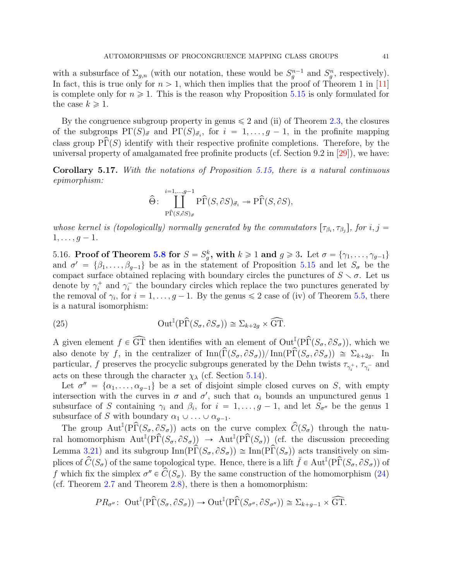<span id="page-40-3"></span>with a subsurface of  $\Sigma_{g,n}$  (with our notation, these would be  $S_g^{n-1}$  and  $S_g^n$ , respectively). In fact, this is true only for  $n > 1$ , which then implies that the proof of Theorem 1 in [\[11\]](#page-51-10) is complete only for  $n \geq 1$ . This is the reason why Proposition [5.15](#page-39-0) is only formulated for the case  $k \geq 1$ .

By the congruence subgroup property in genus  $\leq 2$  and (ii) of Theorem [2.3,](#page-6-1) the closures of the subgroups  $\Pr(S)_{\vec{\sigma}}$  and  $\Pr(S)_{\vec{\sigma}_i}$ , for  $i = 1, \ldots, g - 1$ , in the profinite mapping class group  $\widehat{\text{PT}}(S)$  identify with their respective profinite completions. Therefore, by the universal property of amalgamated free profinite products (cf. Section 9.2 in [\[29\]](#page-52-4)), we have:

<span id="page-40-0"></span>Corollary 5.17. With the notations of Proposition [5.15,](#page-39-0) there is a natural continuous epimorphism:

$$
\widehat{\Theta} \colon \coprod_{\substack{\mathrm{P} \widehat{\Gamma}(S,\partial S)_{\vec{\sigma}}}}^{\substack{i=1,\ldots,g-1}} \mathrm{P} \widehat{\Gamma}(S,\partial S)_{\vec{\sigma}_i} \twoheadrightarrow \mathrm{P} \widehat{\Gamma}(S,\partial S),
$$

whose kernel is (topologically) normally generated by the commutators  $[\tau_{\beta_i}, \tau_{\beta_j}]$ , for  $i, j =$  $1, \ldots, g - 1.$ 

<span id="page-40-2"></span>5.16. Proof of Theorem [5.8](#page-32-0) for  $S = S_g^k$ , with  $k \ge 1$  and  $g \ge 3$ . Let  $\sigma = {\gamma_1, \ldots, \gamma_{g-1}}$ and  $\sigma' = {\beta_1, \ldots, \beta_{g-1}}$  be as in the statement of Proposition [5.15](#page-39-0) and let  $S_{\sigma}$  be the compact surface obtained replacing with boundary circles the punctures of  $S \setminus \sigma$ . Let us denote by  $\gamma_i^+$  and  $\gamma_i^-$  the boundary circles which replace the two punctures generated by the removal of  $\gamma_i$ , for  $i = 1, \ldots, g - 1$ . By the genus  $\leq 2$  case of (iv) of Theorem [5.5,](#page-30-0) there is a natural isomorphism:

<span id="page-40-1"></span>(25) 
$$
\operatorname{Out}^{\mathbb{I}}(\mathrm{P}\widehat{\Gamma}(S_{\sigma}, \partial S_{\sigma})) \cong \Sigma_{k+2g} \times \widehat{\mathrm{GT}}.
$$

A given element  $f \in \widehat{GT}$  then identifies with an element of  $Out^{\mathbb{I}}(P\widehat{\Gamma}(S_{\sigma}, \partial S_{\sigma}))$ , which we also denote by f, in the centralizer of  $\text{Inn}(\widehat{\Gamma}(S_{\sigma}, \partial S_{\sigma})) / \text{Inn}(\widehat{\Gamma}(S_{\sigma}, \partial S_{\sigma})) \cong \Sigma_{k+2g}$ . In particular,  $f$  preserves the procyclic subgroups generated by the Dehn twists  $\tau_{\gamma_i^+}$ ,  $\tau_{\gamma_i^-}$  and acts on these through the character  $\chi_{\lambda}$  (cf. Section [5.14\)](#page-38-3).

Let  $\sigma'' = {\alpha_1, \ldots, \alpha_{g-1}}$  be a set of disjoint simple closed curves on S, with empty intersection with the curves in  $\sigma$  and  $\sigma'$ , such that  $\alpha_i$  bounds an unpunctured genus 1 subsurface of S containing  $\gamma_i$  and  $\beta_i$ , for  $i = 1, \ldots, g - 1$ , and let  $S_{\sigma''}$  be the genus 1 subsurface of S with boundary  $\alpha_1 \cup \ldots \cup \alpha_{q-1}$ .

The group  $\text{Aut}^{\mathbb{I}}(\text{P}\hat{\Gamma}(S_{\sigma},\partial S_{\sigma}))$  acts on the curve complex  $\hat{C}(S_{\sigma})$  through the natural homomorphism  $\text{Aut}^{\mathbb{I}}(\hat{\text{PT}}(S_{\sigma}, \partial S_{\sigma})) \rightarrow \text{Aut}^{\mathbb{I}}(\hat{\text{PT}}(S_{\sigma}))$  (cf. the discussion preceeding Lemma [3.21\)](#page-0-0) and its subgroup  $\text{Inn}(\hat{PT}(S_{\sigma}, \partial S_{\sigma})) \cong \text{Inn}(\hat{PT}(S_{\sigma}))$  acts transitively on simplices of  $\widehat{C}(S_{\sigma})$  of the same topological type. Hence, there is a lift  $\check{f} \in \text{Aut}^{\mathbb{I}}(P\widehat{\Gamma}(S_{\sigma}, \partial S_{\sigma}))$  of f which fix the simplex  $\sigma'' \in \widehat{C}(S_{\sigma})$ . By the same construction of the homomorphism [\(24\)](#page-38-4) (cf. Theorem [2.7](#page-8-1) and Theorem [2.8\)](#page-8-2), there is then a homomorphism:

$$
PR_{\sigma''}
$$
: Out<sup>I</sup>( $\hat{PT}(S_{\sigma}, \partial S_{\sigma})$ )  $\rightarrow$  Out<sup>I</sup>( $\hat{PT}(S_{\sigma''}, \partial S_{\sigma''})$ )  $\cong \Sigma_{k+g-1} \times \widehat{GT}$ .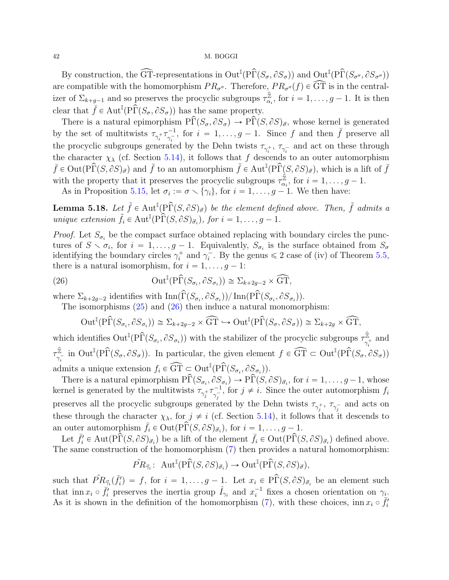By construction, the  $\widehat{\text{GT}}$ -representations in  $\text{Out}^{\mathbb{I}}(\text{P}\widehat{\Gamma}(S_{\sigma}, \partial S_{\sigma}))$  and  $\text{Out}^{\mathbb{I}}(\text{P}\widehat{\Gamma}(S_{\sigma''}, \partial S_{\sigma''}))$ are compatible with the homomorphism  $PR_{\sigma''}$ . Therefore,  $PR_{\sigma''}(f) \in \widehat{\text{GT}}$  is in the centralizer of  $\Sigma_{k+g-1}$  and so preserves the procyclic subgroups  $\tau_{\alpha}^{\hat{\mathbb{Z}}}$  $\frac{z}{\alpha_i}$ , for  $i = 1, \ldots, g - 1$ . It is then clear that  $\hat{f} \in \text{Aut}^{\mathbb{I}}(P\hat{\Gamma}(S_{\sigma}, \partial S_{\sigma}))$  has the same property.

There is a natural epimorphism  $\hat{\text{PT}}(S_{\sigma}, \partial S_{\sigma}) \to \hat{\text{PT}}(S, \partial S)_{\vec{\sigma}}$ , whose kernel is generated by the set of multitwists  $\tau_{\gamma_i^+} \tau_{\gamma_i^-}^{-1}$  $\bar{y}_i^{-1}$ , for  $i = 1, \ldots, g - 1$ . Since f and then  $\tilde{f}$  preserve all the procyclic subgroups generated by the Dehn twists  $\tau_{\gamma_i^+}$ ,  $\tau_{\gamma_i^-}$  and act on these through the character  $\chi_{\lambda}$  (cf. Section [5.14\)](#page-38-3), it follows that f descends to an outer automorphism  $\bar{f} \in \text{Out}(\text{P}\widehat{\Gamma}(S, \partial S)_{\vec{\sigma}})$  and  $\check{f}$  to an automorphism  $\tilde{f} \in \text{Aut}^{\mathbb{I}}(\text{P}\widehat{\Gamma}(S, \partial S)_{\vec{\sigma}})$ , which is a lift of  $\bar{f}$ with the property that it preserves the procyclic subgroups  $\tau_{\alpha}^{\hat{\mathbb{Z}}}$  $\mathbb{Z}_{\alpha_i}$ , for  $i = 1, \ldots, g - 1$ .

As in Proposition [5.15,](#page-39-0) let  $\sigma_i := \sigma \setminus {\gamma_i}$ , for  $i = 1, \ldots, g-1$ . We then have:

<span id="page-41-1"></span>**Lemma 5.18.** Let  $\tilde{f} \in Aut^{\mathbb{I}}(P\hat{\Gamma}(S, \partial S)_{\vec{\sigma}})$  be the element defined above. Then,  $\tilde{f}$  admits a unique extension  $\tilde{f}_i \in \text{Aut}^{\mathbb{I}}(\widehat{P}\widehat{\Gamma}(S, \partial S)_{\vec{\sigma}_i}),$  for  $i = 1, \ldots, g - 1$ .

*Proof.* Let  $S_{\sigma_i}$  be the compact surface obtained replacing with boundary circles the punctures of  $S \setminus \sigma_i$ , for  $i = 1, \ldots, g - 1$ . Equivalently,  $S_{\sigma_i}$  is the surface obtained from  $S_{\sigma_i}$ identifying the boundary circles  $\gamma_i^+$  and  $\gamma_i^-$ . By the genus  $\leq 2$  case of (iv) of Theorem [5.5,](#page-30-0) there is a natural isomorphism, for  $i = 1, \ldots, g - 1$ :

(26) 
$$
\text{Out}^{\mathbb{I}}(\text{P}\widehat{\Gamma}(S_{\sigma_i}, \partial S_{\sigma_i})) \cong \Sigma_{k+2g-2} \times \widehat{\text{GT}},
$$

where  $\Sigma_{k+2g-2}$  identifies with  $\text{Inn}(\widehat{\Gamma}(S_{\sigma_i}, \partial S_{\sigma_i})) / \text{Inn}(\widehat{\text{PT}}(S_{\sigma_i}, \partial S_{\sigma_i}))$ .

The isomorphisms  $(25)$  and  $(26)$  then induce a natural monomorphism:

<span id="page-41-0"></span>
$$
\operatorname{Out}^{\mathbb{I}}(\mathrm{P}\widehat{\Gamma}(S_{\sigma_i}, \partial S_{\sigma_i})) \cong \Sigma_{k+2g-2} \times \widehat{\operatorname{GT}} \hookrightarrow \operatorname{Out}^{\mathbb{I}}(\mathrm{P}\widehat{\Gamma}(S_{\sigma}, \partial S_{\sigma})) \cong \Sigma_{k+2g} \times \widehat{\operatorname{GT}},
$$

which identifies  $Out^{\mathbb{I}}(P\widehat{\Gamma}(S_{\sigma_i}, \partial S_{\sigma_i}))$  with the stabilizer of the procyclic subgroups  $\tau_{\gamma_i}^{\widehat{\mathbb{Z}}}$  $\frac{z}{\gamma_i^+}$  and i  $\tau^{\hat{\mathbb{Z}}}_{\gamma}$  $\frac{\hat{\mathbb{Z}}}{\gamma_i^-}$  in Out<sup>I</sup>(P $\hat{\Gamma}(S_{\sigma}, \partial S_{\sigma})$ ). In particular, the given element  $f \in \widehat{\text{GT}} \subset \text{Out}^{\mathbb{I}}(\widehat{\text{PT}}(S_{\sigma}, \partial S_{\sigma}))$ admits a unique extension  $f_i \in \widehat{\text{GT}} \subset \text{Out}^{\mathbb{I}}(\widehat{\text{PT}}(S_{\sigma_i}, \partial S_{\sigma_i}))$ .

There is a natural epimorphism  $\widehat{PT}(S_{\sigma_i}, \partial S_{\sigma_i}) \to \widehat{PT}(S, \partial S)_{\vec{\sigma}_i}$ , for  $i = 1, \ldots, g-1$ , whose kernel is generated by the multitwists  $\tau_{\gamma_j^+} \tau_{\gamma_i^-}^{-1}$  $\frac{j-1}{\gamma_j}$ , for  $j \neq i$ . Since the outer automorphism  $f_i$ preserves all the procyclic subgroups generated by the Dehn twists  $\tau_{\gamma_j^+}$ ,  $\tau_{\gamma_j^-}$  and acts on these through the character  $\chi_{\lambda}$ , for  $j \neq i$  (cf. Section [5.14\)](#page-38-3), it follows that it descends to an outer automorphism  $\bar{f}_i \in \text{Out}(P\tilde{\Gamma}(S, \partial S)_{\vec{\sigma}_i}),$  for  $i = 1, \ldots, g-1$ .

Let  $\bar{f}_i \in \text{Aut}(\hat{Pr}(S, \partial S)_{\vec{\sigma}_i})$  be a lift of the element  $\bar{f}_i \in \text{Out}(\hat{Pr}(S, \partial S)_{\vec{\sigma}_i})$  defined above. The same construction of the homomorphism [\(7\)](#page-23-0) then provides a natural homomorphism:

$$
\tilde{PR}_{\vec{\gamma}_i}\colon \operatorname{Aut}^\mathbb{I}(\widehat{\mathrm{P}\Gamma}(S,\partial S)_{\vec{\sigma}_i})\to \mathrm{Out}^\mathbb{I}(\widehat{\mathrm{P}\Gamma}(S,\partial S)_{\vec{\sigma}}),
$$

such that  $\tilde{PR}_{\vec{\gamma}_i}(\bar{f}_i) = f$ , for  $i = 1, \ldots, g - 1$ . Let  $x_i \in \tilde{PR}(S, \partial S)_{\vec{\sigma}_i}$  be an element such that inn  $x_i \circ \bar{f}'_i$  preserves the inertia group  $\hat{I}_{\gamma_i}$  and  $x_i^{-1}$  fixes a chosen orientation on  $\gamma_i$ . As it is shown in the definition of the homomorphism [\(7\)](#page-23-0), with these choices, inn  $x_i \circ \overline{f'_i}$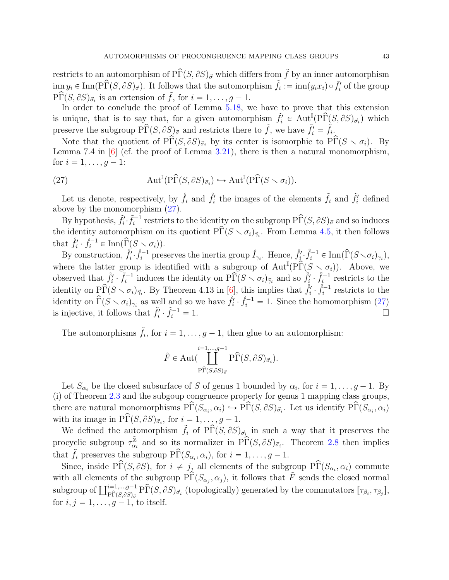<span id="page-42-1"></span>restricts to an automorphism of  $\widehat{PT}(S, \partial S)_{\vec{\sigma}}$  which differs from  $\tilde{f}$  by an inner automorphism  $\lim y_i \in \text{Inn}(P\widehat{\Gamma}(S, \partial S)_{\vec{\sigma}})$ . It follows that the automorphism  $\tilde{f}_i := \lim(y_i x_i) \circ \overline{f'_i}$  of the group  $\widehat{\text{PP}(S, \partial S)}_{\vec{\sigma_i}}$  is an extension of  $\tilde{f}$ , for  $i = 1, \ldots, g-1$ .

In order to conclude the proof of Lemma [5.18,](#page-41-1) we have to prove that this extension is unique, that is to say that, for a given automorphism  $\tilde{f}_i' \in \text{Aut}^{\mathbb{I}}(P\widehat{\Gamma}(S, \partial S)_{\vec{\sigma}_i})$  which preserve the subgroup  $\Pr(S, \partial S)_{\vec{\sigma}}$  and restricts there to  $\tilde{f}$ , we have  $\tilde{f}'_i = \tilde{f}_i$ .

Note that the quotient of  $\widehat{PT}(S, \partial S)_{\vec{\sigma}_i}$  by its center is isomorphic to  $\widehat{PT}(S \setminus \sigma_i)$ . By Lemma 7.4 in [\[6\]](#page-51-9) (cf. the proof of Lemma [3.21\)](#page-0-0), there is then a natural monomorphism, for  $i = 1, \ldots, g - 1$ :

<span id="page-42-0"></span>(27) 
$$
\operatorname{Aut}^{\mathbb{I}}(\mathrm{P}\widehat{\Gamma}(S,\partial S)_{\vec{\sigma}_i}) \hookrightarrow \operatorname{Aut}^{\mathbb{I}}(\mathrm{P}\widehat{\Gamma}(S \smallsetminus \sigma_i)).
$$

Let us denote, respectively, by  $\hat{f}_i$  and  $\hat{f}'_i$  the images of the elements  $\tilde{f}_i$  and  $\tilde{f}'_i$  defined above by the monomorphism [\(27\)](#page-42-0).

By hypothesis,  $\tilde{f}_i' \cdot \tilde{f}_i^{-1}$  restricts to the identity on the subgroup  $\hat{\text{PP}}(S, \partial S)_{\vec{\sigma}}$  and so induces the identity automorphism on its quotient  $\widetilde{\Pr}(S \setminus \sigma_i)_{\vec{\gamma}_i}$ . From Lemma [4.5,](#page-26-1) it then follows that  $\mathring{f}'_i \cdot \mathring{f}_i^{-1} \in \text{Inn}(\widehat{\Gamma}(S \setminus \sigma_i)).$ 

By construction,  $\hat{f}_i^{\prime} \cdot \hat{f}_i^{-1}$  preserves the inertia group  $\hat{I}_{\gamma_i}$ . Hence,  $\hat{f}_i^{\prime} \cdot \hat{f}_i^{-1} \in \text{Inn}(\widehat{\Gamma}(S \setminus \sigma_i)_{\gamma_i}),$ where the latter group is identified with a subgroup of  $\text{Aut}^{\mathbb{I}}(P\hat{\Gamma}(S \setminus \sigma_i))$ . Above, we observed that  $\tilde{f}_i' \cdot \tilde{f}_i^{-1}$  induces the identity on  $\tilde{P}_i(S \setminus \sigma_i)_{\vec{\gamma}_i}$  and so  $\tilde{f}_i' \cdot \tilde{f}_i^{-1}$  restricts to the identity on  $\widehat{P}\widehat{\Gamma}(S \setminus \sigma_i)_{\vec{\gamma}_i}$ . By Theorem 4.13 in [\[6\]](#page-51-9), this implies that  $\int_i^{\delta} \widehat{\gamma}_i^{\delta-1}$  restricts to the identity on  $\hat{\Gamma}(S \setminus \sigma_i)_{\gamma_i}$  as well and so we have  $\hat{f}_i^j \cdot \hat{f}_i^{-1} = 1$ . Since the homomorphism [\(27\)](#page-42-0) is injective, it follows that  $\tilde{f}_i' \cdot \tilde{f}_i^{-1} = 1$ .

The automorphisms  $\tilde{f}_i$ , for  $i = 1, \ldots, g - 1$ , then glue to an automorphism:

$$
\tilde{F}\in \mathrm{Aut}(\coprod_{\substack{\mathrm{P}\widehat{\Gamma}(S,\partial S)_{\vec{\sigma}}}}^{i=1,\ldots,g-1}\mathrm{P}\widehat{\Gamma}(S,\partial S)_{\vec{\sigma}_i}).
$$

Let  $S_{\alpha_i}$  be the closed subsurface of S of genus 1 bounded by  $\alpha_i$ , for  $i = 1, \ldots, g - 1$ . By (i) of Theorem [2.3](#page-6-1) and the subgoup congruence property for genus 1 mapping class groups, there are natural monomorphisms  $\widehat{P}\widehat{\Gamma}(S_{\alpha_i}, \alpha_i) \hookrightarrow \widehat{P}\widehat{\Gamma}(S, \partial S)_{\vec{\sigma}_i}$ . Let us identify  $\widehat{P}\widehat{\Gamma}(S_{\alpha_i}, \alpha_i)$ with its image in  $\hat{\text{PT}}(S, \partial S)_{\vec{\sigma}_i}$ , for  $i = 1, \ldots, g - 1$ .

We defined the automorphism  $\tilde{f}_i$  of  $\widehat{P}\Gamma(S, \partial S)_{\vec{\sigma}_i}$  in such a way that it preserves the procyclic subgroup  $\tau_{\alpha}^{\hat{\mathbb{Z}}}$  $\hat{\mathbb{Z}}_{\alpha_i}$  and so its normalizer in P $\hat{\Gamma}(S, \partial S)_{\vec{\sigma}_i}$ . Theorem [2.8](#page-8-2) then implies that  $\tilde{f}_i$  preserves the subgroup  $\widehat{P}\Gamma(S_{\alpha_i}, \alpha_i)$ , for  $i = 1, \ldots, g-1$ .

Since, inside  $\widehat{Pr}(S, \partial S)$ , for  $i \neq j$ , all elements of the subgroup  $\widehat{Pr}(S_{\alpha_i}, \alpha_i)$  commute with all elements of the subgroup  $\hat{\text{P}\Gamma}(S_{\alpha_j}, \alpha_j)$ , it follows that  $\tilde{F}$  sends the closed normal with an elements of the subgroup  $P_1(S_{\alpha_j}, \alpha_j)$ , it follows that  $P$  sends the closed normal subgroup of  $\prod_{\substack{p \in \{1,\ldots,g-1\} \\ P(p|_{\alpha_j},\beta_j)=\delta}}^{i=1,\ldots,g-1} P\widehat{\Gamma}(S,\partial S)_{\vec{\sigma}_i}$  (topologically) generated by the commutators for  $i, j = 1, \ldots, g-1$ , to itself.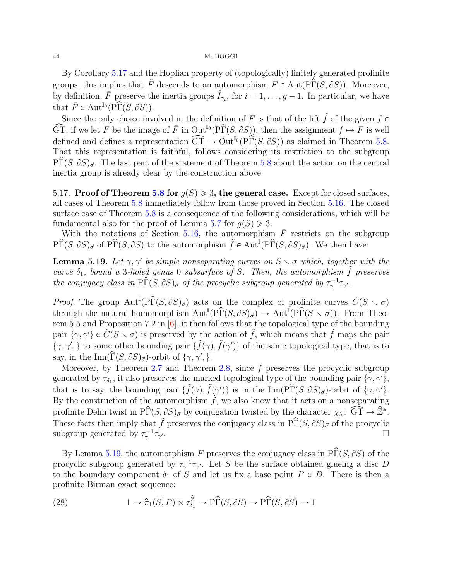<span id="page-43-3"></span>By Corollary [5.17](#page-40-0) and the Hopfian property of (topologically) finitely generated profinite groups, this implies that  $\tilde{F}$  descends to an automorphism  $\bar{F} \in \text{Aut}(\text{P}\hat{\Gamma}(S, \partial S))$ . Moreover, by definition,  $\bar{F}$  preserve the inertia groups  $\hat{I}_{\gamma_i}$ , for  $i = 1, \ldots, g - 1$ . In particular, we have that  $\overline{F} \in \text{Aut}^{\mathbb{I}_0}(\widehat{\text{P}\Gamma}(S, \partial S)).$ 

Since the only choice involved in the definition of  $\bar{F}$  is that of the lift  $\tilde{f}$  of the given  $f \in$  $\widehat{\text{GT}}$ , if we let F be the image of F in Out<sup>I<sub>0</sub></sup>(P $\widehat{\Gamma}(S, \partial S)$ ), then the assignment  $f \mapsto F$  is well defined and defines a representation  $\widehat{GT} \to \text{Out}^{\mathbb{I}_0}(P\widehat{\Gamma}(S, \partial S))$  as claimed in Theorem [5.8.](#page-32-0) That this representation is faithful, follows considering its restriction to the subgroup  $\overline{\text{PT}}(S, \partial S)_{\vec{\sigma}}$ . The last part of the statement of Theorem [5.8](#page-32-0) about the action on the central inertia group is already clear by the construction above.

<span id="page-43-2"></span>5.17. Proof of Theorem [5.8](#page-32-0) for  $q(S) \geq 3$ , the general case. Except for closed surfaces, all cases of Theorem [5.8](#page-32-0) immediately follow from those proved in Section [5.16.](#page-40-2) The closed surface case of Theorem [5.8](#page-32-0) is a consequence of the following considerations, which will be fundamental also for the proof of Lemma [5.7](#page-0-0) for  $q(S) \geq 3$ .

With the notations of Section [5.16,](#page-40-2) the automorphism  $\overline{F}$  restricts on the subgroup  $\hat{\text{PPF}}(S, \partial S)_{\vec{\sigma}}$  of  $\hat{\text{PPF}}(S, \partial S)$  to the automorphism  $\tilde{f} \in \text{Aut}^{\mathbb{I}}(\hat{\text{PPF}}(S, \partial S)_{\vec{\sigma}})$ . We then have:

<span id="page-43-0"></span>**Lemma 5.19.** Let  $\gamma$ ,  $\gamma'$  be simple nonseparating curves on  $S \setminus \sigma$  which, together with the curve  $\delta_1$ , bound a 3-holed genus 0 subsurface of S. Then, the automorphism  $\tilde{f}$  preserves the conjugacy class in  $\widehat{PT}(S, \partial S)_{\vec{\sigma}}$  of the procyclic subgroup generated by  $\tau_{\gamma}^{-1} \tau_{\gamma}$ .

*Proof.* The group  $Aut^{\mathbb{I}}(P\hat{\Gamma}(S, \partial S)_{\vec{\sigma}})$  acts on the complex of profinite curves  $\check{C}(S \setminus \sigma)$ through the natural homomorphism  $\text{Aut}^{\mathbb{I}}(\text{P}\widehat{\Gamma}(S,\partial S)_{\vec{\sigma}}) \to \text{Aut}^{\mathbb{I}}(\text{P}\widehat{\Gamma}(S\smallsetminus \sigma)).$  From Theorem 5.5 and Proposition 7.2 in [\[6\]](#page-51-9), it then follows that the topological type of the bounding pair  $\{\gamma, \gamma'\} \in \check{C}(S \setminus \sigma)$  is preserved by the action of  $\tilde{f}$ , which means that  $\tilde{f}$  maps the pair  $\{\gamma, \gamma'\}$  to some other bounding pair  $\{\tilde{f}(\gamma), \tilde{f}(\gamma')\}$  of the same topological type, that is to say, in the Inn $(\widehat{\Gamma}(S, \partial S)_{\vec{\sigma}})$ -orbit of  $\{\gamma, \gamma', \}$ .

Moreover, by Theorem [2.7](#page-8-1) and Theorem [2.8,](#page-8-2) since  $\tilde{f}$  preserves the procyclic subgroup generated by  $\tau_{\delta_1}$ , it also preserves the marked topological type of the bounding pair  $\{\gamma, \gamma'\},$ that is to say, the bounding pair  $\{\tilde{f}(\gamma), \tilde{f}(\gamma')\}$  is in the Inn(PT(S,  $\partial S$ ) $\sigma$ )-orbit of  $\{\gamma, \gamma'\}$ . By the construction of the automorphism  $\tilde{f}$ , we also know that it acts on a nonseparating profinite Dehn twist in  $\widehat{PT}(S, \partial S)_{\vec{\sigma}}$  by conjugation twisted by the character  $\chi_{\lambda} \colon \widehat{GT} \to \widehat{\mathbb{Z}}^*$ . These facts then imply that  $\tilde{f}$  preserves the conjugacy class in  $\hat{\text{PT}}(S, \partial S)_{\vec{\sigma}}$  of the procyclic subgroup generated by  $\tau_{\gamma}^{-1}\tau_{\gamma}$ <sup>1</sup>.

By Lemma [5.19,](#page-43-0) the automorphism  $\overline{F}$  preserves the conjugacy class in  $\widehat{PT}(S, \partial S)$  of the procyclic subgroup generated by  $\tau_{\gamma}^{-1}\tau_{\gamma'}$ . Let  $\overline{S}$  be the surface obtained glueing a disc D to the boundary component  $\delta_1$  of S and let us fix a base point  $P \in D$ . There is then a profinite Birman exact sequence:

<span id="page-43-1"></span>(28) 
$$
1 \to \hat{\pi}_1(\overline{S}, P) \times \tau_{\delta_1}^{\hat{\mathbb{Z}}} \to \widehat{\text{P}\Gamma}(S, \partial S) \to \widehat{\text{P}\Gamma}(\overline{S}, \partial \overline{S}) \to 1
$$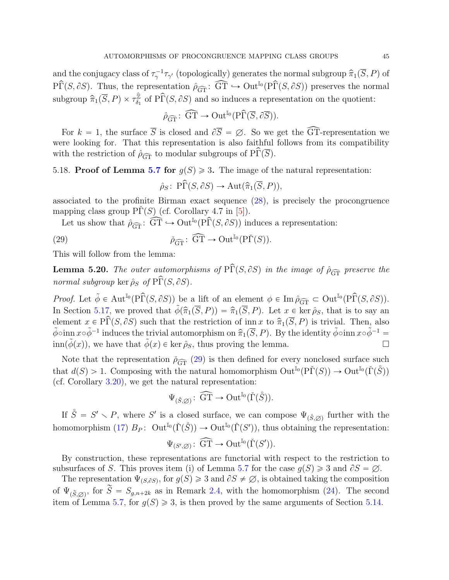<span id="page-44-1"></span>and the conjugacy class of  $\tau_{\gamma}^{-1}\tau_{\gamma'}$  (topologically) generates the normal subgroup  $\widehat{\pi}_1(\overline{S}, P)$  of  $\hat{\text{PPF}}(S, \partial S)$ . Thus, the representation  $\hat{\rho}_{\widehat{\text{GT}}} : \widehat{\text{GT}} \hookrightarrow \text{Out}^{\mathbb{I}_0}(\hat{\text{PPF}}(S, \partial S))$  preserves the normal subgroup  $\widehat{\pi}_1(\overline{S}, P) \times \tau_{\delta_1}^{\widehat{\mathbb{Z}}}$  $\frac{\widehat{\mathbb{Z}}}{\delta_1}$  of P $\widehat{\Gamma}(S, \partial S)$  and so induces a representation on the quotient:

$$
\hat{\rho}_{\widehat{\mathrm{GT}}} \colon \widehat{\mathrm{GT}} \to \mathrm{Out}^{\mathbb{I}_0}(\mathrm{P}\widehat{\Gamma}(\overline{S}, \partial \overline{S})).
$$

For  $k = 1$ , the surface  $\overline{S}$  is closed and  $\partial \overline{S} = \emptyset$ . So we get the  $\widehat{GT}$ -representation we were looking for. That this representation is also faithful follows from its compatibility with the restriction of  $\rho_{\widehat{\text{GT}}}$  to modular subgroups of  $\widehat{\text{PT}}(\overline{S})$ .

## 5.18. Proof of Lemma [5.7](#page-0-0) for  $g(S) \geq 3$ . The image of the natural representation:

<span id="page-44-0"></span>
$$
\hat{\rho}_S\colon\operatorname{P}\widehat{\Gamma}(S,\partial S)\to\operatorname{Aut}(\widehat{\pi}_1(\overline{S},P)),
$$

associated to the profinite Birman exact sequence [\(28\)](#page-43-1), is precisely the procongruence mapping class group  $\Pr(S)$  (cf. Corollary 4.7 in [\[5\]](#page-51-2)).

Let us show that  $\rho_{\widehat{GT}} : \widehat{GT} \hookrightarrow \mathrm{Out}^{\mathbb{I}_0}(\widehat{PT}(S, \partial S))$  induces a representation:

(29) 
$$
\check{\rho}_{\widehat{\mathrm{GT}}} \colon \widehat{\mathrm{GT}} \to \mathrm{Out}^{\mathbb{I}_0}(\mathrm{P}\check{\Gamma}(S)).
$$

This will follow from the lemma:

**Lemma 5.20.** The outer automorphisms of  $\hat{\text{PT}}(S, \partial S)$  in the image of  $\hat{\rho}_{\widehat{GT}}$  preserve the normal subgroup ker  $\hat{\rho}_S$  of  $\widehat{\text{PP}}(S, \partial S)$ .

Proof. Let  $\tilde{\phi} \in \text{Aut}^{\mathbb{I}_0}(\widehat{P}\widehat{\Gamma}(S, \partial S))$  be a lift of an element  $\phi \in \text{Im}\,\hat{\rho}_{\widehat{\text{GT}}} \subset \text{Out}^{\mathbb{I}_0}(\widehat{P}\widehat{\Gamma}(S, \partial S)).$ In Section [5.17,](#page-43-2) we proved that  $\tilde{\phi}(\hat{\pi}_1(\overline{S}, P)) = \hat{\pi}_1(\overline{S}, P)$ . Let  $x \in \text{ker } \hat{\rho}_S$ , that is to say an element  $x \in \widehat{PT}(S, \partial S)$  such that the restriction of inn x to  $\widehat{\pi}_1(\overline{S}, P)$  is trivial. Then, also  $\tilde{\phi}$ oinn  $x \circ \tilde{\phi}^{-1}$  induces the trivial automorphism on  $\widehat{\pi}_1(\overline{S}, P)$ . By the identity  $\tilde{\phi}$ oinn  $x \circ \tilde{\phi}^{-1} =$  $\lim(\phi(x))$ , we have that  $\phi(x) \in \text{ker } \hat{\rho}_S$ , thus proving the lemma.

Note that the representation  $\tilde{\rho}_{\widehat{\text{GT}}}$  [\(29\)](#page-44-0) is then defined for every nonclosed surface such that  $d(S) > 1$ . Composing with the natural homomorphism  $\mathrm{Out}^{\mathbb{I}_0}(\mathrm{P}\check{\Gamma}(S)) \to \mathrm{Out}^{\mathbb{I}_0}(\check{\Gamma}(\mathring{S}))$ (cf. Corollary [3.20\)](#page-0-0), we get the natural representation:

$$
\Psi_{(\mathring{S},\varnothing)}\colon \widehat{\mathrm{GT}} \to \mathrm{Out}^{\mathbb{I}_0}(\check{\Gamma}(\mathring{S})).
$$

If  $\mathring{S} = S' \setminus P$ , where S' is a closed surface, we can compose  $\Psi_{(\mathring{S}, \varnothing)}$  further with the homomorphism [\(17\)](#page-29-1)  $B_P: \,\, \text{Out}^{\mathbb{I}_0}(\check{\Gamma}(\mathring{S})) \to \text{Out}^{\mathbb{I}_0}(\check{\Gamma}(S'))$ , thus obtaining the representation:

$$
\Psi_{(S',\varnothing)}\colon \widehat{\mathrm{GT}} \to \mathrm{Out}^{\mathbb{I}_0}(\check\Gamma(S')).
$$

By construction, these representations are functorial with respect to the restriction to subsurfaces of S. This proves item (i) of Lemma [5.7](#page-0-0) for the case  $g(S) \geq 3$  and  $\partial S = \emptyset$ .

The representation  $\Psi_{(S,\partial S)}$ , for  $g(S) \geq 3$  and  $\partial S \neq \emptyset$ , is obtained taking the composition of  $\Psi_{(\tilde{S}, \emptyset)}$ , for  $\tilde{S} = S_{g,n+2k}$  as in Remark [2.4,](#page-7-0) with the homomorphism [\(24\)](#page-38-4). The second item of Lemma [5.7,](#page-0-0) for  $g(S) \geq 3$ , is then proved by the same arguments of Section [5.14.](#page-38-3)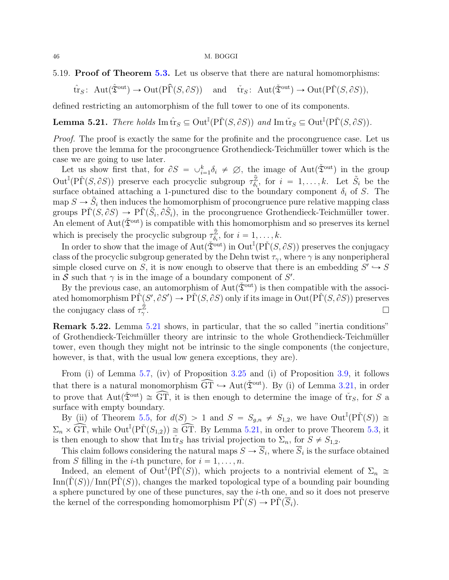5.19. Proof of Theorem [5.3.](#page-30-4) Let us observe that there are natural homomorphisms:

$$
\hat{\mathrm{tr}}_S\colon \operatorname{Aut}(\hat{\mathfrak{T}}^{\operatorname{out}}) \to \operatorname{Out}(\widehat{\mathrm{P}\Gamma}(S, \partial S)) \quad \text{and} \quad \check{\mathrm{tr}}_S\colon \operatorname{Aut}(\check{\mathfrak{T}}^{\operatorname{out}}) \to \operatorname{Out}(\widehat{\mathrm{P}\Gamma}(S, \partial S)),
$$

defined restricting an automorphism of the full tower to one of its components.

<span id="page-45-0"></span>**Lemma 5.21.** There holds  $\text{Im } \hat{\text{tr}}_S \subseteq \text{Out}^{\mathbb{I}}(\text{P}\check{\Gamma}(S, \partial S))$  and  $\text{Im } \check{\text{tr}}_S \subseteq \text{Out}^{\mathbb{I}}(\text{P}\check{\Gamma}(S, \partial S)).$ 

Proof. The proof is exactly the same for the profinite and the procongruence case. Let us then prove the lemma for the procongruence Grothendieck-Teichm¨uller tower which is the case we are going to use later.

Let us show first that, for  $\partial S = \bigcup_{i=1}^k \delta_i \neq \emptyset$ , the image of Aut $(\check{\mathfrak{T}}^{\text{out}})$  in the group  $\text{Out}^{\mathbb{I}}(\text{P}\check{\Gamma}(S,\partial S))$  preserve each procyclic subgroup  $\tau_{\delta_i}^{\hat{\mathbb{Z}}}$  $\hat{\tilde{z}}_i$ , for  $i = 1, ..., k$ . Let  $\tilde{S}_i$  be the surface obtained attaching a 1-punctured disc to the boundary component  $\delta_i$  of S. The map  $S \to \tilde{S}_i$  then induces the homomorphism of procongruence pure relative mapping class groups  $\tilde{\Pr}(S, \partial S) \to \tilde{\Pr}(S_i, \partial S_j)$ , in the procongruence Grothendieck-Teichmüller tower. An element of  $Aut(\tilde{\mathfrak{T}}^{\text{out}})$  is compatible with this homomorphism and so preserves its kernel which is precisely the procyclic subgroup  $\tau_{\delta}^{\hat{z}}$  $\mathcal{L}_{\delta_i}$ , for  $i = 1, \ldots, k$ .

In order to show that the image of  $Aut(\check{\mathfrak{T}}^{out})$  in  $Out^{\mathbb{I}}(P\check{\Gamma}(S, \partial S))$  preserves the conjugacy class of the procyclic subgroup generated by the Dehn twist  $\tau_{\gamma}$ , where  $\gamma$  is any nonperipheral simple closed curve on S, it is now enough to observe that there is an embedding  $S' \hookrightarrow S$ in S such that  $\gamma$  is in the image of a boundary component of S'.

By the previous case, an automorphism of  $Aut(\mathfrak{F}^{\text{out}})$  is then compatible with the associated homomorphism  $\tilde{\text{PI}}(S', \partial S') \to \tilde{\text{PI}}(S, \partial S)$  only if its image in  $\text{Out}(\tilde{\text{PI}}(S, \partial S))$  preserves the conjugacy class of  $\tau_{\gamma}^{\hat{\mathbb{Z}}}$ γ .

Remark 5.22. Lemma [5.21](#page-45-0) shows, in particular, that the so called "inertia conditions" of Grothendieck-Teichmüller theory are intrinsic to the whole Grothendieck-Teichmüller tower, even though they might not be intrinsic to the single components (the conjecture, however, is that, with the usual low genera exceptions, they are).

From (i) of Lemma [5.7,](#page-0-0) (iv) of Proposition [3.25](#page-22-0) and (i) of Proposition [3.9,](#page-15-1) it follows that there is a natural monomorphism  $\widehat{GT} \hookrightarrow Aut(\check{\mathfrak{T}}^{out})$ . By (i) of Lemma [3.21,](#page-0-0) in order to prove that  $Aut(\tilde{\mathfrak{T}}<sup>out</sup>) \cong \widehat{GT}$ , it is then enough to determine the image of  $\check{tr}_S$ , for S a surface with empty boundary.

By (ii) of Theorem [5.5,](#page-30-0) for  $d(S) > 1$  and  $S = S_{g,n} \neq S_{1,2}$ , we have  $Out^{I}(P\check{\Gamma}(S)) \cong$  $\Sigma_n \times \widetilde{\text{GT}},$  while  $\text{Out}^{\mathbb{I}}(\text{P}\check{\Gamma}(S_{1,2})) \cong \widehat{\text{GT}}$ . By Lemma [5.21,](#page-45-0) in order to prove Theorem [5.3,](#page-30-4) it is then enough to show that Im  $\check{tr}_S$  has trivial projection to  $\Sigma_n$ , for  $S \neq S_{1,2}$ .

This claim follows considering the natural maps  $S \to S_i$ , where  $S_i$  is the surface obtained from S filling in the *i*-th puncture, for  $i = 1, \ldots, n$ .

Indeed, an element of  $Out^{\mathbb{I}}(P\check{\Gamma}(S))$ , which projects to a nontrivial element of  $\Sigma_n \cong$  $\text{Inn}(\tilde{\Gamma}(S))/\text{Inn}(\tilde{\Gamma}(S))$ , changes the marked topological type of a bounding pair bounding a sphere punctured by one of these punctures, say the  $i$ -th one, and so it does not preserve the kernel of the corresponding homomorphism  $\overline{PT}(S) \to \overline{PT}(S_i)$ .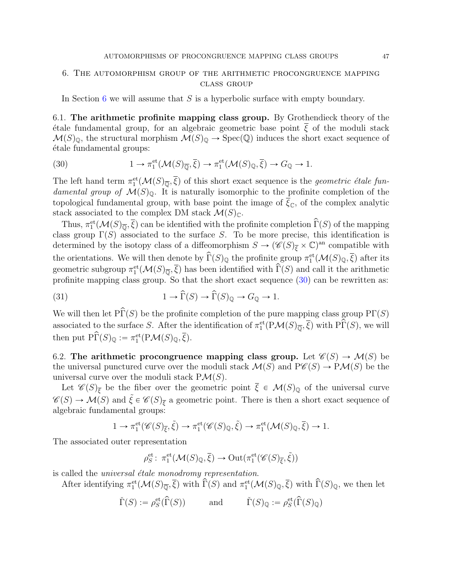## <span id="page-46-0"></span>6. The automorphism group of the arithmetic procongruence mapping class group

In Section [6](#page-46-0) we will assume that  $S$  is a hyperbolic surface with empty boundary.

6.1. The arithmetic profinite mapping class group. By Grothendieck theory of the  $\acute{\epsilon}$ tale fundamental group, for an algebraic geometric base point  $\bar{\xi}$  of the moduli stack  $\mathcal{M}(S)_{\mathbb{Q}}$ , the structural morphism  $\mathcal{M}(S)_{\mathbb{Q}} \to \text{Spec}(\mathbb{Q})$  induces the short exact sequence of ´etale fundamental groups:

<span id="page-46-1"></span>(30) 
$$
1 \to \pi_1^{\text{et}}(\mathcal{M}(S)_{\overline{\mathbb{Q}}}, \overline{\xi}) \to \pi_1^{\text{et}}(\mathcal{M}(S)_{\mathbb{Q}}, \overline{\xi}) \to G_{\mathbb{Q}} \to 1.
$$

The left hand term  $\pi_1^{\text{et}}(\mathcal{M}(S)_{\overline{\mathbb{Q}}}, \overline{\xi})$  of this short exact sequence is the *geometric étale fun*damental group of  $\mathcal{M}(S)_{\mathbb{Q}}$ . It is naturally isomorphic to the profinite completion of the topological fundamental group, with base point the image of  $\xi_{\mathbb{C}}$ , of the complex analytic stack associated to the complex DM stack  $\mathcal{M}(S)_{\mathbb{C}}$ .

Thus,  $\pi_1^{\text{et}}(\mathcal{M}(S)_{\overline{\mathbb{Q}}}, \overline{\xi})$  can be identified with the profinite completion  $\widehat{\Gamma}(S)$  of the mapping class group  $\Gamma(S)$  associated to the surface S. To be more precise, this identification is determined by the isotopy class of a diffeomorphism  $S \to (\mathscr{C}(S)_{\overline{\xi}} \times \mathbb{C})^{\text{an}}$  compatible with the orientations. We will then denote by  $\widehat{\Gamma}(S)_{\mathbb{Q}}$  the profinite group  $\pi_1^{\text{et}}(\mathcal{M}(S)_{\mathbb{Q}}, \overline{\xi})$  after its geometric subgroup  $\pi_1^{\text{et}}(\mathcal{M}(S)_{\overline{\mathbb{Q}}}, \overline{\xi})$  has been identified with  $\widehat{\Gamma}(S)$  and call it the arithmetic profinite mapping class group. So that the short exact sequence [\(30\)](#page-46-1) can be rewritten as:

<span id="page-46-2"></span>(31) 
$$
1 \to \widehat{\Gamma}(S) \to \widehat{\Gamma}(S)_{\mathbb{Q}} \to G_{\mathbb{Q}} \to 1.
$$

We will then let  $\hat{\text{PT}}(S)$  be the profinite completion of the pure mapping class group  $\text{PT}(S)$ associated to the surface S. After the identification of  $\pi_1^{\text{et}}(P\mathcal{M}(S)_{\overline{\mathbb{Q}}}, \overline{\xi})$  with  $\widetilde{P(\overline{P}(S))}$ , we will then put  $\hat{\text{PT}}(S)_{\mathbb{Q}} := \pi_1^{\text{et}}(\text{P}\mathcal{M}(S)_{\mathbb{Q}}, \overline{\xi}).$ 

6.2. The arithmetic procongruence mapping class group. Let  $\mathcal{C}(S) \to \mathcal{M}(S)$  be the universal punctured curve over the moduli stack  $\mathcal{M}(S)$  and  $P\mathscr{C}(S) \to P\mathcal{M}(S)$  be the universal curve over the moduli stack  $P\mathcal{M}(S)$ .

Let  $\mathscr{C}(S)_{\overline{\xi}}$  be the fiber over the geometric point  $\overline{\xi} \in \mathcal{M}(S)_{\mathbb{Q}}$  of the universal curve  $\mathscr{C}(S) \to \mathcal{M}(S)$  and  $\tilde{\xi} \in \mathscr{C}(S)_{\overline{\xi}}$  a geometric point. There is then a short exact sequence of algebraic fundamental groups:

$$
1 \to \pi_1^{\text{et}}(\mathscr{C}(S)_{\overline{\xi}}, \widetilde{\xi}) \to \pi_1^{\text{et}}(\mathscr{C}(S)_{\mathbb{Q}}, \widetilde{\xi}) \to \pi_1^{\text{et}}(\mathcal{M}(S)_{\mathbb{Q}}, \overline{\xi}) \to 1.
$$

The associated outer representation

$$
\rho^{\mathrm{et}}_S\colon\thinspace\pi_1^{\mathrm{et}}(\mathcal{M}(S)_{\mathbb{Q}},\overline{\xi})\to\mathrm{Out}(\pi_1^{\mathrm{et}}(\mathscr{C}(S)_{\overline{\xi}},\widetilde{\xi}))
$$

is called the *universal étale monodromy representation*.

After identifying  $\pi_1^{\text{et}}(\mathcal{M}(S)_{\overline{\mathbb{Q}}}, \overline{\xi})$  with  $\widehat{\Gamma}(S)$  and  $\pi_1^{\text{et}}(\mathcal{M}(S)_{\mathbb{Q}}, \overline{\xi})$  with  $\widehat{\Gamma}(S)_{\mathbb{Q}}$ , we then let

$$
\check\Gamma(S):=\rho^{\rm et}_S(\widehat\Gamma(S))\qquad\text{ and }\qquad \check\Gamma(S)_{\mathbb{Q}}:=\rho^{\rm et}_S(\widehat\Gamma(S)_{\mathbb{Q}})
$$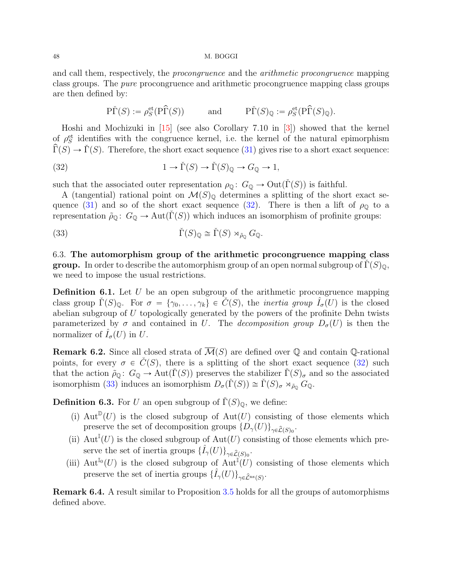<span id="page-47-2"></span>and call them, respectively, the procongruence and the arithmetic procongruence mapping class groups. The pure procongruence and arithmetic procongruence mapping class groups are then defined by:

<span id="page-47-0"></span>
$$
\tilde{\mathrm{PT}}(S) := \rho^{\text{et}}_S(\tilde{\mathrm{PT}}(S)) \quad \text{and} \quad \tilde{\mathrm{PT}}(S)_{\mathbb{Q}} := \rho^{\text{et}}_S(\tilde{\mathrm{PT}}(S)_{\mathbb{Q}}).
$$

Hoshi and Mochizuki in [\[15\]](#page-51-18) (see also Corollary 7.10 in [\[3\]](#page-50-1)) showed that the kernel of  $\rho_S^{\text{et}}$  identifies with the congruence kernel, i.e. the kernel of the natural epimorphism  $\widehat{\Gamma}(S) \to \widecheck{\Gamma}(S)$ . Therefore, the short exact sequence [\(31\)](#page-46-2) gives rise to a short exact sequence:

(32) 
$$
1 \to \check{\Gamma}(S) \to \check{\Gamma}(S)_{\mathbb{Q}} \to G_{\mathbb{Q}} \to 1,
$$

such that the associated outer representation  $\rho_{\mathbb{Q}}\colon G_{\mathbb{Q}} \to \mathrm{Out}(\check{\Gamma}(S))$  is faithful.

A (tangential) rational point on  $\mathcal{M}(S)_{\mathbb{Q}}$  determines a splitting of the short exact se-quence [\(31\)](#page-46-2) and so of the short exact sequence [\(32\)](#page-47-0). There is then a lift of  $\rho_{\mathbb{Q}}$  to a representation  $\tilde{\rho}_{\mathbb{Q}}\colon G_{\mathbb{Q}} \to \text{Aut}(\Gamma(S))$  which induces an isomorphism of profinite groups:

<span id="page-47-1"></span>(33) 
$$
\check{\Gamma}(S)_{\mathbb{Q}} \cong \check{\Gamma}(S) \rtimes_{\tilde{\rho}_{\mathbb{Q}}} G_{\mathbb{Q}}.
$$

6.3. The automorphism group of the arithmetic procongruence mapping class **group.** In order to describe the automorphism group of an open normal subgroup of  $\Gamma(S)_{\mathbb{Q}},$ we need to impose the usual restrictions.

**Definition 6.1.** Let  $U$  be an open subgroup of the arithmetic procongruence mapping class group  $\check{\Gamma}(S)_{\mathbb{Q}}$ . For  $\sigma = {\gamma_0, \ldots, \gamma_k} \in \check{C}(S)$ , the *inertia group*  $\hat{I}_{\sigma}(U)$  is the closed abelian subgroup of  $U$  topologically generated by the powers of the profinite Dehn twists parameterized by  $\sigma$  and contained in U. The *decomposition group*  $D_{\sigma}(U)$  is then the normalizer of  $\hat{I}_{\sigma}(U)$  in U.

**Remark 6.2.** Since all closed strata of  $\overline{\mathcal{M}}(S)$  are defined over Q and contain Q-rational points, for every  $\sigma \in C(S)$ , there is a splitting of the short exact sequence [\(32\)](#page-47-0) such that the action  $\tilde{\rho}_{\mathbb{Q}}\colon G_{\mathbb{Q}} \to \text{Aut}(\tilde{\Gamma}(S))$  preserves the stabilizer  $\tilde{\Gamma}(S)_{\sigma}$  and so the associated isomorphism [\(33\)](#page-47-1) induces an isomorphism  $D_{\sigma}(\check{\Gamma}(S)) \cong \check{\Gamma}(S)_{\sigma} \rtimes_{\tilde{\rho}_{0}} G_{\mathbb{Q}}$ .

**Definition 6.3.** For U an open subgroup of  $\Gamma(S)_{\mathbb{Q}}$ , we define:

- (i)  $Aut^{\mathbb{D}}(U)$  is the closed subgroup of  $Aut(U)$  consisting of those elements which preserve the set of decomposition groups  $\{D_{\gamma}(U)\}_{\gamma \in \widehat{\mathcal{L}}(S)_{0}}$ .
- (ii)  $Aut<sup>I</sup>(U)$  is the closed subgroup of  $Aut(U)$  consisting of those elements which preserve the set of inertia groups  $\{\hat{I}_{\gamma}(U)\}_{\gamma \in \hat{\mathcal{L}}(S)_0}$ .
- (iii)  $\mathrm{Aut}^{\mathbb{I}_0}(U)$  is the closed subgroup of  $\mathrm{Aut}^{\mathbb{I}}(U)$  consisting of those elements which preserve the set of inertia groups  $\{\hat{I}_{\gamma}(U)\}_{\gamma \in \hat{\mathcal{L}}^{\text{ns}}(S)}$ .

Remark 6.4. A result similar to Proposition [3.5](#page-12-1) holds for all the groups of automorphisms defined above.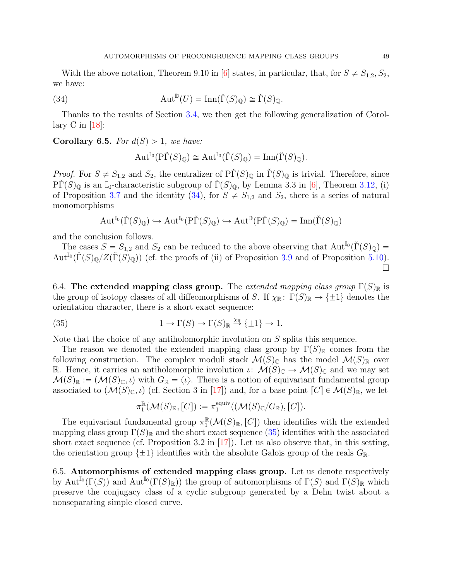<span id="page-48-3"></span>With the above notation, Theorem 9.10 in [\[6\]](#page-51-9) states, in particular, that, for  $S \neq S_{1,2}, S_2$ , we have:

(34) 
$$
\operatorname{Aut}^{\mathbb{D}}(U) = \operatorname{Inn}(\check{\Gamma}(S)_{\mathbb{Q}}) \cong \check{\Gamma}(S)_{\mathbb{Q}}.
$$

Thanks to the results of Section [3.4,](#page-16-2) we then get the following generalization of Corollary C in  $[18]$ :

<span id="page-48-2"></span>Corollary 6.5. For  $d(S) > 1$ , we have:

<span id="page-48-0"></span>
$$
\operatorname{Aut}^{\mathbb{I}_0}(\mathrm{P}\check{\Gamma}(S)_{\mathbb{Q}}) \cong \operatorname{Aut}^{\mathbb{I}_0}(\check{\Gamma}(S)_{\mathbb{Q}}) = \operatorname{Inn}(\check{\Gamma}(S)_{\mathbb{Q}}).
$$

*Proof.* For  $S \neq S_{1,2}$  and  $S_2$ , the centralizer of  $\text{P}\Gamma(S)_{\mathbb{Q}}$  in  $\Gamma(S)_{\mathbb{Q}}$  is trivial. Therefore, since  $\tilde{\Gamma}(S)_{\mathbb{Q}}$  is an I<sub>0</sub>-characteristic subgroup of  $\tilde{\Gamma}(S)_{\mathbb{Q}}$ , by Lemma 3.3 in [\[6\]](#page-51-9), Theorem [3.12,](#page-16-1) (i) of Proposition [3.7](#page-0-0) and the identity [\(34\)](#page-48-0), for  $S \neq S_{1,2}$  and  $S_2$ , there is a series of natural monomorphisms

$$
\operatorname{Aut}^{\mathbb{I}_0}(\check{\Gamma}(S)_\mathbb{Q}) \hookrightarrow \operatorname{Aut}^{\mathbb{I}_0}(\mathrm{P}\check{\Gamma}(S)_\mathbb{Q}) \hookrightarrow \operatorname{Aut}^{\mathbb{D}}(\mathrm{P}\check{\Gamma}(S)_\mathbb{Q}) = \operatorname{Inn}(\check{\Gamma}(S)_\mathbb{Q})
$$

and the conclusion follows.

The cases  $S = S_{1,2}$  and  $S_2$  can be reduced to the above observing that  $Aut^{I_0}(\check{\Gamma}(S)_{\mathbb{Q}})$  $\text{Aut}^{\mathbb{I}_{0}}(\check{\Gamma}(S)_{\mathbb{Q}}/Z(\check{\Gamma}(S)_{\mathbb{Q}}))$  (cf. the proofs of (ii) of Proposition [3.9](#page-15-1) and of Proposition [5.10\)](#page-34-0).  $\Box$ 

6.4. The extended mapping class group. The extended mapping class group  $\Gamma(S)_{\mathbb{R}}$  is the group of isotopy classes of all diffeomorphisms of S. If  $\chi_{\mathbb{R}}\colon \Gamma(S)_{\mathbb{R}} \to {\pm 1}$  denotes the orientation character, there is a short exact sequence:

(35) 
$$
1 \to \Gamma(S) \to \Gamma(S)_{\mathbb{R}} \stackrel{\chi_{\mathbb{R}}}{\to} {\{\pm 1\}} \to 1.
$$

Note that the choice of any antiholomorphic involution on S splits this sequence.

The reason we denoted the extended mapping class group by  $\Gamma(S)_{\mathbb{R}}$  comes from the following construction. The complex moduli stack  $\mathcal{M}(S)_{\mathbb{C}}$  has the model  $\mathcal{M}(S)_{\mathbb{R}}$  over R. Hence, it carries an antiholomorphic involution  $\iota: \mathcal{M}(S)_{\mathbb{C}} \to \mathcal{M}(S)_{\mathbb{C}}$  and we may set  $\mathcal{M}(S)_{\mathbb{R}} := (\mathcal{M}(S)_{\mathbb{C}}, \iota)$  with  $G_{\mathbb{R}} = \langle \iota \rangle$ . There is a notion of equivariant fundamental group associated to  $(M(S)_{\mathbb{C}}, \iota)$  (cf. Section 3 in [\[17\]](#page-51-20)) and, for a base point  $[C] \in \mathcal{M}(S)_{\mathbb{R}}$ , we let

<span id="page-48-1"></span>
$$
\pi_1^{\mathbb{R}}(\mathcal{M}(S)_{\mathbb{R}},[C]):=\pi_1^{\mathrm{equiv}}((\mathcal{M}(S)_{\mathbb{C}}/G_{\mathbb{R}}),[C]).
$$

The equivariant fundamental group  $\pi_1^{\mathbb{R}}$  $_{1}^{\mathbb{R}}(\mathcal{M}(S)_{\mathbb{R}},[C])$  then identifies with the extended mapping class group  $\Gamma(S)_{\mathbb{R}}$  and the short exact sequence [\(35\)](#page-48-1) identifies with the associated short exact sequence (cf. Proposition 3.2 in  $[17]$ ). Let us also observe that, in this setting, the orientation group  $\{\pm 1\}$  identifies with the absolute Galois group of the reals  $G_{\mathbb{R}}$ .

6.5. Automorphisms of extended mapping class group. Let us denote respectively by Aut<sup>I<sub>0</sub></sup>( $\Gamma(S)$ ) and Aut<sup>I<sub>0</sub></sup>( $\Gamma(S)_{\mathbb{R}}$ ) the group of automorphisms of  $\Gamma(S)$  and  $\Gamma(S)_{\mathbb{R}}$  which preserve the conjugacy class of a cyclic subgroup generated by a Dehn twist about a nonseparating simple closed curve.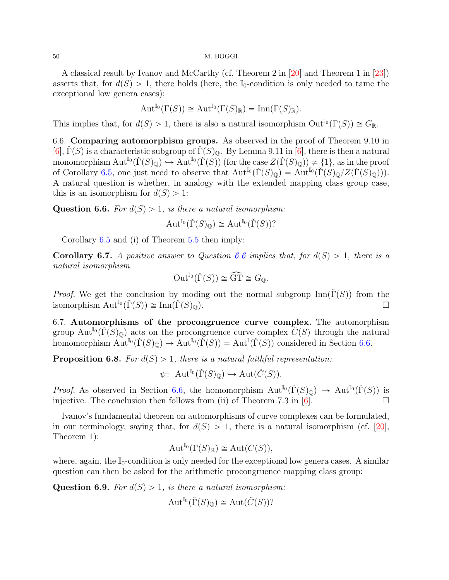<span id="page-49-4"></span>A classical result by Ivanov and McCarthy (cf. Theorem 2 in [\[20\]](#page-51-0) and Theorem 1 in [\[23\]](#page-51-1)) asserts that, for  $d(S) > 1$ , there holds (here, the I<sub>0</sub>-condition is only needed to tame the exceptional low genera cases):

$$
\operatorname{Aut}^{\mathbb{I}_0}(\Gamma(S)) \cong \operatorname{Aut}^{\mathbb{I}_0}(\Gamma(S)_{\mathbb{R}}) = \operatorname{Inn}(\Gamma(S)_{\mathbb{R}}).
$$

This implies that, for  $d(S) > 1$ , there is also a natural isomorphism  $Out^{\mathbb{I}_{0}}(\Gamma(S)) \cong G_{\mathbb{R}}$ .

<span id="page-49-1"></span>6.6. Comparing automorphism groups. As observed in the proof of Theorem 9.10 in [\[6\]](#page-51-9),  $\dot{\Gamma}(S)$  is a characteristic subgroup of  $\dot{\Gamma}(S)_{\mathbb{Q}}$ . By Lemma 9.11 in [\[6\]](#page-51-9), there is then a natural monomorphism  $\mathrm{Aut}^{\mathbb{I}_0}(\check{\Gamma}(S)_\mathbb{Q}) \hookrightarrow \mathrm{Aut}^{\mathbb{I}_0}(\check{\Gamma}(S))$  (for the case  $Z(\check{\Gamma}(S)_\mathbb{Q}) \neq \{1\}$ , as in the proof of Corollary [6.5,](#page-48-2) one just need to observe that  $\text{Aut}^{\mathbb{I}_0}(\check{\Gamma}(S)_\mathbb{Q}) = \check{\text{Aut}}^{\mathbb{I}_0}(\check{\Gamma}(S)_\mathbb{Q}/Z(\check{\Gamma}(S)_\mathbb{Q}))).$ A natural question is whether, in analogy with the extended mapping class group case, this is an isomorphism for  $d(S) > 1$ :

<span id="page-49-0"></span>**Question 6.6.** For  $d(S) > 1$ , is there a natural isomorphism:

$$
\operatorname{Aut}^{\mathbb{I}_0}(\check{\Gamma}(S)_{\mathbb{Q}}) \cong \operatorname{Aut}^{\mathbb{I}_0}(\check{\Gamma}(S))?
$$

Corollary [6.5](#page-48-2) and (i) of Theorem [5.5](#page-30-0) then imply:

**Corollary 6.7.** A positive answer to Question [6.6](#page-49-0) implies that, for  $d(S) > 1$ , there is a natural isomorphism

$$
\operatorname{Out}^{\mathbb{I}_0}(\check{\Gamma}(S)) \cong \widehat{\operatorname{GT}} \cong G_{\mathbb{Q}}.
$$

*Proof.* We get the conclusion by moding out the normal subgroup  $\text{Inn}(\tilde{\Gamma}(S))$  from the isomorphism  $\text{Aut}^{\mathbb{I}_0}(\check{\Gamma}(S)) \cong \text{Inn}(\check{\Gamma}(S)_{\mathbb{Q}}).$ 

6.7. Automorphisms of the procongruence curve complex. The automorphism group Aut<sup>I<sub>0</sub></sup>( $\check{\Gamma}(S)_{\mathbb{Q}}$ ) acts on the procongruence curve complex  $\check{C}(S)$  through the natural homomorphism  $\text{Aut}^{\mathbb{I}_0}(\check{\Gamma}(S_{\mathbb{Q}}) \to \text{Aut}^{\mathbb{I}_0}(\check{\Gamma}(S)) = \text{Aut}^{\mathbb{I}}(\check{\Gamma}(S))$  considered in Section [6.6.](#page-49-1)

<span id="page-49-2"></span>**Proposition 6.8.** For  $d(S) > 1$ , there is a natural faithful representation:

$$
\psi\colon \operatorname{Aut}^{\mathbb{I}_0}(\check{\Gamma}(S)_\mathbb{Q})\hookrightarrow \operatorname{Aut}(\check{C}(S)).
$$

*Proof.* As observed in Section [6.6,](#page-49-1) the homomorphism  $\text{Aut}^{\mathbb{I}_{0}}(\check{\Gamma}(S_{\mathbb{Q}}) \to \text{Aut}^{\mathbb{I}_{0}}(\check{\Gamma}(S))$  is injective. The conclusion then follows from (ii) of Theorem 7.3 in [\[6\]](#page-51-9).

Ivanov's fundamental theorem on automorphisms of curve complexes can be formulated, in our terminology, saying that, for  $d(S) > 1$ , there is a natural isomorphism (cf. [\[20\]](#page-51-0), Theorem 1):

$$
\operatorname{Aut}^{\mathbb{I}_0}(\Gamma(S)_{\mathbb{R}}) \cong \operatorname{Aut}(C(S)),
$$

where, again, the  $\mathbb{I}_0$ -condition is only needed for the exceptional low genera cases. A similar question can then be asked for the arithmetic procongruence mapping class group:

<span id="page-49-3"></span>**Question 6.9.** For  $d(S) > 1$ , is there a natural isomorphism:

$$
\operatorname{Aut}^{\mathbb{I}_0}(\check{\Gamma}(S)_{\mathbb{Q}}) \cong \operatorname{Aut}(\check{C}(S))?
$$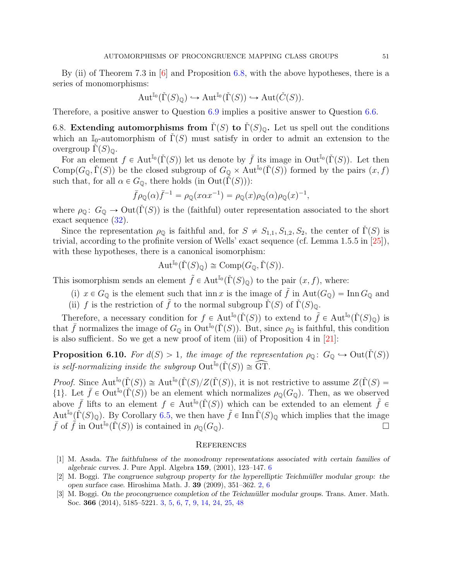<span id="page-50-3"></span>By (ii) of Theorem 7.3 in  $\vert 6 \vert$  and Proposition [6.8,](#page-49-2) with the above hypotheses, there is a series of monomorphisms:

$$
\operatorname{Aut}^{\mathbb{I}_0}(\check{\Gamma}(S)_\mathbb{Q}) \hookrightarrow \operatorname{Aut}^{\mathbb{I}_0}(\check{\Gamma}(S)) \hookrightarrow \operatorname{Aut}(\check{C}(S)).
$$

Therefore, a positive answer to Question [6.9](#page-49-3) implies a positive answer to Question [6.6.](#page-49-0)

6.8. Extending automorphisms from  $\Gamma(S)$  to  $\Gamma(S)_{\mathbb{Q}}$ . Let us spell out the conditions which an I<sub>0</sub>-automorphism of  $\Gamma(S)$  must satisfy in order to admit an extension to the overgroup  $\Gamma(S)$ <sub>ω</sub>.

For an element  $f \in \text{Aut}^{\mathbb{I}_0}(\check{\Gamma}(S))$  let us denote by  $\bar{f}$  its image in Out $^{\mathbb{I}_0}(\check{\Gamma}(S))$ . Let then Comp $(G_{\mathbb{Q}}, \check{\Gamma}(S))$  be the closed subgroup of  $G_{\mathbb{Q}} \times \text{Aut}^{\mathbb{I}_{0}}(\check{\Gamma}(S))$  formed by the pairs  $(x, f)$ such that, for all  $\alpha \in G_0$ , there holds (in  $Out(\Gamma(S))$ ):

$$
\bar{f}\rho_{\mathbb{Q}}(\alpha)\bar{f}^{-1} = \rho_{\mathbb{Q}}(x\alpha x^{-1}) = \rho_{\mathbb{Q}}(x)\rho_{\mathbb{Q}}(\alpha)\rho_{\mathbb{Q}}(x)^{-1},
$$

where  $\rho_{\mathbb{Q}}\colon G_{\mathbb{Q}} \to \mathrm{Out}(\check{\Gamma}(S))$  is the (faithful) outer representation associated to the short exact sequence [\(32\)](#page-47-0).

Since the representation  $\rho_{\mathbb{Q}}$  is faithful and, for  $S \neq S_{1,1}, S_{1,2}, S_2$ , the center of  $\Gamma(S)$  is trivial, according to the profinite version of Wells' exact sequence (cf. Lemma 1.5.5 in [\[25\]](#page-51-15)), with these hypotheses, there is a canonical isomorphism:

$$
\operatorname{Aut}^{\mathbb{I}_0}(\check{\Gamma}(S)_{\mathbb{Q}}) \cong \operatorname{Comp}(G_{\mathbb{Q}}, \check{\Gamma}(S)).
$$

This isomorphism sends an element  $\tilde{f} \in Aut^{\mathbb{I}_0}(\check{\Gamma}(S)_\mathbb{Q})$  to the pair  $(x, f)$ , where:

- (i)  $x \in G_{\mathbb{Q}}$  is the element such that inn x is the image of  $\tilde{f}$  in Aut $(G_{\mathbb{Q}}) = \text{Inn } G_{\mathbb{Q}}$  and
- (ii) f is the restriction of f to the normal subgroup  $\check{\Gamma}(S)$  of  $\check{\Gamma}(S)_{\mathbb{Q}}$ .

Therefore, a necessary condition for  $f \in Aut^{\mathbb{I}_{0}}(\check{\Gamma}(S))$  to extend to  $\tilde{f} \in Aut^{\mathbb{I}_{0}}(\check{\Gamma}(S_{\mathbb{Q}}))$  is that  $\bar{f}$  normalizes the image of  $G_{\mathbb{Q}}$  in  $\text{Out}^{\mathbb{I}_{0}}(\check{\Gamma}(S))$ . But, since  $\rho_{\mathbb{Q}}$  is faithful, this condition is also sufficient. So we get a new proof of item (iii) of Proposition 4 in [\[21\]](#page-51-21):

**Proposition 6.10.** For  $d(S) > 1$ , the image of the representation  $\rho_{\mathbb{Q}} \colon G_{\mathbb{Q}} \hookrightarrow \text{Out}(\check{\Gamma}(S))$ is self-normalizing inside the subgroup  $\text{Out}^{\mathbb{I}_0}(\check{\Gamma}(S)) \cong \widehat{\text{GT}}$ .

*Proof.* Since  $\text{Aut}^{\mathbb{I}_0}(\check{\Gamma}(S)) \cong \text{Aut}^{\mathbb{I}_0}(\check{\Gamma}(S)/Z(\check{\Gamma}(S)),$  it is not restrictive to assume  $Z(\check{\Gamma}(S)) =$ {1}. Let  $\bar{f} \in \text{Out}^{\mathbb{I}_0}(\check{\Gamma}(S))$  be an element which normalizes  $\rho_{\mathbb{Q}}(G_{\mathbb{Q}})$ . Then, as we observed above  $\bar{f}$  lifts to an element  $f \in Aut^{\mathbb{I}_{0}}(\check{\Gamma}(S))$  which can be extended to an element  $\tilde{f} \in$  $\mathrm{Aut}^{\mathbb{I}_0}(\check{\Gamma}(S)_\mathbb{Q})$ . By Corollary [6.5,](#page-48-2) we then have  $\tilde{f} \in \text{Inn }\check{\Gamma}(S)_\mathbb{Q}$  which implies that the image  $\bar{f}$  of  $\hat{f}$  in Out<sup>I<sub>0</sub></sup>( $\check{\Gamma}(S)$ ) is contained in  $\rho_{\mathbb{Q}}(G_{\mathbb{Q}})$ .

#### **REFERENCES**

- <span id="page-50-2"></span>[1] M. Asada. The faithfulness of the monodromy representations associated with certain families of algebraic curves. J. Pure Appl. Algebra 159, (2001), 123–147. [6](#page-5-1)
- <span id="page-50-0"></span>[2] M. Boggi. The congruence subgroup property for the hyperelliptic Teichmüller modular group: the open surface case. Hiroshima Math. J. 39 (2009), 351–362. [2,](#page-1-0) [6](#page-5-1)
- <span id="page-50-1"></span>[3] M. Boggi. On the procongruence completion of the Teichmüller modular groups. Trans. Amer. Math. Soc. 366 (2014), 5185–5221. [3,](#page-2-1) [5,](#page-4-1) [6,](#page-5-1) [7,](#page-6-2) [9,](#page-8-3) [14,](#page-13-1) [24,](#page-23-2) [25,](#page-24-3) [48](#page-47-2)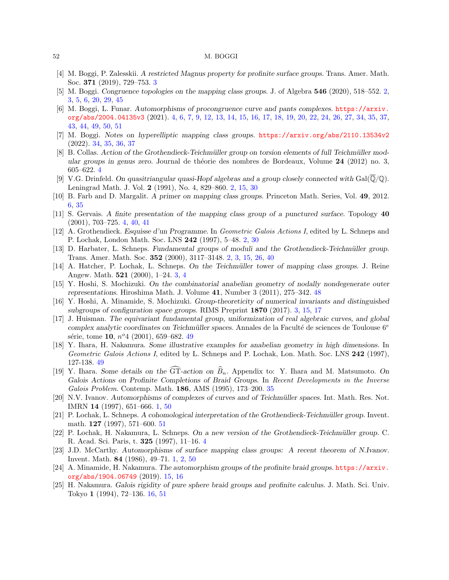- <span id="page-51-8"></span>[4] M. Boggi, P. Zalesskii. A restricted Magnus property for profinite surface groups. Trans. Amer. Math. Soc. 371 (2019), 729–753. [3](#page-2-1)
- <span id="page-51-2"></span>[5] M. Boggi. Congruence topologies on the mapping class groups. J. of Algebra 546 (2020), 518–552. [2,](#page-1-0) [3,](#page-2-1) [5,](#page-4-1) [6,](#page-5-1) [20,](#page-19-1) [29,](#page-28-2) [45](#page-44-1)
- <span id="page-51-9"></span>[6] M. Boggi, L. Funar. Automorphisms of procongruence curve and pants complexes. [https://arxiv.](https://arxiv.org/abs/2004.04135v3) [org/abs/2004.04135v3](https://arxiv.org/abs/2004.04135v3) (2021). [4,](#page-3-1) [6,](#page-5-1) [7,](#page-6-2) [9,](#page-8-3) [12,](#page-11-1) [13,](#page-12-2) [14,](#page-13-1) [15,](#page-14-2) [16,](#page-15-2) [17,](#page-16-3) [18,](#page-17-1) [19,](#page-18-3) [20,](#page-19-1) [22,](#page-21-2) [24,](#page-23-2) [26,](#page-25-1) [27,](#page-26-2) [34,](#page-33-0) [35,](#page-34-1) [37,](#page-36-1) [43,](#page-42-1) [44,](#page-43-3) [49,](#page-48-3) [50,](#page-49-4) [51](#page-50-3)
- <span id="page-51-16"></span>[7] M. Boggi. Notes on hyperelliptic mapping class groups. <https://arxiv.org/abs/2110.13534v2> (2022). [34,](#page-33-0) [35,](#page-34-1) [36,](#page-35-1) [37](#page-36-1)
- <span id="page-51-12"></span>[8] B. Collas. Action of the Grothendieck-Teichmüller group on torsion elements of full Teichmüller modular groups in genus zero. Journal de théorie des nombres de Bordeaux, Volume  $24$  (2012) no. 3, 605–622. [4](#page-3-1)
- <span id="page-51-4"></span>[9] V.G. Drinfeld. On quasitriangular quasi-Hopf algebras and a group closely connected with  $Gal(Q/\mathbb{Q})$ . Leningrad Math. J. Vol. 2 (1991), No. 4, 829–860. [2,](#page-1-0) [15,](#page-14-2) [30](#page-29-2)
- <span id="page-51-13"></span>[10] B. Farb and D. Margalit. A primer on mapping class groups. Princeton Math. Series, Vol. 49, 2012. [6,](#page-5-1) [35](#page-34-1)
- <span id="page-51-10"></span>[11] S. Gervais. A finite presentation of the mapping class group of a punctured surface. Topology 40 (2001), 703–725. [4,](#page-3-1) [40,](#page-39-1) [41](#page-40-3)
- <span id="page-51-3"></span>[12] A. Grothendieck. Esquisse d'un Programme. In Geometric Galois Actions I, edited by L. Schneps and P. Lochak, London Math. Soc. LNS 242 (1997), 5–48. [2,](#page-1-0) [30](#page-29-2)
- <span id="page-51-5"></span>[13] D. Harbater, L. Schneps. Fundamental groups of moduli and the Grothendieck-Teichmüller group. Trans. Amer. Math. Soc. 352 (2000), 3117–3148. [2,](#page-1-0) [3,](#page-2-1) [15,](#page-14-2) [26,](#page-25-1) [40](#page-39-1)
- <span id="page-51-6"></span>[14] A. Hatcher, P. Lochak, L. Schneps. On the Teichm¨uller tower of mapping class groups. J. Reine Angew. Math. 521 (2000), 1–24. [3,](#page-2-1) [4](#page-3-1)
- <span id="page-51-18"></span>[15] Y. Hoshi, S. Mochizuki. On the combinatorial anabelian geometry of nodally nondegenerate outer representations. Hiroshima Math. J. Volume 41, Number 3 (2011), 275–342. [48](#page-47-2)
- <span id="page-51-7"></span>[16] Y. Hoshi, A. Minamide, S. Mochizuki. Group-theoreticity of numerical invariants and distinguished subgroups of configuration space groups. RIMS Preprint 1870 (2017). [3,](#page-2-1) [15,](#page-14-2) [17](#page-16-3)
- <span id="page-51-20"></span>[17] J. Huisman. The equivariant fundamental group, uniformization of real algebraic curves, and global complex analytic coordinates on Teichmüller spaces. Annales de la Faculté de sciences de Toulouse  $6^e$ série, tome  $10, n^o4$  (2001), 659–682. [49](#page-48-3)
- <span id="page-51-19"></span>[18] Y. Ihara, H. Nakamura. Some illustrative examples for anabelian geometry in high dimensions. In Geometric Galois Actions I, edited by L. Schneps and P. Lochak, Lon. Math. Soc. LNS 242 (1997), 127-138. [49](#page-48-3)
- <span id="page-51-17"></span>[19] Y. Ihara. Some details on the  $\widehat{GT}$ -action on  $\widehat{B}_n$ . Appendix to: Y. Ihara and M. Matsumoto. On Galois Actions on Profinite Completions of Braid Groups. In Recent Developments in the Inverse Galois Problem. Contemp. Math. 186, AMS (1995), 173–200. [35](#page-34-1)
- <span id="page-51-0"></span>[20] N.V. Ivanov. Automorphisms of complexes of curves and of Teichmüller spaces. Int. Math. Res. Not. IMRN 14 (1997), 651–666. [1,](#page-0-1) [50](#page-49-4)
- <span id="page-51-21"></span>[21] P. Lochak, L. Schneps. A cohomological interpretation of the Grothendieck-Teichmüller group. Invent. math. 127 (1997), 571–600. [51](#page-50-3)
- <span id="page-51-11"></span>[22] P. Lochak, H. Nakamura, L. Schneps. On a new version of the Grothendieck-Teichm¨uller group. C. R. Acad. Sci. Paris, t. 325 (1997), 11–16. [4](#page-3-1)
- <span id="page-51-1"></span>[23] J.D. McCarthy. Automorphisms of surface mapping class groups: A recent theorem of N.Ivanov. Invent. Math. 84 (1986), 49–71. [1,](#page-0-1) [2,](#page-1-0) [50](#page-49-4)
- <span id="page-51-14"></span>[24] A. Minamide, H. Nakamura. The automorphism groups of the profinite braid groups. [https://arxiv.](https://arxiv.org/abs/1904.06749) [org/abs/1904.06749](https://arxiv.org/abs/1904.06749) (2019). [15,](#page-14-2) [16](#page-15-2)
- <span id="page-51-15"></span>[25] H. Nakamura. Galois rigidity of pure sphere braid groups and profinite calculus. J. Math. Sci. Univ. Tokyo 1 (1994), 72–136. [16,](#page-15-2) [51](#page-50-3)